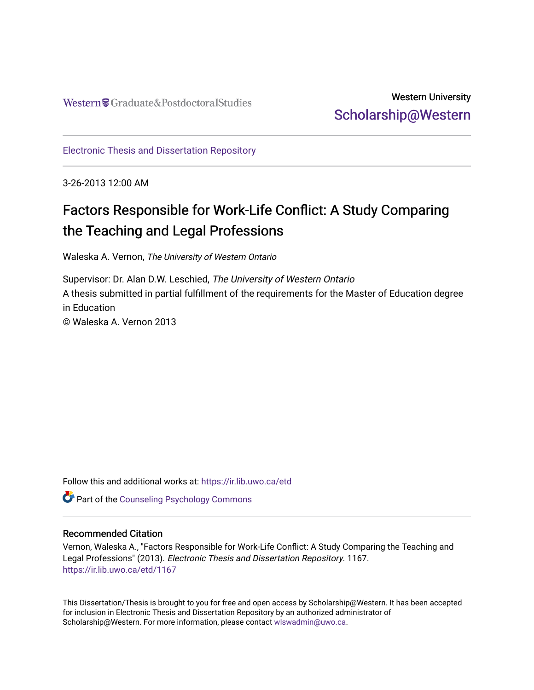# Western University [Scholarship@Western](https://ir.lib.uwo.ca/)

[Electronic Thesis and Dissertation Repository](https://ir.lib.uwo.ca/etd)

3-26-2013 12:00 AM

# Factors Responsible for Work-Life Conflict: A Study Comparing the Teaching and Legal Professions

Waleska A. Vernon, The University of Western Ontario

Supervisor: Dr. Alan D.W. Leschied, The University of Western Ontario A thesis submitted in partial fulfillment of the requirements for the Master of Education degree in Education © Waleska A. Vernon 2013

Follow this and additional works at: [https://ir.lib.uwo.ca/etd](https://ir.lib.uwo.ca/etd?utm_source=ir.lib.uwo.ca%2Fetd%2F1167&utm_medium=PDF&utm_campaign=PDFCoverPages) 

Part of the [Counseling Psychology Commons](http://network.bepress.com/hgg/discipline/1044?utm_source=ir.lib.uwo.ca%2Fetd%2F1167&utm_medium=PDF&utm_campaign=PDFCoverPages) 

### Recommended Citation

Vernon, Waleska A., "Factors Responsible for Work-Life Conflict: A Study Comparing the Teaching and Legal Professions" (2013). Electronic Thesis and Dissertation Repository. 1167. [https://ir.lib.uwo.ca/etd/1167](https://ir.lib.uwo.ca/etd/1167?utm_source=ir.lib.uwo.ca%2Fetd%2F1167&utm_medium=PDF&utm_campaign=PDFCoverPages)

This Dissertation/Thesis is brought to you for free and open access by Scholarship@Western. It has been accepted for inclusion in Electronic Thesis and Dissertation Repository by an authorized administrator of Scholarship@Western. For more information, please contact [wlswadmin@uwo.ca.](mailto:wlswadmin@uwo.ca)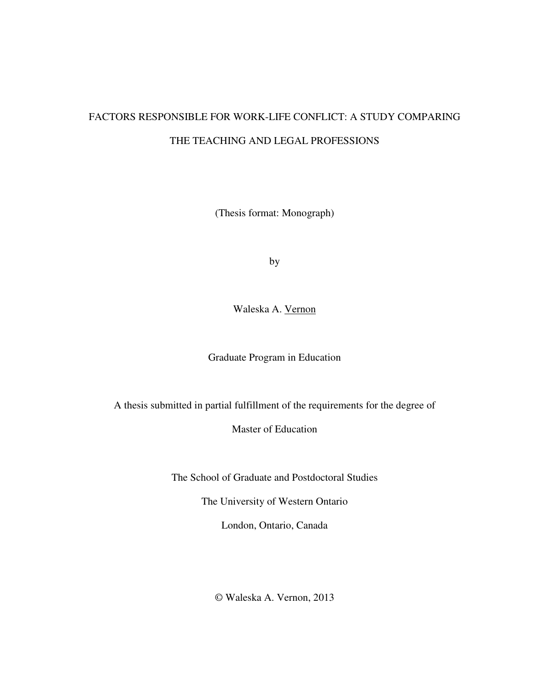# FACTORS RESPONSIBLE FOR WORK-LIFE CONFLICT: A STUDY COMPARING THE TEACHING AND LEGAL PROFESSIONS

(Thesis format: Monograph)

by

Waleska A. Vernon

Graduate Program in Education

A thesis submitted in partial fulfillment of the requirements for the degree of

Master of Education

The School of Graduate and Postdoctoral Studies

The University of Western Ontario

London, Ontario, Canada

© Waleska A. Vernon, 2013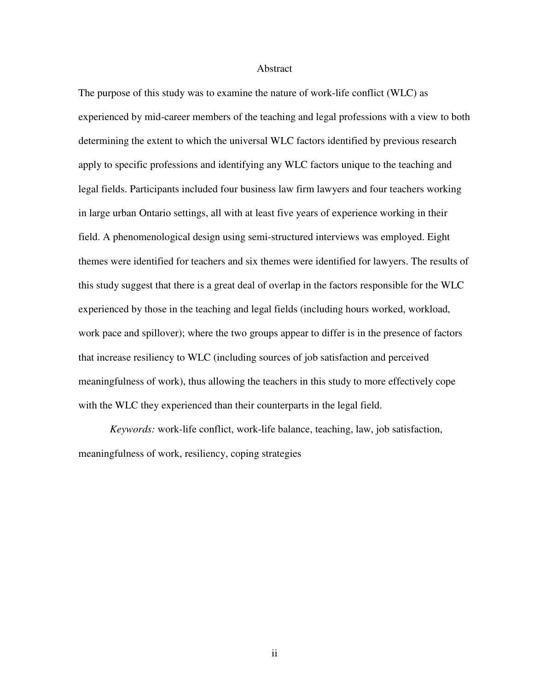#### Abstract

The purpose of this study was to examine the nature of work-life conflict (WLC) as experienced by mid-career members of the teaching and legal professions with a view to both determining the extent to which the universal WLC factors identified by previous research apply to specific professions and identifying any WLC factors unique to the teaching and legal fields. Participants included four business law firm lawyers and four teachers working in large urban Ontario settings, all with at least five years of experience working in their field. A phenomenological design using semi-structured interviews was employed. Eight themes were identified for teachers and six themes were identified for lawyers. The results of this study suggest that there is a great deal of overlap in the factors responsible for the WLC experienced by those in the teaching and legal fields (including hours worked, workload, work pace and spillover); where the two groups appear to differ is in the presence of factors that increase resiliency to WLC (including sources of job satisfaction and perceived meaningfulness of work), thus allowing the teachers in this study to more effectively cope with the WLC they experienced than their counterparts in the legal field.

*Keywords:* work-life conflict, work-life balance, teaching, law, job satisfaction, meaningfulness of work, resiliency, coping strategies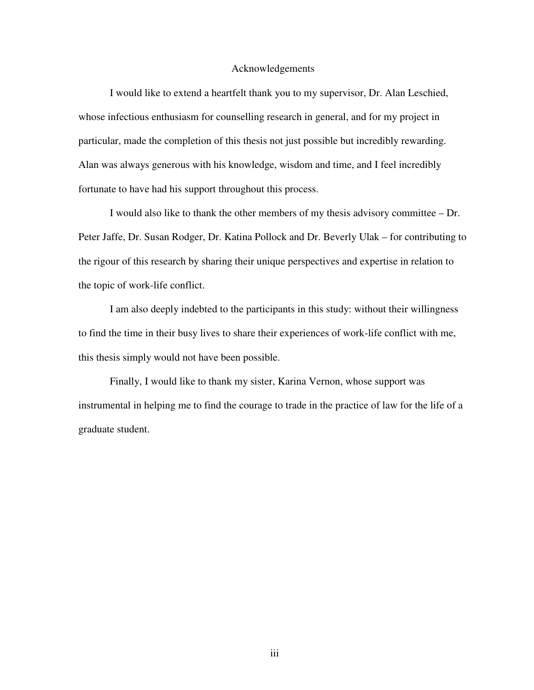#### Acknowledgements

I would like to extend a heartfelt thank you to my supervisor, Dr. Alan Leschied, whose infectious enthusiasm for counselling research in general, and for my project in particular, made the completion of this thesis not just possible but incredibly rewarding. Alan was always generous with his knowledge, wisdom and time, and I feel incredibly fortunate to have had his support throughout this process.

I would also like to thank the other members of my thesis advisory committee – Dr. Peter Jaffe, Dr. Susan Rodger, Dr. Katina Pollock and Dr. Beverly Ulak – for contributing to the rigour of this research by sharing their unique perspectives and expertise in relation to the topic of work-life conflict.

I am also deeply indebted to the participants in this study: without their willingness to find the time in their busy lives to share their experiences of work-life conflict with me, this thesis simply would not have been possible.

Finally, I would like to thank my sister, Karina Vernon, whose support was instrumental in helping me to find the courage to trade in the practice of law for the life of a graduate student.

iii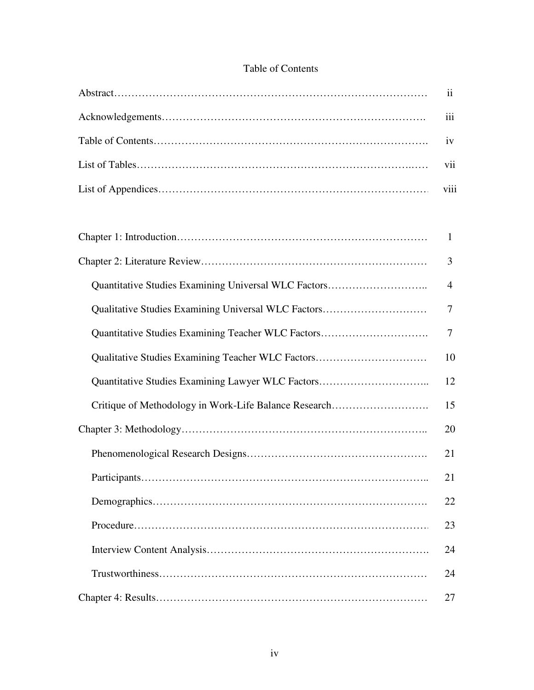# Table of Contents

|                                                       | $\mathbf{1}$   |
|-------------------------------------------------------|----------------|
|                                                       | 3              |
| Quantitative Studies Examining Universal WLC Factors  | $\overline{4}$ |
| Qualitative Studies Examining Universal WLC Factors   | $\overline{7}$ |
| Quantitative Studies Examining Teacher WLC Factors    | $\overline{7}$ |
| Qualitative Studies Examining Teacher WLC Factors     | 10             |
| Quantitative Studies Examining Lawyer WLC Factors     | 12             |
| Critique of Methodology in Work-Life Balance Research | 15             |
|                                                       | 20             |
|                                                       | 21             |
|                                                       | 21             |
|                                                       | 22             |
|                                                       | 23             |
|                                                       | 24             |
|                                                       | 24             |
|                                                       | 27             |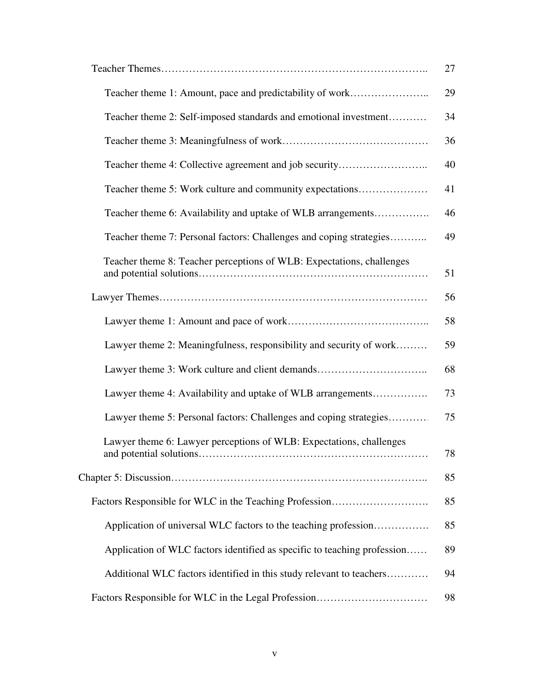|                                                                          | 27 |
|--------------------------------------------------------------------------|----|
| Teacher theme 1: Amount, pace and predictability of work                 | 29 |
| Teacher theme 2: Self-imposed standards and emotional investment         | 34 |
|                                                                          | 36 |
| Teacher theme 4: Collective agreement and job security                   | 40 |
| Teacher theme 5: Work culture and community expectations                 | 41 |
| Teacher theme 6: Availability and uptake of WLB arrangements             | 46 |
| Teacher theme 7: Personal factors: Challenges and coping strategies      | 49 |
| Teacher theme 8: Teacher perceptions of WLB: Expectations, challenges    | 51 |
|                                                                          | 56 |
|                                                                          | 58 |
| Lawyer theme 2: Meaningfulness, responsibility and security of work      | 59 |
| Lawyer theme 3: Work culture and client demands                          | 68 |
| Lawyer theme 4: Availability and uptake of WLB arrangements              | 73 |
| Lawyer theme 5: Personal factors: Challenges and coping strategies       | 75 |
| Lawyer theme 6: Lawyer perceptions of WLB: Expectations, challenges      | 78 |
|                                                                          | 85 |
| Factors Responsible for WLC in the Teaching Profession                   | 85 |
| Application of universal WLC factors to the teaching profession          | 85 |
| Application of WLC factors identified as specific to teaching profession | 89 |
| Additional WLC factors identified in this study relevant to teachers     | 94 |
| Factors Responsible for WLC in the Legal Profession                      | 98 |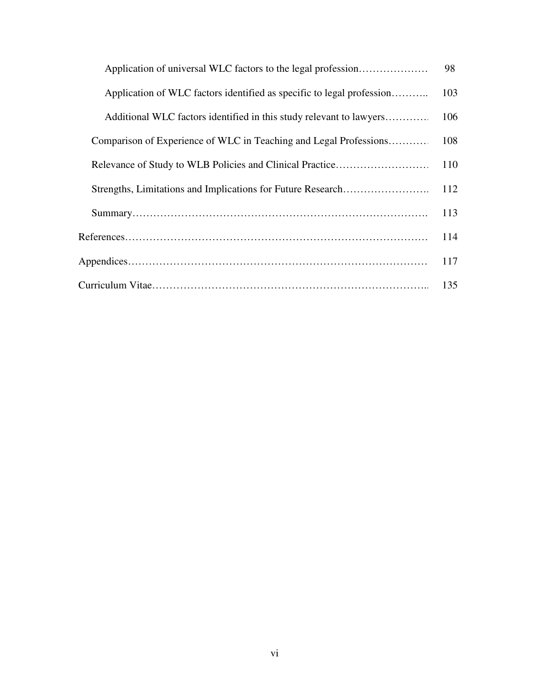| Application of universal WLC factors to the legal profession          | 98  |
|-----------------------------------------------------------------------|-----|
| Application of WLC factors identified as specific to legal profession | 103 |
| Additional WLC factors identified in this study relevant to lawyers   | 106 |
| Comparison of Experience of WLC in Teaching and Legal Professions     | 108 |
|                                                                       | 110 |
|                                                                       | 112 |
|                                                                       | 113 |
|                                                                       | 114 |
|                                                                       | 117 |
|                                                                       | 135 |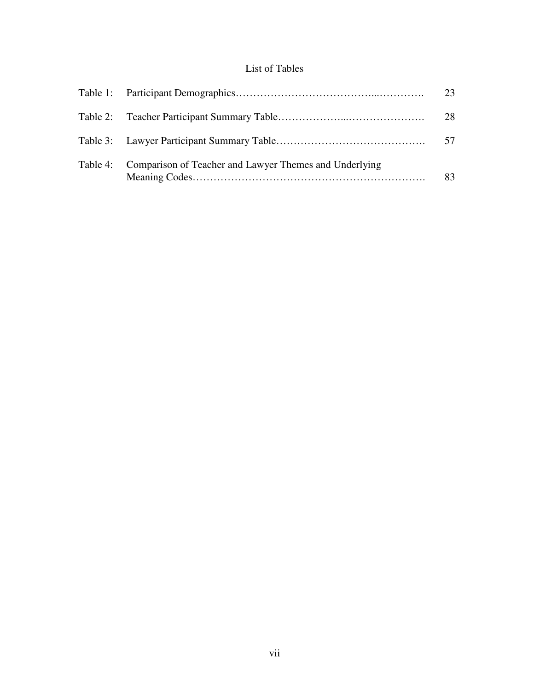# List of Tables

|                                                                 | 23 |
|-----------------------------------------------------------------|----|
|                                                                 | 28 |
|                                                                 |    |
| Table 4: Comparison of Teacher and Lawyer Themes and Underlying | 83 |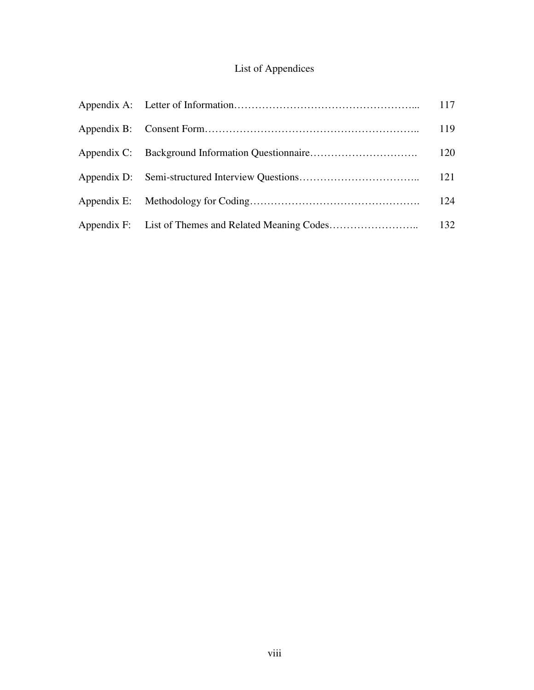# List of Appendices

|                                                  | 117 |
|--------------------------------------------------|-----|
|                                                  | 119 |
| Appendix C: Background Information Questionnaire | 120 |
|                                                  | 121 |
|                                                  | 124 |
|                                                  |     |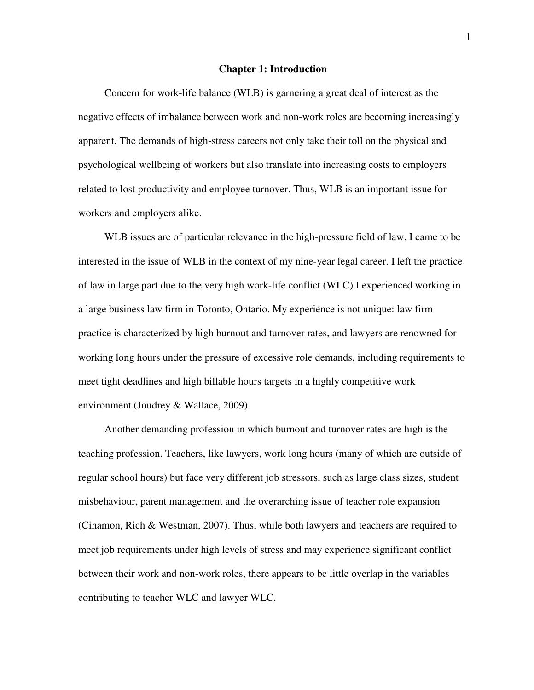#### **Chapter 1: Introduction**

Concern for work-life balance (WLB) is garnering a great deal of interest as the negative effects of imbalance between work and non-work roles are becoming increasingly apparent. The demands of high-stress careers not only take their toll on the physical and psychological wellbeing of workers but also translate into increasing costs to employers related to lost productivity and employee turnover. Thus, WLB is an important issue for workers and employers alike.

WLB issues are of particular relevance in the high-pressure field of law. I came to be interested in the issue of WLB in the context of my nine-year legal career. I left the practice of law in large part due to the very high work-life conflict (WLC) I experienced working in a large business law firm in Toronto, Ontario. My experience is not unique: law firm practice is characterized by high burnout and turnover rates, and lawyers are renowned for working long hours under the pressure of excessive role demands, including requirements to meet tight deadlines and high billable hours targets in a highly competitive work environment (Joudrey & Wallace, 2009).

Another demanding profession in which burnout and turnover rates are high is the teaching profession. Teachers, like lawyers, work long hours (many of which are outside of regular school hours) but face very different job stressors, such as large class sizes, student misbehaviour, parent management and the overarching issue of teacher role expansion (Cinamon, Rich & Westman, 2007). Thus, while both lawyers and teachers are required to meet job requirements under high levels of stress and may experience significant conflict between their work and non-work roles, there appears to be little overlap in the variables contributing to teacher WLC and lawyer WLC.

1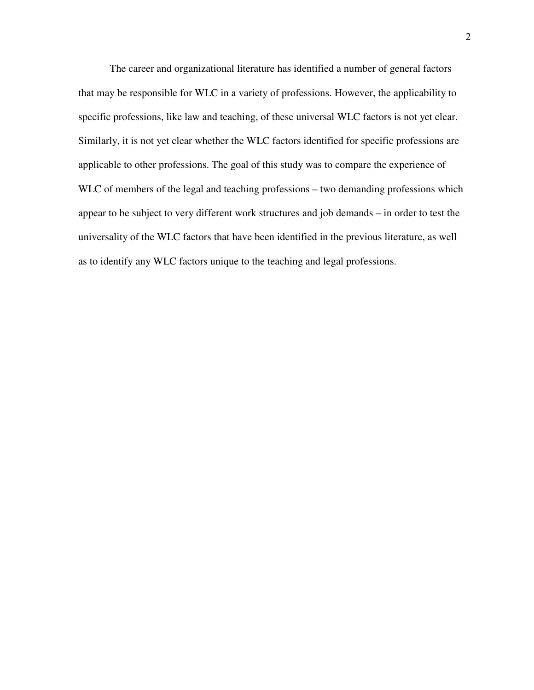The career and organizational literature has identified a number of general factors that may be responsible for WLC in a variety of professions. However, the applicability to specific professions, like law and teaching, of these universal WLC factors is not yet clear. Similarly, it is not yet clear whether the WLC factors identified for specific professions are applicable to other professions. The goal of this study was to compare the experience of WLC of members of the legal and teaching professions – two demanding professions which appear to be subject to very different work structures and job demands – in order to test the universality of the WLC factors that have been identified in the previous literature, as well as to identify any WLC factors unique to the teaching and legal professions.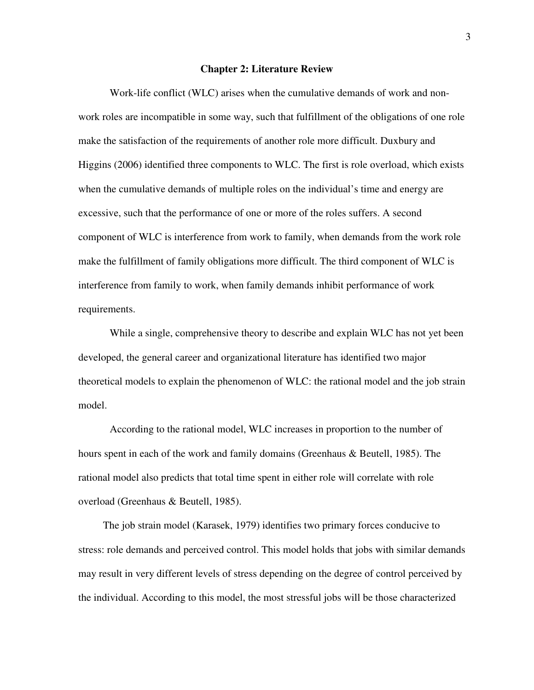#### **Chapter 2: Literature Review**

 Work-life conflict (WLC) arises when the cumulative demands of work and nonwork roles are incompatible in some way, such that fulfillment of the obligations of one role make the satisfaction of the requirements of another role more difficult. Duxbury and Higgins (2006) identified three components to WLC. The first is role overload, which exists when the cumulative demands of multiple roles on the individual's time and energy are excessive, such that the performance of one or more of the roles suffers. A second component of WLC is interference from work to family, when demands from the work role make the fulfillment of family obligations more difficult. The third component of WLC is interference from family to work, when family demands inhibit performance of work requirements.

While a single, comprehensive theory to describe and explain WLC has not yet been developed, the general career and organizational literature has identified two major theoretical models to explain the phenomenon of WLC: the rational model and the job strain model.

According to the rational model, WLC increases in proportion to the number of hours spent in each of the work and family domains (Greenhaus & Beutell, 1985). The rational model also predicts that total time spent in either role will correlate with role overload (Greenhaus & Beutell, 1985).

The job strain model (Karasek, 1979) identifies two primary forces conducive to stress: role demands and perceived control. This model holds that jobs with similar demands may result in very different levels of stress depending on the degree of control perceived by the individual. According to this model, the most stressful jobs will be those characterized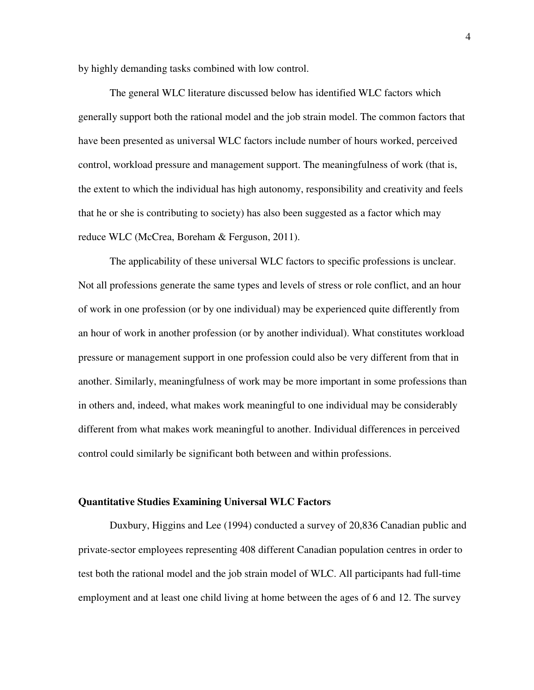by highly demanding tasks combined with low control.

The general WLC literature discussed below has identified WLC factors which generally support both the rational model and the job strain model. The common factors that have been presented as universal WLC factors include number of hours worked, perceived control, workload pressure and management support. The meaningfulness of work (that is, the extent to which the individual has high autonomy, responsibility and creativity and feels that he or she is contributing to society) has also been suggested as a factor which may reduce WLC (McCrea, Boreham & Ferguson, 2011).

The applicability of these universal WLC factors to specific professions is unclear. Not all professions generate the same types and levels of stress or role conflict, and an hour of work in one profession (or by one individual) may be experienced quite differently from an hour of work in another profession (or by another individual). What constitutes workload pressure or management support in one profession could also be very different from that in another. Similarly, meaningfulness of work may be more important in some professions than in others and, indeed, what makes work meaningful to one individual may be considerably different from what makes work meaningful to another. Individual differences in perceived control could similarly be significant both between and within professions.

#### **Quantitative Studies Examining Universal WLC Factors**

Duxbury, Higgins and Lee (1994) conducted a survey of 20,836 Canadian public and private-sector employees representing 408 different Canadian population centres in order to test both the rational model and the job strain model of WLC. All participants had full-time employment and at least one child living at home between the ages of 6 and 12. The survey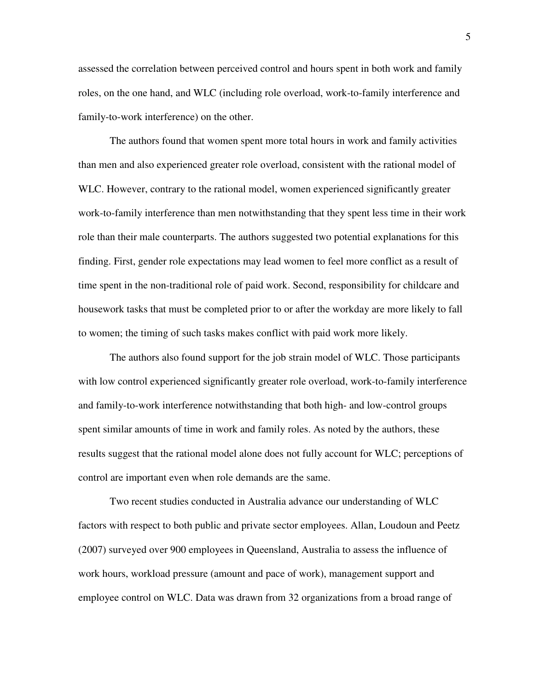assessed the correlation between perceived control and hours spent in both work and family roles, on the one hand, and WLC (including role overload, work-to-family interference and family-to-work interference) on the other.

The authors found that women spent more total hours in work and family activities than men and also experienced greater role overload, consistent with the rational model of WLC. However, contrary to the rational model, women experienced significantly greater work-to-family interference than men notwithstanding that they spent less time in their work role than their male counterparts. The authors suggested two potential explanations for this finding. First, gender role expectations may lead women to feel more conflict as a result of time spent in the non-traditional role of paid work. Second, responsibility for childcare and housework tasks that must be completed prior to or after the workday are more likely to fall to women; the timing of such tasks makes conflict with paid work more likely.

The authors also found support for the job strain model of WLC. Those participants with low control experienced significantly greater role overload, work-to-family interference and family-to-work interference notwithstanding that both high- and low-control groups spent similar amounts of time in work and family roles. As noted by the authors, these results suggest that the rational model alone does not fully account for WLC; perceptions of control are important even when role demands are the same.

Two recent studies conducted in Australia advance our understanding of WLC factors with respect to both public and private sector employees. Allan, Loudoun and Peetz (2007) surveyed over 900 employees in Queensland, Australia to assess the influence of work hours, workload pressure (amount and pace of work), management support and employee control on WLC. Data was drawn from 32 organizations from a broad range of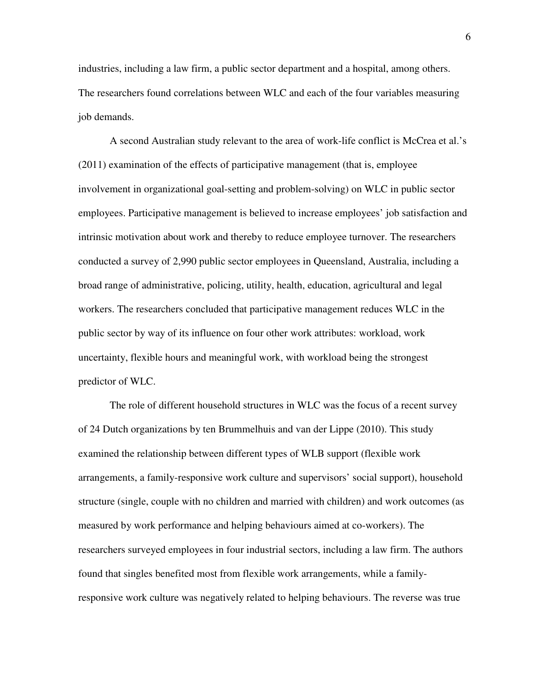industries, including a law firm, a public sector department and a hospital, among others. The researchers found correlations between WLC and each of the four variables measuring job demands.

A second Australian study relevant to the area of work-life conflict is McCrea et al.'s (2011) examination of the effects of participative management (that is, employee involvement in organizational goal-setting and problem-solving) on WLC in public sector employees. Participative management is believed to increase employees' job satisfaction and intrinsic motivation about work and thereby to reduce employee turnover. The researchers conducted a survey of 2,990 public sector employees in Queensland, Australia, including a broad range of administrative, policing, utility, health, education, agricultural and legal workers. The researchers concluded that participative management reduces WLC in the public sector by way of its influence on four other work attributes: workload, work uncertainty, flexible hours and meaningful work, with workload being the strongest predictor of WLC.

The role of different household structures in WLC was the focus of a recent survey of 24 Dutch organizations by ten Brummelhuis and van der Lippe (2010). This study examined the relationship between different types of WLB support (flexible work arrangements, a family-responsive work culture and supervisors' social support), household structure (single, couple with no children and married with children) and work outcomes (as measured by work performance and helping behaviours aimed at co-workers). The researchers surveyed employees in four industrial sectors, including a law firm. The authors found that singles benefited most from flexible work arrangements, while a familyresponsive work culture was negatively related to helping behaviours. The reverse was true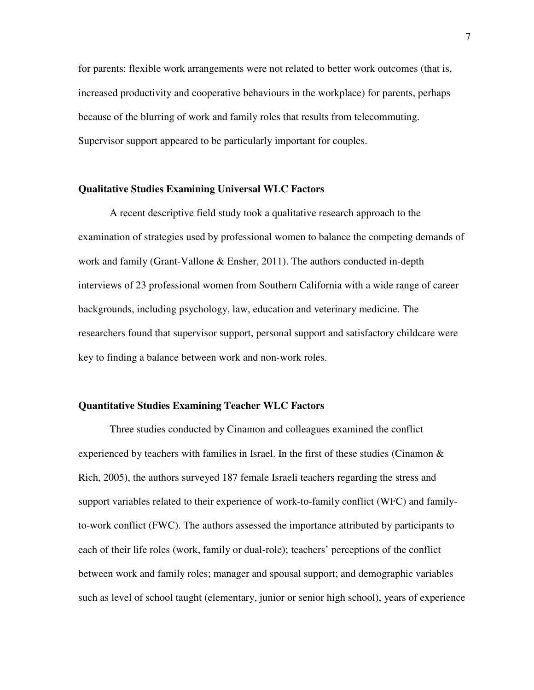for parents: flexible work arrangements were not related to better work outcomes (that is, increased productivity and cooperative behaviours in the workplace) for parents, perhaps because of the blurring of work and family roles that results from telecommuting. Supervisor support appeared to be particularly important for couples.

#### **Qualitative Studies Examining Universal WLC Factors**

A recent descriptive field study took a qualitative research approach to the examination of strategies used by professional women to balance the competing demands of work and family (Grant-Vallone & Ensher, 2011). The authors conducted in-depth interviews of 23 professional women from Southern California with a wide range of career backgrounds, including psychology, law, education and veterinary medicine. The researchers found that supervisor support, personal support and satisfactory childcare were key to finding a balance between work and non-work roles.

#### **Quantitative Studies Examining Teacher WLC Factors**

Three studies conducted by Cinamon and colleagues examined the conflict experienced by teachers with families in Israel. In the first of these studies (Cinamon  $\&$ Rich, 2005), the authors surveyed 187 female Israeli teachers regarding the stress and support variables related to their experience of work-to-family conflict (WFC) and familyto-work conflict (FWC). The authors assessed the importance attributed by participants to each of their life roles (work, family or dual-role); teachers' perceptions of the conflict between work and family roles; manager and spousal support; and demographic variables such as level of school taught (elementary, junior or senior high school), years of experience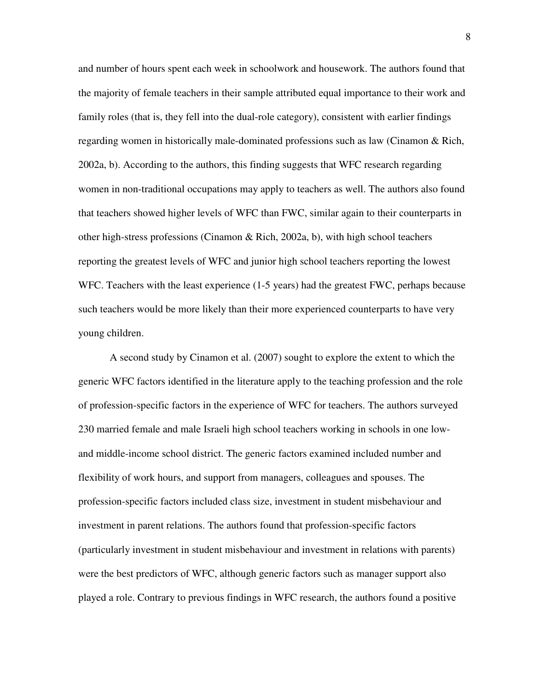and number of hours spent each week in schoolwork and housework. The authors found that the majority of female teachers in their sample attributed equal importance to their work and family roles (that is, they fell into the dual-role category), consistent with earlier findings regarding women in historically male-dominated professions such as law (Cinamon & Rich, 2002a, b). According to the authors, this finding suggests that WFC research regarding women in non-traditional occupations may apply to teachers as well. The authors also found that teachers showed higher levels of WFC than FWC, similar again to their counterparts in other high-stress professions (Cinamon & Rich, 2002a, b), with high school teachers reporting the greatest levels of WFC and junior high school teachers reporting the lowest WFC. Teachers with the least experience (1-5 years) had the greatest FWC, perhaps because such teachers would be more likely than their more experienced counterparts to have very young children.

A second study by Cinamon et al. (2007) sought to explore the extent to which the generic WFC factors identified in the literature apply to the teaching profession and the role of profession-specific factors in the experience of WFC for teachers. The authors surveyed 230 married female and male Israeli high school teachers working in schools in one lowand middle-income school district. The generic factors examined included number and flexibility of work hours, and support from managers, colleagues and spouses. The profession-specific factors included class size, investment in student misbehaviour and investment in parent relations. The authors found that profession-specific factors (particularly investment in student misbehaviour and investment in relations with parents) were the best predictors of WFC, although generic factors such as manager support also played a role. Contrary to previous findings in WFC research, the authors found a positive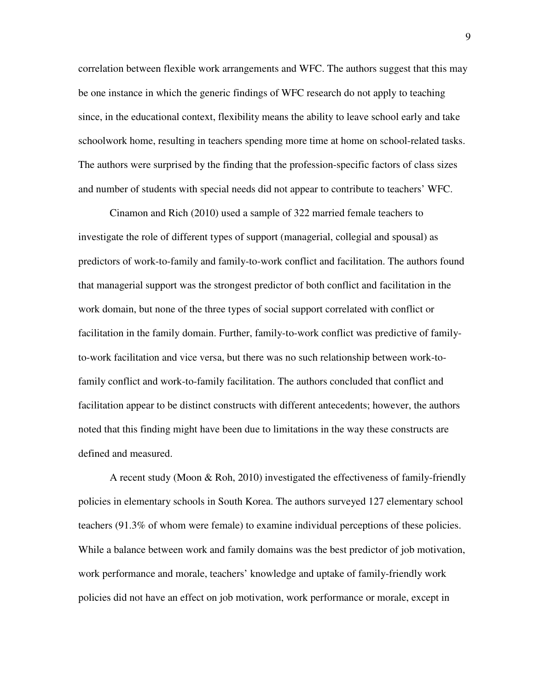correlation between flexible work arrangements and WFC. The authors suggest that this may be one instance in which the generic findings of WFC research do not apply to teaching since, in the educational context, flexibility means the ability to leave school early and take schoolwork home, resulting in teachers spending more time at home on school-related tasks. The authors were surprised by the finding that the profession-specific factors of class sizes and number of students with special needs did not appear to contribute to teachers' WFC.

Cinamon and Rich (2010) used a sample of 322 married female teachers to investigate the role of different types of support (managerial, collegial and spousal) as predictors of work-to-family and family-to-work conflict and facilitation. The authors found that managerial support was the strongest predictor of both conflict and facilitation in the work domain, but none of the three types of social support correlated with conflict or facilitation in the family domain. Further, family-to-work conflict was predictive of familyto-work facilitation and vice versa, but there was no such relationship between work-tofamily conflict and work-to-family facilitation. The authors concluded that conflict and facilitation appear to be distinct constructs with different antecedents; however, the authors noted that this finding might have been due to limitations in the way these constructs are defined and measured.

A recent study (Moon & Roh, 2010) investigated the effectiveness of family-friendly policies in elementary schools in South Korea. The authors surveyed 127 elementary school teachers (91.3% of whom were female) to examine individual perceptions of these policies. While a balance between work and family domains was the best predictor of job motivation, work performance and morale, teachers' knowledge and uptake of family-friendly work policies did not have an effect on job motivation, work performance or morale, except in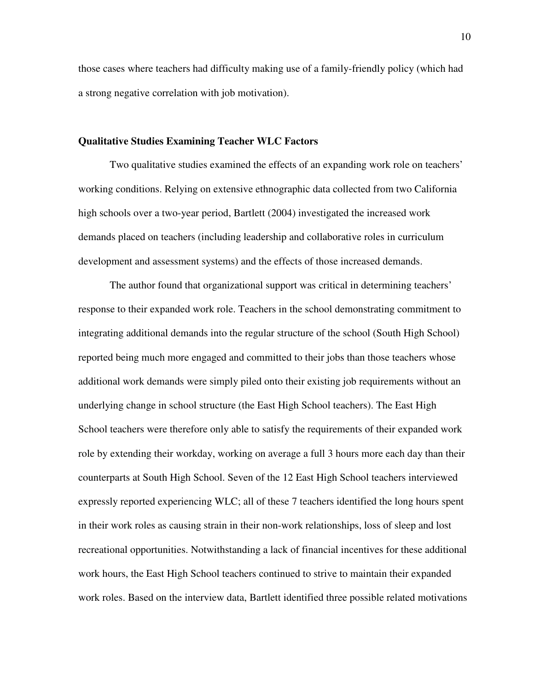those cases where teachers had difficulty making use of a family-friendly policy (which had a strong negative correlation with job motivation).

#### **Qualitative Studies Examining Teacher WLC Factors**

Two qualitative studies examined the effects of an expanding work role on teachers' working conditions. Relying on extensive ethnographic data collected from two California high schools over a two-year period, Bartlett (2004) investigated the increased work demands placed on teachers (including leadership and collaborative roles in curriculum development and assessment systems) and the effects of those increased demands.

The author found that organizational support was critical in determining teachers' response to their expanded work role. Teachers in the school demonstrating commitment to integrating additional demands into the regular structure of the school (South High School) reported being much more engaged and committed to their jobs than those teachers whose additional work demands were simply piled onto their existing job requirements without an underlying change in school structure (the East High School teachers). The East High School teachers were therefore only able to satisfy the requirements of their expanded work role by extending their workday, working on average a full 3 hours more each day than their counterparts at South High School. Seven of the 12 East High School teachers interviewed expressly reported experiencing WLC; all of these 7 teachers identified the long hours spent in their work roles as causing strain in their non-work relationships, loss of sleep and lost recreational opportunities. Notwithstanding a lack of financial incentives for these additional work hours, the East High School teachers continued to strive to maintain their expanded work roles. Based on the interview data, Bartlett identified three possible related motivations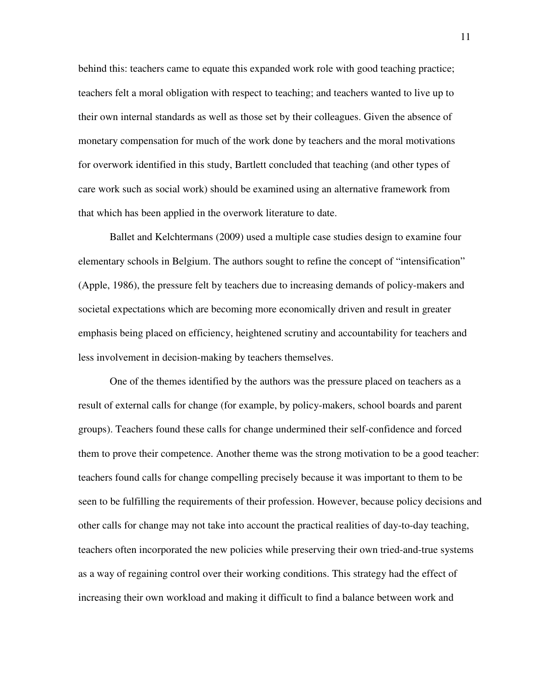behind this: teachers came to equate this expanded work role with good teaching practice; teachers felt a moral obligation with respect to teaching; and teachers wanted to live up to their own internal standards as well as those set by their colleagues. Given the absence of monetary compensation for much of the work done by teachers and the moral motivations for overwork identified in this study, Bartlett concluded that teaching (and other types of care work such as social work) should be examined using an alternative framework from that which has been applied in the overwork literature to date.

Ballet and Kelchtermans (2009) used a multiple case studies design to examine four elementary schools in Belgium. The authors sought to refine the concept of "intensification" (Apple, 1986), the pressure felt by teachers due to increasing demands of policy-makers and societal expectations which are becoming more economically driven and result in greater emphasis being placed on efficiency, heightened scrutiny and accountability for teachers and less involvement in decision-making by teachers themselves.

One of the themes identified by the authors was the pressure placed on teachers as a result of external calls for change (for example, by policy-makers, school boards and parent groups). Teachers found these calls for change undermined their self-confidence and forced them to prove their competence. Another theme was the strong motivation to be a good teacher: teachers found calls for change compelling precisely because it was important to them to be seen to be fulfilling the requirements of their profession. However, because policy decisions and other calls for change may not take into account the practical realities of day-to-day teaching, teachers often incorporated the new policies while preserving their own tried-and-true systems as a way of regaining control over their working conditions. This strategy had the effect of increasing their own workload and making it difficult to find a balance between work and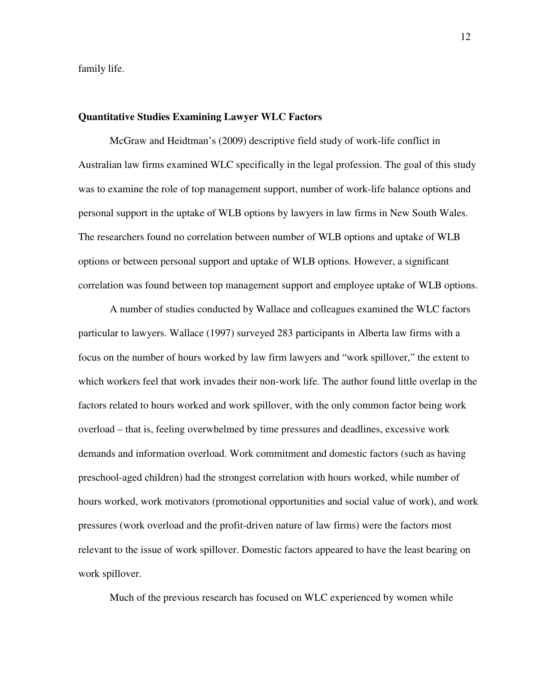family life.

#### **Quantitative Studies Examining Lawyer WLC Factors**

McGraw and Heidtman's (2009) descriptive field study of work-life conflict in Australian law firms examined WLC specifically in the legal profession. The goal of this study was to examine the role of top management support, number of work-life balance options and personal support in the uptake of WLB options by lawyers in law firms in New South Wales. The researchers found no correlation between number of WLB options and uptake of WLB options or between personal support and uptake of WLB options. However, a significant correlation was found between top management support and employee uptake of WLB options.

A number of studies conducted by Wallace and colleagues examined the WLC factors particular to lawyers. Wallace (1997) surveyed 283 participants in Alberta law firms with a focus on the number of hours worked by law firm lawyers and "work spillover," the extent to which workers feel that work invades their non-work life. The author found little overlap in the factors related to hours worked and work spillover, with the only common factor being work overload – that is, feeling overwhelmed by time pressures and deadlines, excessive work demands and information overload. Work commitment and domestic factors (such as having preschool-aged children) had the strongest correlation with hours worked, while number of hours worked, work motivators (promotional opportunities and social value of work), and work pressures (work overload and the profit-driven nature of law firms) were the factors most relevant to the issue of work spillover. Domestic factors appeared to have the least bearing on work spillover.

Much of the previous research has focused on WLC experienced by women while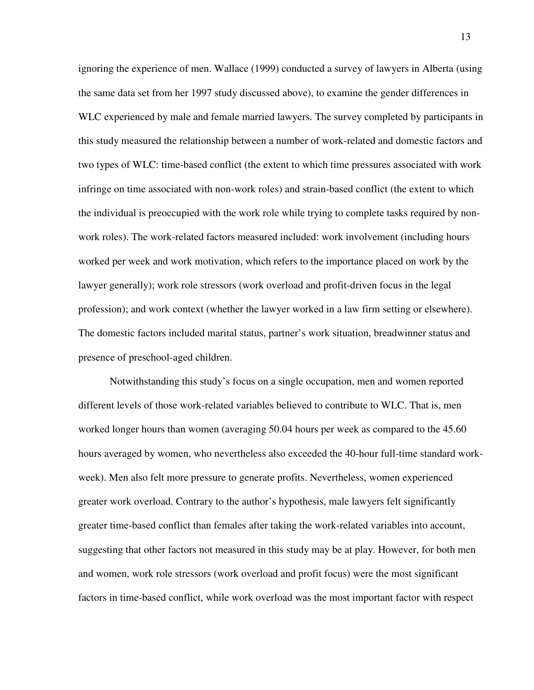ignoring the experience of men. Wallace (1999) conducted a survey of lawyers in Alberta (using the same data set from her 1997 study discussed above), to examine the gender differences in WLC experienced by male and female married lawyers. The survey completed by participants in this study measured the relationship between a number of work-related and domestic factors and two types of WLC: time-based conflict (the extent to which time pressures associated with work infringe on time associated with non-work roles) and strain-based conflict (the extent to which the individual is preoccupied with the work role while trying to complete tasks required by nonwork roles). The work-related factors measured included: work involvement (including hours worked per week and work motivation, which refers to the importance placed on work by the lawyer generally); work role stressors (work overload and profit-driven focus in the legal profession); and work context (whether the lawyer worked in a law firm setting or elsewhere). The domestic factors included marital status, partner's work situation, breadwinner status and presence of preschool-aged children.

Notwithstanding this study's focus on a single occupation, men and women reported different levels of those work-related variables believed to contribute to WLC. That is, men worked longer hours than women (averaging 50.04 hours per week as compared to the 45.60 hours averaged by women, who nevertheless also exceeded the 40-hour full-time standard workweek). Men also felt more pressure to generate profits. Nevertheless, women experienced greater work overload. Contrary to the author's hypothesis, male lawyers felt significantly greater time-based conflict than females after taking the work-related variables into account, suggesting that other factors not measured in this study may be at play. However, for both men and women, work role stressors (work overload and profit focus) were the most significant factors in time-based conflict, while work overload was the most important factor with respect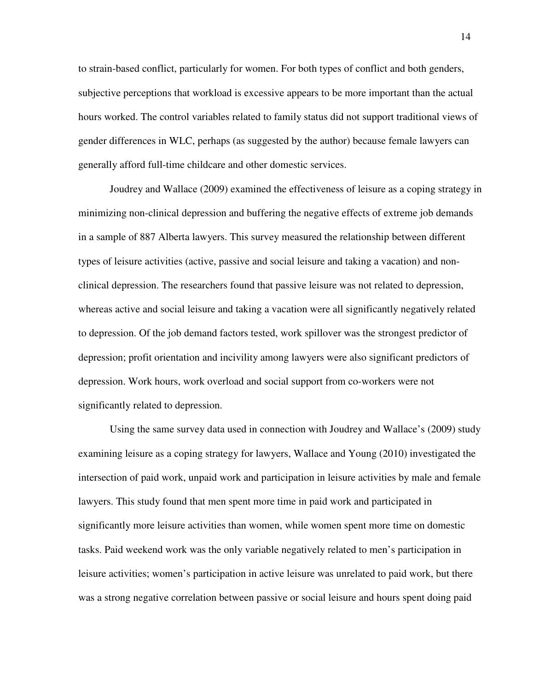to strain-based conflict, particularly for women. For both types of conflict and both genders, subjective perceptions that workload is excessive appears to be more important than the actual hours worked. The control variables related to family status did not support traditional views of gender differences in WLC, perhaps (as suggested by the author) because female lawyers can generally afford full-time childcare and other domestic services.

Joudrey and Wallace (2009) examined the effectiveness of leisure as a coping strategy in minimizing non-clinical depression and buffering the negative effects of extreme job demands in a sample of 887 Alberta lawyers. This survey measured the relationship between different types of leisure activities (active, passive and social leisure and taking a vacation) and nonclinical depression. The researchers found that passive leisure was not related to depression, whereas active and social leisure and taking a vacation were all significantly negatively related to depression. Of the job demand factors tested, work spillover was the strongest predictor of depression; profit orientation and incivility among lawyers were also significant predictors of depression. Work hours, work overload and social support from co-workers were not significantly related to depression.

Using the same survey data used in connection with Joudrey and Wallace's (2009) study examining leisure as a coping strategy for lawyers, Wallace and Young (2010) investigated the intersection of paid work, unpaid work and participation in leisure activities by male and female lawyers. This study found that men spent more time in paid work and participated in significantly more leisure activities than women, while women spent more time on domestic tasks. Paid weekend work was the only variable negatively related to men's participation in leisure activities; women's participation in active leisure was unrelated to paid work, but there was a strong negative correlation between passive or social leisure and hours spent doing paid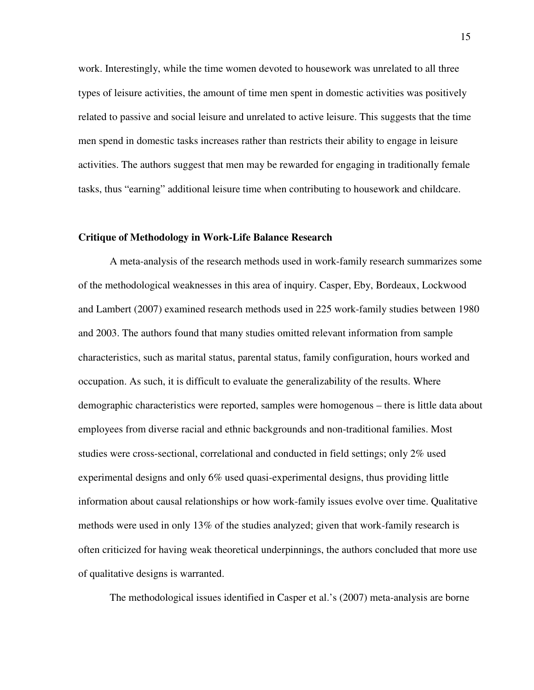work. Interestingly, while the time women devoted to housework was unrelated to all three types of leisure activities, the amount of time men spent in domestic activities was positively related to passive and social leisure and unrelated to active leisure. This suggests that the time men spend in domestic tasks increases rather than restricts their ability to engage in leisure activities. The authors suggest that men may be rewarded for engaging in traditionally female tasks, thus "earning" additional leisure time when contributing to housework and childcare.

## **Critique of Methodology in Work-Life Balance Research**

A meta-analysis of the research methods used in work-family research summarizes some of the methodological weaknesses in this area of inquiry. Casper, Eby, Bordeaux, Lockwood and Lambert (2007) examined research methods used in 225 work-family studies between 1980 and 2003. The authors found that many studies omitted relevant information from sample characteristics, such as marital status, parental status, family configuration, hours worked and occupation. As such, it is difficult to evaluate the generalizability of the results. Where demographic characteristics were reported, samples were homogenous – there is little data about employees from diverse racial and ethnic backgrounds and non-traditional families. Most studies were cross-sectional, correlational and conducted in field settings; only 2% used experimental designs and only 6% used quasi-experimental designs, thus providing little information about causal relationships or how work-family issues evolve over time. Qualitative methods were used in only 13% of the studies analyzed; given that work-family research is often criticized for having weak theoretical underpinnings, the authors concluded that more use of qualitative designs is warranted.

The methodological issues identified in Casper et al.'s (2007) meta-analysis are borne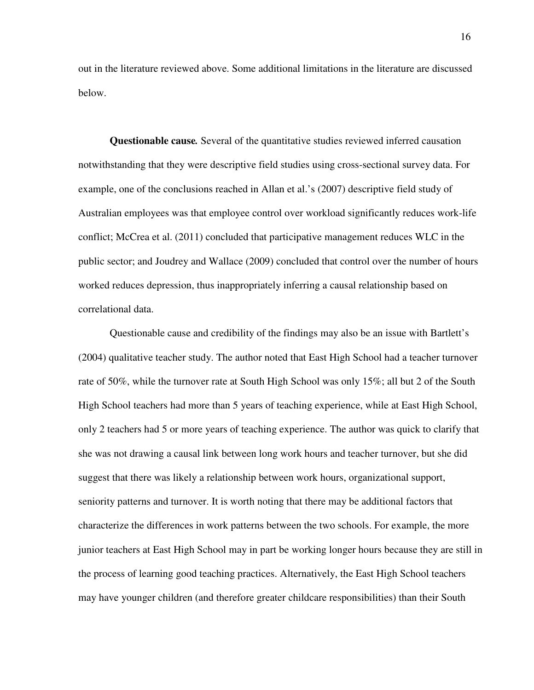out in the literature reviewed above. Some additional limitations in the literature are discussed below.

**Questionable cause***.* Several of the quantitative studies reviewed inferred causation notwithstanding that they were descriptive field studies using cross-sectional survey data. For example, one of the conclusions reached in Allan et al.'s (2007) descriptive field study of Australian employees was that employee control over workload significantly reduces work-life conflict; McCrea et al. (2011) concluded that participative management reduces WLC in the public sector; and Joudrey and Wallace (2009) concluded that control over the number of hours worked reduces depression, thus inappropriately inferring a causal relationship based on correlational data.

Questionable cause and credibility of the findings may also be an issue with Bartlett's (2004) qualitative teacher study. The author noted that East High School had a teacher turnover rate of 50%, while the turnover rate at South High School was only 15%; all but 2 of the South High School teachers had more than 5 years of teaching experience, while at East High School, only 2 teachers had 5 or more years of teaching experience. The author was quick to clarify that she was not drawing a causal link between long work hours and teacher turnover, but she did suggest that there was likely a relationship between work hours, organizational support, seniority patterns and turnover. It is worth noting that there may be additional factors that characterize the differences in work patterns between the two schools. For example, the more junior teachers at East High School may in part be working longer hours because they are still in the process of learning good teaching practices. Alternatively, the East High School teachers may have younger children (and therefore greater childcare responsibilities) than their South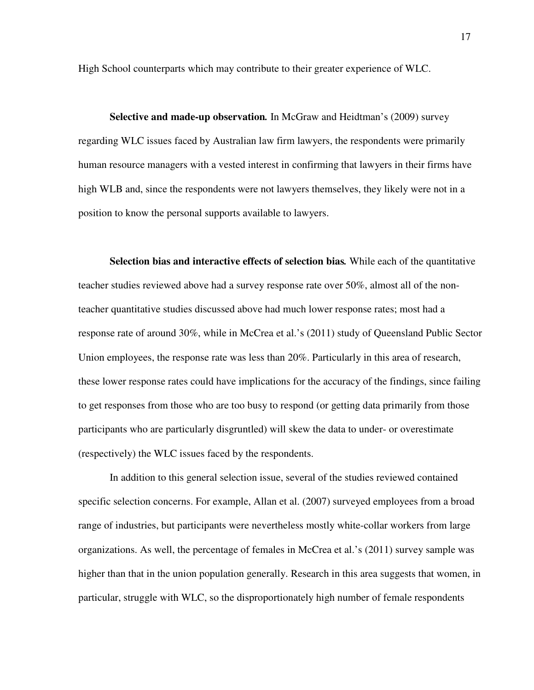High School counterparts which may contribute to their greater experience of WLC.

**Selective and made-up observation***.* In McGraw and Heidtman's (2009) survey regarding WLC issues faced by Australian law firm lawyers, the respondents were primarily human resource managers with a vested interest in confirming that lawyers in their firms have high WLB and, since the respondents were not lawyers themselves, they likely were not in a position to know the personal supports available to lawyers.

**Selection bias and interactive effects of selection bias***.* While each of the quantitative teacher studies reviewed above had a survey response rate over 50%, almost all of the nonteacher quantitative studies discussed above had much lower response rates; most had a response rate of around 30%, while in McCrea et al.'s (2011) study of Queensland Public Sector Union employees, the response rate was less than 20%. Particularly in this area of research, these lower response rates could have implications for the accuracy of the findings, since failing to get responses from those who are too busy to respond (or getting data primarily from those participants who are particularly disgruntled) will skew the data to under- or overestimate (respectively) the WLC issues faced by the respondents.

In addition to this general selection issue, several of the studies reviewed contained specific selection concerns. For example, Allan et al. (2007) surveyed employees from a broad range of industries, but participants were nevertheless mostly white-collar workers from large organizations. As well, the percentage of females in McCrea et al.'s (2011) survey sample was higher than that in the union population generally. Research in this area suggests that women, in particular, struggle with WLC, so the disproportionately high number of female respondents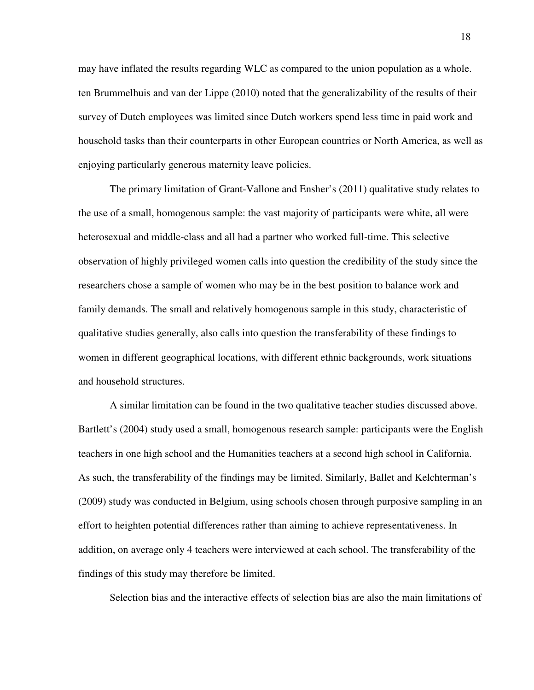may have inflated the results regarding WLC as compared to the union population as a whole. ten Brummelhuis and van der Lippe (2010) noted that the generalizability of the results of their survey of Dutch employees was limited since Dutch workers spend less time in paid work and household tasks than their counterparts in other European countries or North America, as well as enjoying particularly generous maternity leave policies.

The primary limitation of Grant-Vallone and Ensher's (2011) qualitative study relates to the use of a small, homogenous sample: the vast majority of participants were white, all were heterosexual and middle-class and all had a partner who worked full-time. This selective observation of highly privileged women calls into question the credibility of the study since the researchers chose a sample of women who may be in the best position to balance work and family demands. The small and relatively homogenous sample in this study, characteristic of qualitative studies generally, also calls into question the transferability of these findings to women in different geographical locations, with different ethnic backgrounds, work situations and household structures.

A similar limitation can be found in the two qualitative teacher studies discussed above. Bartlett's (2004) study used a small, homogenous research sample: participants were the English teachers in one high school and the Humanities teachers at a second high school in California. As such, the transferability of the findings may be limited. Similarly, Ballet and Kelchterman's (2009) study was conducted in Belgium, using schools chosen through purposive sampling in an effort to heighten potential differences rather than aiming to achieve representativeness. In addition, on average only 4 teachers were interviewed at each school. The transferability of the findings of this study may therefore be limited.

Selection bias and the interactive effects of selection bias are also the main limitations of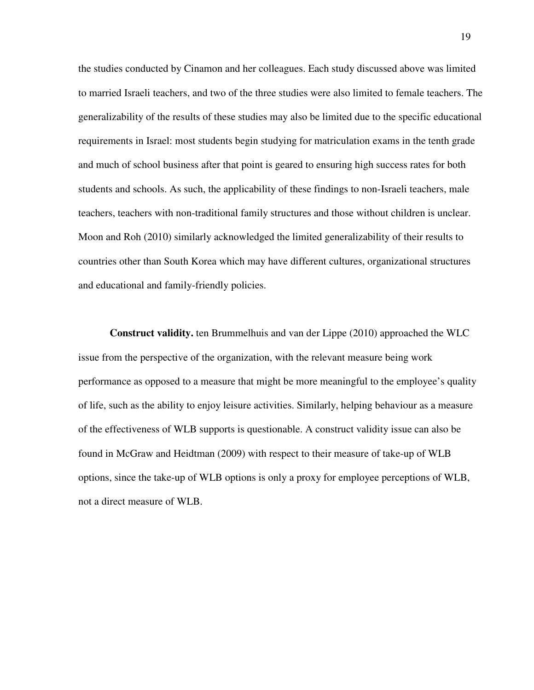the studies conducted by Cinamon and her colleagues. Each study discussed above was limited to married Israeli teachers, and two of the three studies were also limited to female teachers. The generalizability of the results of these studies may also be limited due to the specific educational requirements in Israel: most students begin studying for matriculation exams in the tenth grade and much of school business after that point is geared to ensuring high success rates for both students and schools. As such, the applicability of these findings to non-Israeli teachers, male teachers, teachers with non-traditional family structures and those without children is unclear. Moon and Roh (2010) similarly acknowledged the limited generalizability of their results to countries other than South Korea which may have different cultures, organizational structures and educational and family-friendly policies.

**Construct validity.** ten Brummelhuis and van der Lippe (2010) approached the WLC issue from the perspective of the organization, with the relevant measure being work performance as opposed to a measure that might be more meaningful to the employee's quality of life, such as the ability to enjoy leisure activities. Similarly, helping behaviour as a measure of the effectiveness of WLB supports is questionable. A construct validity issue can also be found in McGraw and Heidtman (2009) with respect to their measure of take-up of WLB options, since the take-up of WLB options is only a proxy for employee perceptions of WLB, not a direct measure of WLB.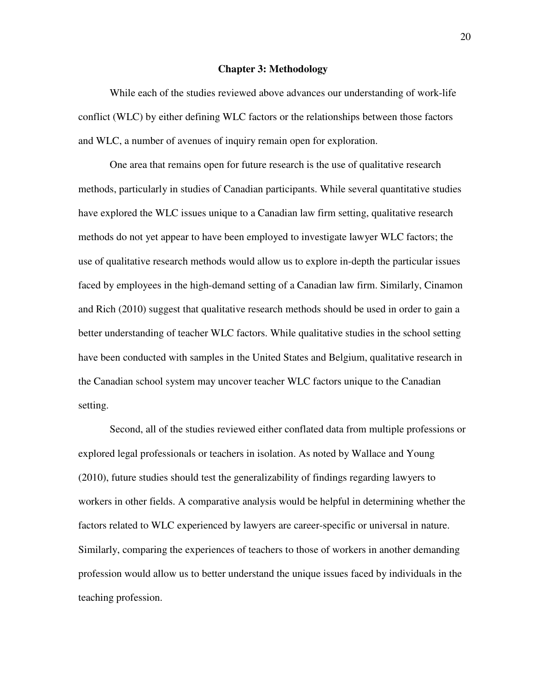#### **Chapter 3: Methodology**

While each of the studies reviewed above advances our understanding of work-life conflict (WLC) by either defining WLC factors or the relationships between those factors and WLC, a number of avenues of inquiry remain open for exploration.

One area that remains open for future research is the use of qualitative research methods, particularly in studies of Canadian participants. While several quantitative studies have explored the WLC issues unique to a Canadian law firm setting, qualitative research methods do not yet appear to have been employed to investigate lawyer WLC factors; the use of qualitative research methods would allow us to explore in-depth the particular issues faced by employees in the high-demand setting of a Canadian law firm. Similarly, Cinamon and Rich (2010) suggest that qualitative research methods should be used in order to gain a better understanding of teacher WLC factors. While qualitative studies in the school setting have been conducted with samples in the United States and Belgium, qualitative research in the Canadian school system may uncover teacher WLC factors unique to the Canadian setting.

Second, all of the studies reviewed either conflated data from multiple professions or explored legal professionals or teachers in isolation. As noted by Wallace and Young (2010), future studies should test the generalizability of findings regarding lawyers to workers in other fields. A comparative analysis would be helpful in determining whether the factors related to WLC experienced by lawyers are career-specific or universal in nature. Similarly, comparing the experiences of teachers to those of workers in another demanding profession would allow us to better understand the unique issues faced by individuals in the teaching profession.

20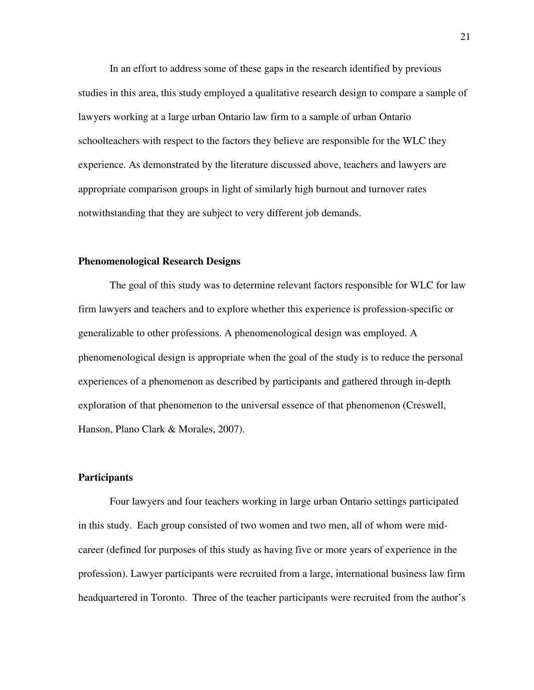In an effort to address some of these gaps in the research identified by previous studies in this area, this study employed a qualitative research design to compare a sample of lawyers working at a large urban Ontario law firm to a sample of urban Ontario schoolteachers with respect to the factors they believe are responsible for the WLC they experience. As demonstrated by the literature discussed above, teachers and lawyers are appropriate comparison groups in light of similarly high burnout and turnover rates notwithstanding that they are subject to very different job demands.

#### **Phenomenological Research Designs**

The goal of this study was to determine relevant factors responsible for WLC for law firm lawyers and teachers and to explore whether this experience is profession-specific or generalizable to other professions. A phenomenological design was employed. A phenomenological design is appropriate when the goal of the study is to reduce the personal experiences of a phenomenon as described by participants and gathered through in-depth exploration of that phenomenon to the universal essence of that phenomenon (Creswell, Hanson, Plano Clark & Morales, 2007).

#### **Participants**

Four lawyers and four teachers working in large urban Ontario settings participated in this study. Each group consisted of two women and two men, all of whom were midcareer (defined for purposes of this study as having five or more years of experience in the profession). Lawyer participants were recruited from a large, international business law firm headquartered in Toronto. Three of the teacher participants were recruited from the author's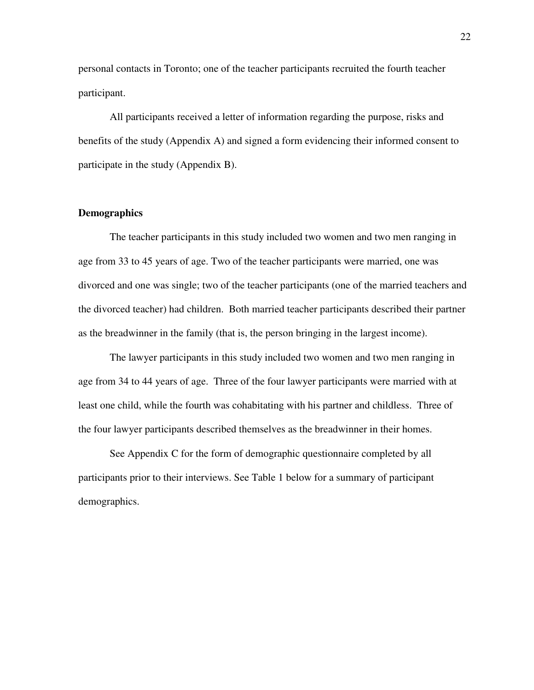personal contacts in Toronto; one of the teacher participants recruited the fourth teacher participant.

All participants received a letter of information regarding the purpose, risks and benefits of the study (Appendix A) and signed a form evidencing their informed consent to participate in the study (Appendix B).

#### **Demographics**

 The teacher participants in this study included two women and two men ranging in age from 33 to 45 years of age. Two of the teacher participants were married, one was divorced and one was single; two of the teacher participants (one of the married teachers and the divorced teacher) had children. Both married teacher participants described their partner as the breadwinner in the family (that is, the person bringing in the largest income).

The lawyer participants in this study included two women and two men ranging in age from 34 to 44 years of age. Three of the four lawyer participants were married with at least one child, while the fourth was cohabitating with his partner and childless. Three of the four lawyer participants described themselves as the breadwinner in their homes.

See Appendix C for the form of demographic questionnaire completed by all participants prior to their interviews. See Table 1 below for a summary of participant demographics.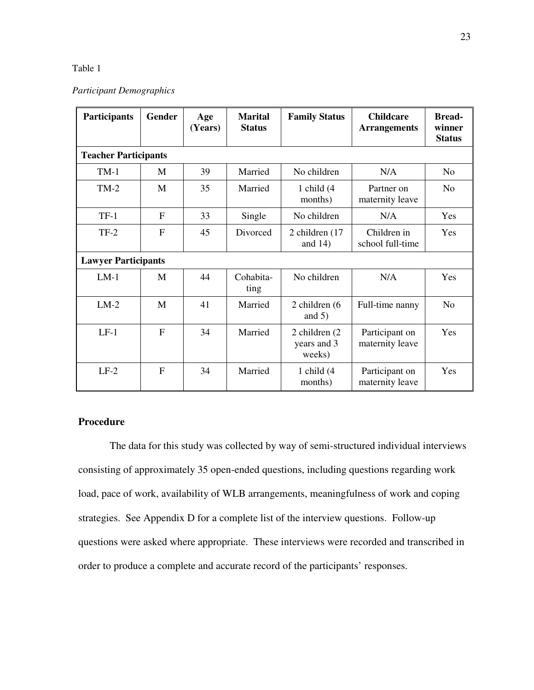## Table 1

#### *Participant Demographics*

| Participants | <b>Gender</b>               | Age<br>(Years) | <b>Marital</b><br><b>Status</b> | <b>Family Status</b>                   | <b>Childcare</b><br><b>Arrangements</b> | <b>Bread-</b><br>winner<br><b>Status</b> |  |
|--------------|-----------------------------|----------------|---------------------------------|----------------------------------------|-----------------------------------------|------------------------------------------|--|
|              | <b>Teacher Participants</b> |                |                                 |                                        |                                         |                                          |  |
| $TM-1$       | M                           | 39             | Married                         | No children                            | N/A                                     | No                                       |  |
| $TM-2$       | M                           | 35             | Married                         | 1 child $(4)$<br>months)               | Partner on<br>maternity leave           | N <sub>o</sub>                           |  |
| $TF-1$       | $\mathbf{F}$                | 33             | Single                          | No children                            | N/A                                     | Yes                                      |  |
| $TF-2$       | F                           | 45             | Divorced                        | 2 children (17<br>and $14)$            | Children in<br>school full-time         | Yes                                      |  |
|              | <b>Lawyer Participants</b>  |                |                                 |                                        |                                         |                                          |  |
| $LM-1$       | M                           | 44             | Cohabita-<br>ting               | No children                            | N/A                                     | Yes                                      |  |
| $LM-2$       | M                           | 41             | Married                         | 2 children (6<br>and $5)$              | Full-time nanny                         | N <sub>o</sub>                           |  |
| $LF-1$       | $\mathbf{F}$                | 34             | Married                         | 2 children (2<br>years and 3<br>weeks) | Participant on<br>maternity leave       | Yes                                      |  |
| $LF-2$       | $\overline{F}$              | 34             | Married                         | 1 child $(4)$<br>months)               | Participant on<br>maternity leave       | Yes                                      |  |

# **Procedure**

The data for this study was collected by way of semi-structured individual interviews consisting of approximately 35 open-ended questions, including questions regarding work load, pace of work, availability of WLB arrangements, meaningfulness of work and coping strategies. See Appendix D for a complete list of the interview questions. Follow-up questions were asked where appropriate. These interviews were recorded and transcribed in order to produce a complete and accurate record of the participants' responses.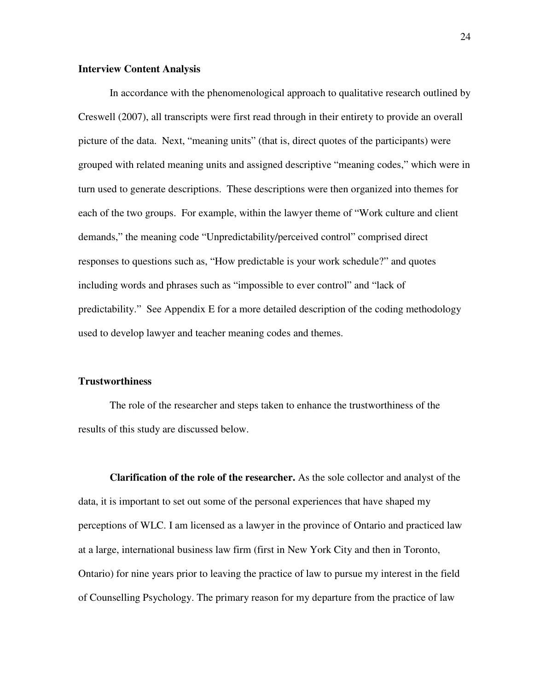### **Interview Content Analysis**

In accordance with the phenomenological approach to qualitative research outlined by Creswell (2007), all transcripts were first read through in their entirety to provide an overall picture of the data. Next, "meaning units" (that is, direct quotes of the participants) were grouped with related meaning units and assigned descriptive "meaning codes," which were in turn used to generate descriptions. These descriptions were then organized into themes for each of the two groups. For example, within the lawyer theme of "Work culture and client demands," the meaning code "Unpredictability/perceived control" comprised direct responses to questions such as, "How predictable is your work schedule?" and quotes including words and phrases such as "impossible to ever control" and "lack of predictability." See Appendix E for a more detailed description of the coding methodology used to develop lawyer and teacher meaning codes and themes.

#### **Trustworthiness**

The role of the researcher and steps taken to enhance the trustworthiness of the results of this study are discussed below.

**Clarification of the role of the researcher.** As the sole collector and analyst of the data, it is important to set out some of the personal experiences that have shaped my perceptions of WLC. I am licensed as a lawyer in the province of Ontario and practiced law at a large, international business law firm (first in New York City and then in Toronto, Ontario) for nine years prior to leaving the practice of law to pursue my interest in the field of Counselling Psychology. The primary reason for my departure from the practice of law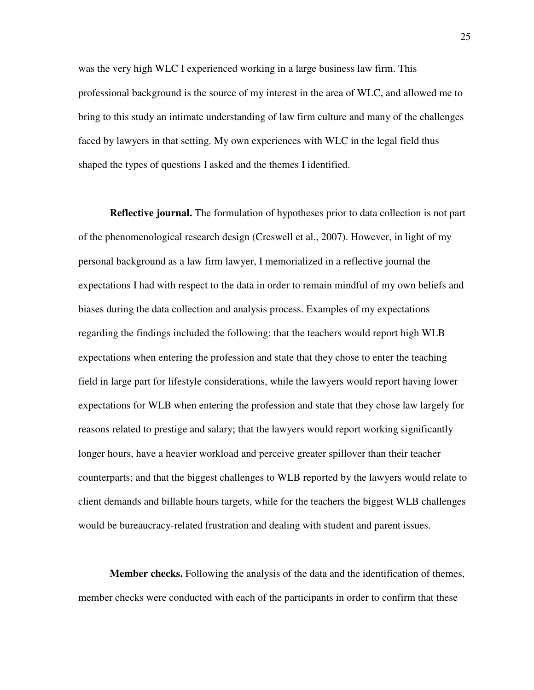was the very high WLC I experienced working in a large business law firm. This professional background is the source of my interest in the area of WLC, and allowed me to bring to this study an intimate understanding of law firm culture and many of the challenges faced by lawyers in that setting. My own experiences with WLC in the legal field thus shaped the types of questions I asked and the themes I identified.

**Reflective journal.** The formulation of hypotheses prior to data collection is not part of the phenomenological research design (Creswell et al., 2007). However, in light of my personal background as a law firm lawyer, I memorialized in a reflective journal the expectations I had with respect to the data in order to remain mindful of my own beliefs and biases during the data collection and analysis process. Examples of my expectations regarding the findings included the following: that the teachers would report high WLB expectations when entering the profession and state that they chose to enter the teaching field in large part for lifestyle considerations, while the lawyers would report having lower expectations for WLB when entering the profession and state that they chose law largely for reasons related to prestige and salary; that the lawyers would report working significantly longer hours, have a heavier workload and perceive greater spillover than their teacher counterparts; and that the biggest challenges to WLB reported by the lawyers would relate to client demands and billable hours targets, while for the teachers the biggest WLB challenges would be bureaucracy-related frustration and dealing with student and parent issues.

**Member checks.** Following the analysis of the data and the identification of themes, member checks were conducted with each of the participants in order to confirm that these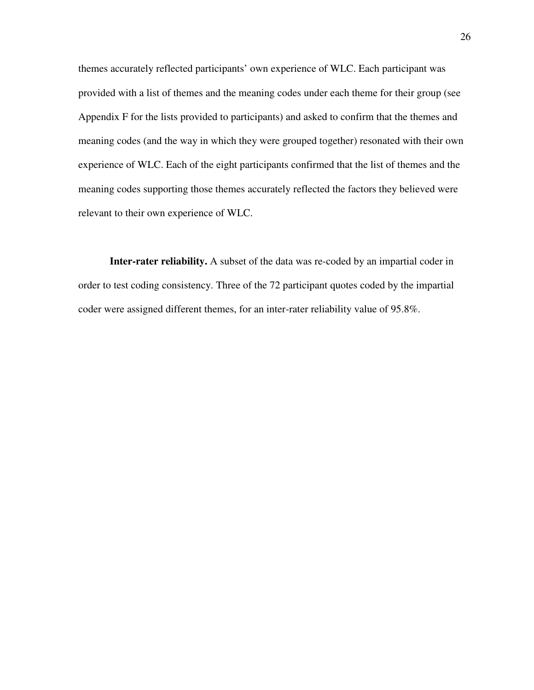themes accurately reflected participants' own experience of WLC. Each participant was provided with a list of themes and the meaning codes under each theme for their group (see Appendix F for the lists provided to participants) and asked to confirm that the themes and meaning codes (and the way in which they were grouped together) resonated with their own experience of WLC. Each of the eight participants confirmed that the list of themes and the meaning codes supporting those themes accurately reflected the factors they believed were relevant to their own experience of WLC.

**Inter-rater reliability.** A subset of the data was re-coded by an impartial coder in order to test coding consistency. Three of the 72 participant quotes coded by the impartial coder were assigned different themes, for an inter-rater reliability value of 95.8%.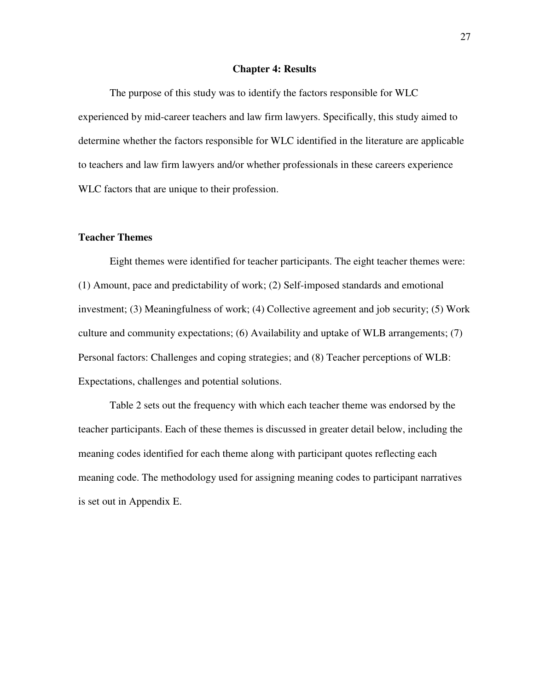#### **Chapter 4: Results**

 The purpose of this study was to identify the factors responsible for WLC experienced by mid-career teachers and law firm lawyers. Specifically, this study aimed to determine whether the factors responsible for WLC identified in the literature are applicable to teachers and law firm lawyers and/or whether professionals in these careers experience WLC factors that are unique to their profession.

## **Teacher Themes**

 Eight themes were identified for teacher participants. The eight teacher themes were: (1) Amount, pace and predictability of work; (2) Self-imposed standards and emotional investment; (3) Meaningfulness of work; (4) Collective agreement and job security; (5) Work culture and community expectations; (6) Availability and uptake of WLB arrangements; (7) Personal factors: Challenges and coping strategies; and (8) Teacher perceptions of WLB: Expectations, challenges and potential solutions.

Table 2 sets out the frequency with which each teacher theme was endorsed by the teacher participants. Each of these themes is discussed in greater detail below, including the meaning codes identified for each theme along with participant quotes reflecting each meaning code. The methodology used for assigning meaning codes to participant narratives is set out in Appendix E.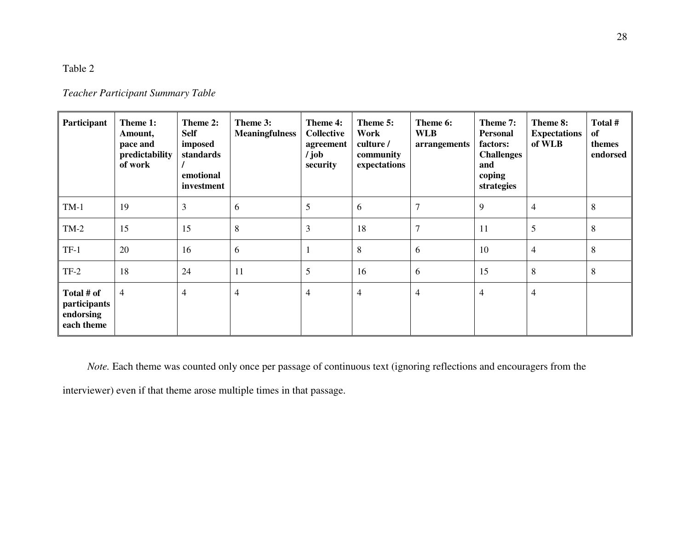## Table 2

# *Teacher Participant Summary Table*

| Participant                                           | Theme 1:<br>Amount,<br>pace and<br>predictability<br>of work | Theme 2:<br><b>Self</b><br>imposed<br>standards<br>emotional<br>investment | Theme 3:<br><b>Meaningfulness</b> | Theme 4:<br><b>Collective</b><br>agreement<br>$\int$ job<br>security | Theme 5:<br>Work<br>culture /<br>community<br>expectations | Theme 6:<br><b>WLB</b><br>arrangements | Theme 7:<br><b>Personal</b><br>factors:<br><b>Challenges</b><br>and<br>coping<br>strategies | Theme 8:<br><b>Expectations</b><br>of WLB | Total #<br><b>of</b><br>themes<br>endorsed |
|-------------------------------------------------------|--------------------------------------------------------------|----------------------------------------------------------------------------|-----------------------------------|----------------------------------------------------------------------|------------------------------------------------------------|----------------------------------------|---------------------------------------------------------------------------------------------|-------------------------------------------|--------------------------------------------|
| $TM-1$                                                | 19                                                           | 3                                                                          | 6                                 | 5                                                                    | 6                                                          | $\mathcal{I}$                          | 9                                                                                           | 4                                         | 8                                          |
| $TM-2$                                                | 15                                                           | 15                                                                         | 8                                 | 3                                                                    | 18                                                         | $\mathcal{I}$                          | 11                                                                                          | 5                                         | 8                                          |
| $TF-1$                                                | 20                                                           | 16                                                                         | 6                                 |                                                                      | 8                                                          | 6                                      | 10                                                                                          | $\overline{\mathcal{L}}$                  | 8                                          |
| $TF-2$                                                | 18                                                           | 24                                                                         | 11                                | 5                                                                    | 16                                                         | 6                                      | 15                                                                                          | 8                                         | 8                                          |
| Total # of<br>participants<br>endorsing<br>each theme | $\overline{4}$                                               | $\overline{4}$                                                             | $\overline{4}$                    | $\overline{4}$                                                       | $\overline{4}$                                             | 4                                      | $\overline{4}$                                                                              | 4                                         |                                            |

*Note.* Each theme was counted only once per passage of continuous text (ignoring reflections and encouragers from the

interviewer) even if that theme arose multiple times in that passage.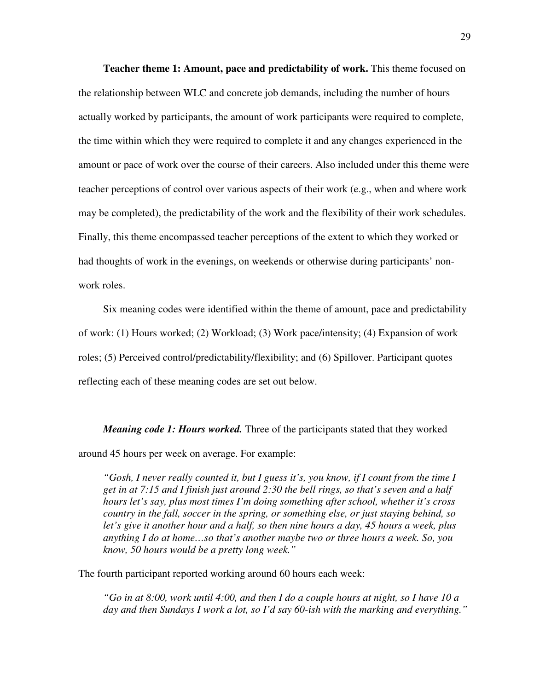**Teacher theme 1: Amount, pace and predictability of work.** This theme focused on the relationship between WLC and concrete job demands, including the number of hours actually worked by participants, the amount of work participants were required to complete, the time within which they were required to complete it and any changes experienced in the amount or pace of work over the course of their careers. Also included under this theme were teacher perceptions of control over various aspects of their work (e.g., when and where work may be completed), the predictability of the work and the flexibility of their work schedules. Finally, this theme encompassed teacher perceptions of the extent to which they worked or had thoughts of work in the evenings, on weekends or otherwise during participants' nonwork roles.

Six meaning codes were identified within the theme of amount, pace and predictability of work: (1) Hours worked; (2) Workload; (3) Work pace/intensity; (4) Expansion of work roles; (5) Perceived control/predictability/flexibility; and (6) Spillover. Participant quotes reflecting each of these meaning codes are set out below.

*Meaning code 1: Hours worked.* Three of the participants stated that they worked around 45 hours per week on average. For example:

*"Gosh, I never really counted it, but I guess it's, you know, if I count from the time I get in at 7:15 and I finish just around 2:30 the bell rings, so that's seven and a half hours let's say, plus most times I'm doing something after school, whether it's cross country in the fall, soccer in the spring, or something else, or just staying behind, so let's give it another hour and a half, so then nine hours a day, 45 hours a week, plus anything I do at home…so that's another maybe two or three hours a week. So, you know, 50 hours would be a pretty long week."* 

The fourth participant reported working around 60 hours each week:

*"Go in at 8:00, work until 4:00, and then I do a couple hours at night, so I have 10 a day and then Sundays I work a lot, so I'd say 60-ish with the marking and everything."*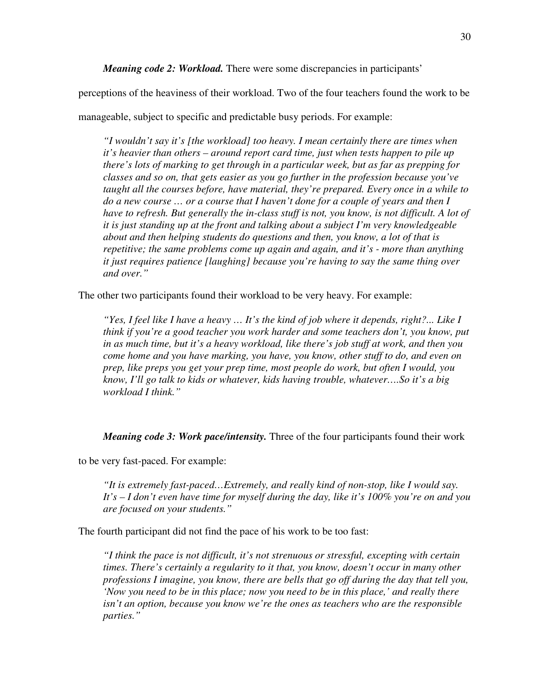*Meaning code 2: Workload.* There were some discrepancies in participants'

perceptions of the heaviness of their workload. Two of the four teachers found the work to be

manageable, subject to specific and predictable busy periods. For example:

*"I wouldn't say it's [the workload] too heavy. I mean certainly there are times when it's heavier than others – around report card time, just when tests happen to pile up there's lots of marking to get through in a particular week, but as far as prepping for classes and so on, that gets easier as you go further in the profession because you've taught all the courses before, have material, they're prepared. Every once in a while to do a new course … or a course that I haven't done for a couple of years and then I*  have to refresh. But generally the in-class stuff is not, you know, is not difficult. A lot of *it is just standing up at the front and talking about a subject I'm very knowledgeable about and then helping students do questions and then, you know, a lot of that is repetitive; the same problems come up again and again, and it's - more than anything it just requires patience [laughing] because you're having to say the same thing over and over."* 

The other two participants found their workload to be very heavy. For example:

*"Yes, I feel like I have a heavy … It's the kind of job where it depends, right?... Like I think if you're a good teacher you work harder and some teachers don't, you know, put in as much time, but it's a heavy workload, like there's job stuff at work, and then you come home and you have marking, you have, you know, other stuff to do, and even on prep, like preps you get your prep time, most people do work, but often I would, you know, I'll go talk to kids or whatever, kids having trouble, whatever….So it's a big workload I think."* 

*Meaning code 3: Work pace/intensity.* Three of the four participants found their work

to be very fast-paced. For example:

*"It is extremely fast-paced…Extremely, and really kind of non-stop, like I would say. It's – I don't even have time for myself during the day, like it's 100% you're on and you are focused on your students."* 

The fourth participant did not find the pace of his work to be too fast:

*"I think the pace is not difficult, it's not strenuous or stressful, excepting with certain times. There's certainly a regularity to it that, you know, doesn't occur in many other professions I imagine, you know, there are bells that go off during the day that tell you, 'Now you need to be in this place; now you need to be in this place,' and really there*  isn't an option, because you know we're the ones as teachers who are the responsible *parties."*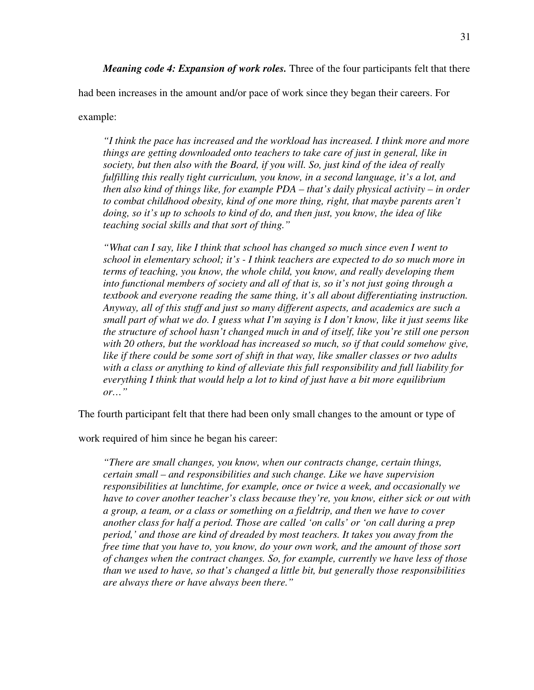*Meaning code 4: Expansion of work roles.* Three of the four participants felt that there

had been increases in the amount and/or pace of work since they began their careers. For

example:

*"I think the pace has increased and the workload has increased. I think more and more things are getting downloaded onto teachers to take care of just in general, like in society, but then also with the Board, if you will. So, just kind of the idea of really fulfilling this really tight curriculum, you know, in a second language, it's a lot, and then also kind of things like, for example PDA – that's daily physical activity – in order to combat childhood obesity, kind of one more thing, right, that maybe parents aren't doing, so it's up to schools to kind of do, and then just, you know, the idea of like teaching social skills and that sort of thing."* 

*"What can I say, like I think that school has changed so much since even I went to school in elementary school; it's - I think teachers are expected to do so much more in terms of teaching, you know, the whole child, you know, and really developing them into functional members of society and all of that is, so it's not just going through a textbook and everyone reading the same thing, it's all about differentiating instruction. Anyway, all of this stuff and just so many different aspects, and academics are such a small part of what we do. I guess what I'm saying is I don't know, like it just seems like the structure of school hasn't changed much in and of itself, like you're still one person with 20 others, but the workload has increased so much, so if that could somehow give, like if there could be some sort of shift in that way, like smaller classes or two adults with a class or anything to kind of alleviate this full responsibility and full liability for everything I think that would help a lot to kind of just have a bit more equilibrium or…"* 

The fourth participant felt that there had been only small changes to the amount or type of

work required of him since he began his career:

*"There are small changes, you know, when our contracts change, certain things, certain small – and responsibilities and such change. Like we have supervision responsibilities at lunchtime, for example, once or twice a week, and occasionally we have to cover another teacher's class because they're, you know, either sick or out with a group, a team, or a class or something on a fieldtrip, and then we have to cover another class for half a period. Those are called 'on calls' or 'on call during a prep period,' and those are kind of dreaded by most teachers. It takes you away from the free time that you have to, you know, do your own work, and the amount of those sort of changes when the contract changes. So, for example, currently we have less of those than we used to have, so that's changed a little bit, but generally those responsibilities are always there or have always been there."*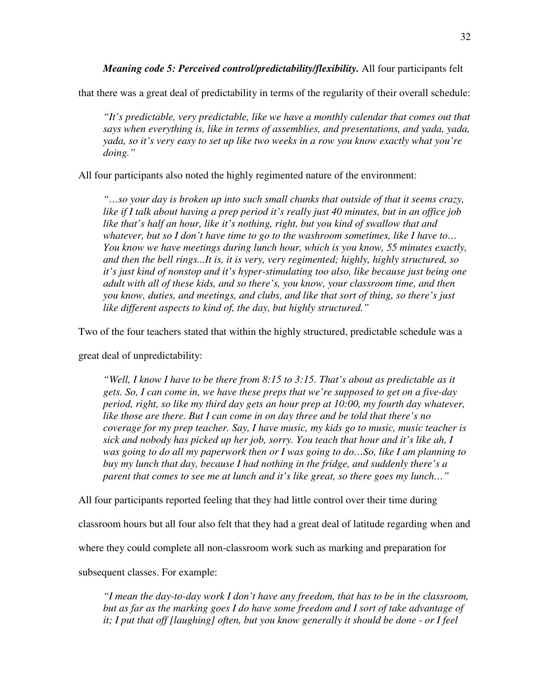*Meaning code 5: Perceived control/predictability/flexibility.* All four participants felt

that there was a great deal of predictability in terms of the regularity of their overall schedule:

*"It's predictable, very predictable, like we have a monthly calendar that comes out that says when everything is, like in terms of assemblies, and presentations, and yada, yada, yada, so it's very easy to set up like two weeks in a row you know exactly what you're doing."* 

All four participants also noted the highly regimented nature of the environment:

*"…so your day is broken up into such small chunks that outside of that it seems crazy, like if I talk about having a prep period it's really just 40 minutes, but in an office job*  like that's half an hour, like it's nothing, right, but you kind of swallow that and *whatever, but so I don't have time to go to the washroom sometimes, like I have to… You know we have meetings during lunch hour, which is you know, 55 minutes exactly, and then the bell rings...It is, it is very, very regimented; highly, highly structured, so it's just kind of nonstop and it's hyper-stimulating too also, like because just being one adult with all of these kids, and so there's, you know, your classroom time, and then you know, duties, and meetings, and clubs, and like that sort of thing, so there's just like different aspects to kind of, the day, but highly structured."* 

Two of the four teachers stated that within the highly structured, predictable schedule was a

great deal of unpredictability:

*"Well, I know I have to be there from 8:15 to 3:15. That's about as predictable as it gets. So, I can come in, we have these preps that we're supposed to get on a five-day period, right, so like my third day gets an hour prep at 10:00, my fourth day whatever, like those are there. But I can come in on day three and be told that there's no coverage for my prep teacher. Say, I have music, my kids go to music, music teacher is sick and nobody has picked up her job, sorry. You teach that hour and it's like ah, I was going to do all my paperwork then or I was going to do…So, like I am planning to buy my lunch that day, because I had nothing in the fridge, and suddenly there's a parent that comes to see me at lunch and it's like great, so there goes my lunch…"* 

All four participants reported feeling that they had little control over their time during

classroom hours but all four also felt that they had a great deal of latitude regarding when and

where they could complete all non-classroom work such as marking and preparation for

subsequent classes. For example:

*"I mean the day-to-day work I don't have any freedom, that has to be in the classroom,*  but as far as the marking goes I do have some freedom and I sort of take advantage of *it; I put that off [laughing] often, but you know generally it should be done - or I feel*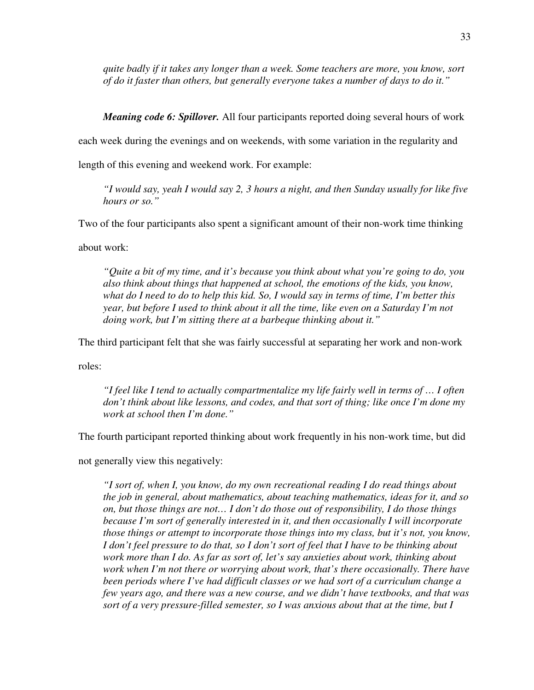*quite badly if it takes any longer than a week. Some teachers are more, you know, sort of do it faster than others, but generally everyone takes a number of days to do it."* 

*Meaning code 6: Spillover.* All four participants reported doing several hours of work

each week during the evenings and on weekends, with some variation in the regularity and

length of this evening and weekend work. For example:

*"I would say, yeah I would say 2, 3 hours a night, and then Sunday usually for like five hours or so."* 

Two of the four participants also spent a significant amount of their non-work time thinking

about work:

*"Quite a bit of my time, and it's because you think about what you're going to do, you also think about things that happened at school, the emotions of the kids, you know, what do I need to do to help this kid. So, I would say in terms of time, I'm better this year, but before I used to think about it all the time, like even on a Saturday I'm not doing work, but I'm sitting there at a barbeque thinking about it."* 

The third participant felt that she was fairly successful at separating her work and non-work

roles:

*"I feel like I tend to actually compartmentalize my life fairly well in terms of … I often don't think about like lessons, and codes, and that sort of thing; like once I'm done my work at school then I'm done."* 

The fourth participant reported thinking about work frequently in his non-work time, but did

not generally view this negatively:

*"I sort of, when I, you know, do my own recreational reading I do read things about the job in general, about mathematics, about teaching mathematics, ideas for it, and so on, but those things are not… I don't do those out of responsibility, I do those things because I'm sort of generally interested in it, and then occasionally I will incorporate those things or attempt to incorporate those things into my class, but it's not, you know, I don't feel pressure to do that, so I don't sort of feel that I have to be thinking about work more than I do. As far as sort of, let's say anxieties about work, thinking about work when I'm not there or worrying about work, that's there occasionally. There have been periods where I've had difficult classes or we had sort of a curriculum change a few years ago, and there was a new course, and we didn't have textbooks, and that was sort of a very pressure-filled semester, so I was anxious about that at the time, but I*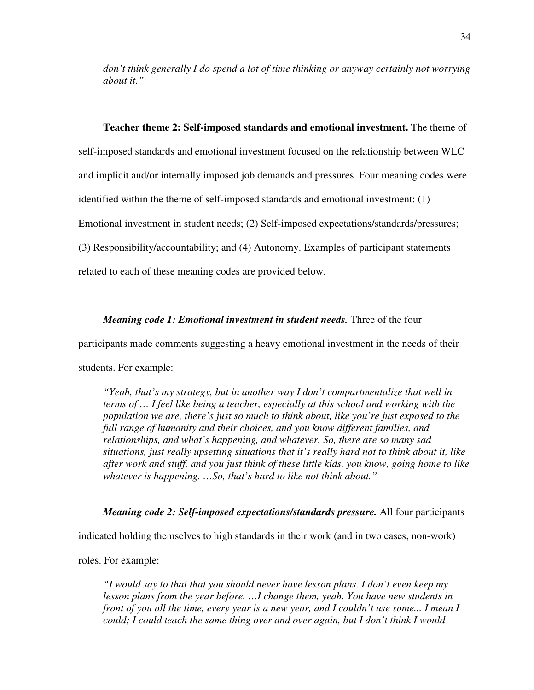*don't think generally I do spend a lot of time thinking or anyway certainly not worrying about it."* 

**Teacher theme 2: Self-imposed standards and emotional investment.** The theme of self-imposed standards and emotional investment focused on the relationship between WLC and implicit and/or internally imposed job demands and pressures. Four meaning codes were identified within the theme of self-imposed standards and emotional investment: (1) Emotional investment in student needs; (2) Self-imposed expectations/standards/pressures; (3) Responsibility/accountability; and (4) Autonomy. Examples of participant statements related to each of these meaning codes are provided below.

#### *Meaning code 1: Emotional investment in student needs.* Three of the four

participants made comments suggesting a heavy emotional investment in the needs of their

students. For example:

*"Yeah, that's my strategy, but in another way I don't compartmentalize that well in terms of … I feel like being a teacher, especially at this school and working with the population we are, there's just so much to think about, like you're just exposed to the full range of humanity and their choices, and you know different families, and relationships, and what's happening, and whatever. So, there are so many sad situations, just really upsetting situations that it's really hard not to think about it, like after work and stuff, and you just think of these little kids, you know, going home to like whatever is happening. …So, that's hard to like not think about."* 

*Meaning code 2: Self-imposed expectations/standards pressure.* All four participants

indicated holding themselves to high standards in their work (and in two cases, non-work)

roles. For example:

*"I would say to that that you should never have lesson plans. I don't even keep my lesson plans from the year before. …I change them, yeah. You have new students in front of you all the time, every year is a new year, and I couldn't use some... I mean I could; I could teach the same thing over and over again, but I don't think I would*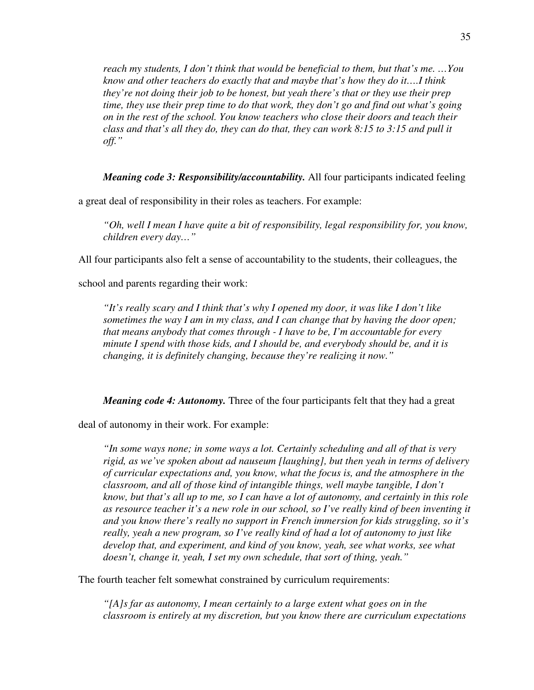*reach my students, I don't think that would be beneficial to them, but that's me. …You know and other teachers do exactly that and maybe that's how they do it….I think they're not doing their job to be honest, but yeah there's that or they use their prep time, they use their prep time to do that work, they don't go and find out what's going on in the rest of the school. You know teachers who close their doors and teach their class and that's all they do, they can do that, they can work 8:15 to 3:15 and pull it off."* 

*Meaning code 3: Responsibility/accountability.* All four participants indicated feeling

a great deal of responsibility in their roles as teachers. For example:

*"Oh, well I mean I have quite a bit of responsibility, legal responsibility for, you know, children every day…"* 

All four participants also felt a sense of accountability to the students, their colleagues, the

school and parents regarding their work:

*"It's really scary and I think that's why I opened my door, it was like I don't like sometimes the way I am in my class, and I can change that by having the door open; that means anybody that comes through - I have to be, I'm accountable for every minute I spend with those kids, and I should be, and everybody should be, and it is changing, it is definitely changing, because they're realizing it now."* 

*Meaning code 4: Autonomy.* Three of the four participants felt that they had a great

deal of autonomy in their work. For example:

*"In some ways none; in some ways a lot. Certainly scheduling and all of that is very rigid, as we've spoken about ad nauseum [laughing], but then yeah in terms of delivery of curricular expectations and, you know, what the focus is, and the atmosphere in the classroom, and all of those kind of intangible things, well maybe tangible, I don't know, but that's all up to me, so I can have a lot of autonomy, and certainly in this role as resource teacher it's a new role in our school, so I've really kind of been inventing it and you know there's really no support in French immersion for kids struggling, so it's really, yeah a new program, so I've really kind of had a lot of autonomy to just like develop that, and experiment, and kind of you know, yeah, see what works, see what doesn't, change it, yeah, I set my own schedule, that sort of thing, yeah."* 

The fourth teacher felt somewhat constrained by curriculum requirements:

*"[A]s far as autonomy, I mean certainly to a large extent what goes on in the classroom is entirely at my discretion, but you know there are curriculum expectations*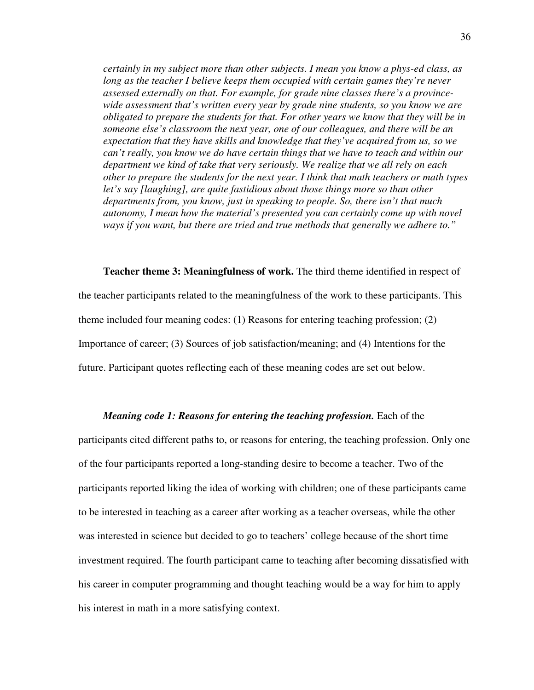*certainly in my subject more than other subjects. I mean you know a phys-ed class, as long as the teacher I believe keeps them occupied with certain games they're never assessed externally on that. For example, for grade nine classes there's a provincewide assessment that's written every year by grade nine students, so you know we are obligated to prepare the students for that. For other years we know that they will be in someone else's classroom the next year, one of our colleagues, and there will be an expectation that they have skills and knowledge that they've acquired from us, so we can't really, you know we do have certain things that we have to teach and within our department we kind of take that very seriously. We realize that we all rely on each other to prepare the students for the next year. I think that math teachers or math types let's say [laughing], are quite fastidious about those things more so than other departments from, you know, just in speaking to people. So, there isn't that much autonomy, I mean how the material's presented you can certainly come up with novel ways if you want, but there are tried and true methods that generally we adhere to."* 

**Teacher theme 3: Meaningfulness of work.** The third theme identified in respect of the teacher participants related to the meaningfulness of the work to these participants. This theme included four meaning codes: (1) Reasons for entering teaching profession; (2) Importance of career; (3) Sources of job satisfaction/meaning; and (4) Intentions for the future. Participant quotes reflecting each of these meaning codes are set out below.

#### *Meaning code 1: Reasons for entering the teaching profession.* Each of the

participants cited different paths to, or reasons for entering, the teaching profession. Only one of the four participants reported a long-standing desire to become a teacher. Two of the participants reported liking the idea of working with children; one of these participants came to be interested in teaching as a career after working as a teacher overseas, while the other was interested in science but decided to go to teachers' college because of the short time investment required. The fourth participant came to teaching after becoming dissatisfied with his career in computer programming and thought teaching would be a way for him to apply his interest in math in a more satisfying context.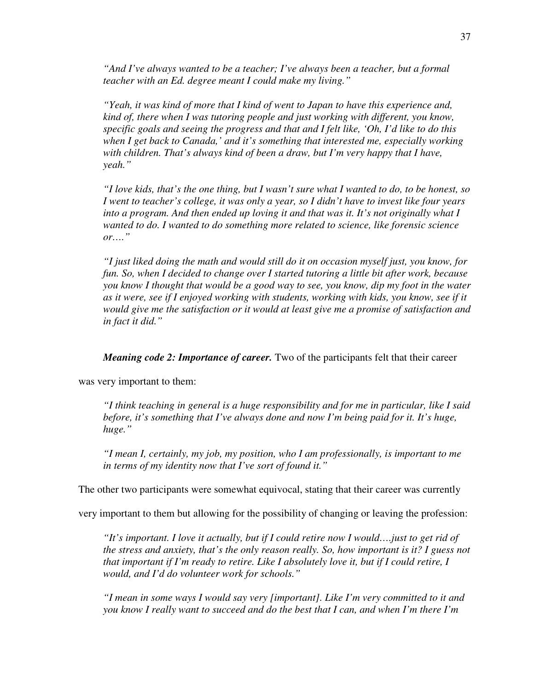*"And I've always wanted to be a teacher; I've always been a teacher, but a formal teacher with an Ed. degree meant I could make my living."* 

*"Yeah, it was kind of more that I kind of went to Japan to have this experience and, kind of, there when I was tutoring people and just working with different, you know, specific goals and seeing the progress and that and I felt like, 'Oh, I'd like to do this when I get back to Canada,' and it's something that interested me, especially working*  with children. That's always kind of been a draw, but I'm very happy that I have, *yeah."* 

*"I love kids, that's the one thing, but I wasn't sure what I wanted to do, to be honest, so I went to teacher's college, it was only a year, so I didn't have to invest like four years into a program. And then ended up loving it and that was it. It's not originally what I wanted to do. I wanted to do something more related to science, like forensic science or…."* 

*"I just liked doing the math and would still do it on occasion myself just, you know, for fun. So, when I decided to change over I started tutoring a little bit after work, because you know I thought that would be a good way to see, you know, dip my foot in the water as it were, see if I enjoyed working with students, working with kids, you know, see if it would give me the satisfaction or it would at least give me a promise of satisfaction and in fact it did."* 

*Meaning code 2: Importance of career.* Two of the participants felt that their career

was very important to them:

*"I think teaching in general is a huge responsibility and for me in particular, like I said before, it's something that I've always done and now I'm being paid for it. It's huge, huge."* 

*"I mean I, certainly, my job, my position, who I am professionally, is important to me in terms of my identity now that I've sort of found it."* 

The other two participants were somewhat equivocal, stating that their career was currently

very important to them but allowing for the possibility of changing or leaving the profession:

*"It's important. I love it actually, but if I could retire now I would….just to get rid of the stress and anxiety, that's the only reason really. So, how important is it? I guess not that important if I'm ready to retire. Like I absolutely love it, but if I could retire, I would, and I'd do volunteer work for schools."* 

*"I mean in some ways I would say very [important]. Like I'm very committed to it and you know I really want to succeed and do the best that I can, and when I'm there I'm*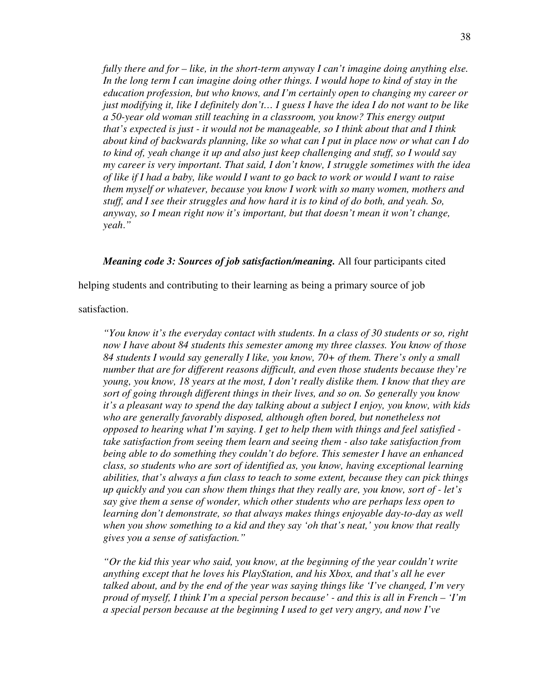*fully there and for – like, in the short-term anyway I can't imagine doing anything else. In the long term I can imagine doing other things. I would hope to kind of stay in the education profession, but who knows, and I'm certainly open to changing my career or just modifying it, like I definitely don't… I guess I have the idea I do not want to be like a 50-year old woman still teaching in a classroom, you know? This energy output that's expected is just - it would not be manageable, so I think about that and I think about kind of backwards planning, like so what can I put in place now or what can I do to kind of, yeah change it up and also just keep challenging and stuff, so I would say my career is very important. That said, I don't know, I struggle sometimes with the idea of like if I had a baby, like would I want to go back to work or would I want to raise them myself or whatever, because you know I work with so many women, mothers and stuff, and I see their struggles and how hard it is to kind of do both, and yeah. So, anyway, so I mean right now it's important, but that doesn't mean it won't change, yeah*.*"* 

### *Meaning code 3: Sources of job satisfaction/meaning.* All four participants cited

helping students and contributing to their learning as being a primary source of job

satisfaction.

*"You know it's the everyday contact with students. In a class of 30 students or so, right now I have about 84 students this semester among my three classes. You know of those 84 students I would say generally I like, you know, 70+ of them. There's only a small number that are for different reasons difficult, and even those students because they're young, you know, 18 years at the most, I don't really dislike them. I know that they are sort of going through different things in their lives, and so on. So generally you know it's a pleasant way to spend the day talking about a subject I enjoy, you know, with kids who are generally favorably disposed, although often bored, but nonetheless not opposed to hearing what I'm saying. I get to help them with things and feel satisfied take satisfaction from seeing them learn and seeing them - also take satisfaction from being able to do something they couldn't do before. This semester I have an enhanced class, so students who are sort of identified as, you know, having exceptional learning abilities, that's always a fun class to teach to some extent, because they can pick things up quickly and you can show them things that they really are, you know, sort of - let's say give them a sense of wonder, which other students who are perhaps less open to learning don't demonstrate, so that always makes things enjoyable day-to-day as well when you show something to a kid and they say 'oh that's neat,' you know that really gives you a sense of satisfaction."* 

*"Or the kid this year who said, you know, at the beginning of the year couldn't write anything except that he loves his PlayStation, and his Xbox, and that's all he ever talked about, and by the end of the year was saying things like 'I've changed, I'm very proud of myself, I think I'm a special person because' - and this is all in French – 'I'm a special person because at the beginning I used to get very angry, and now I've*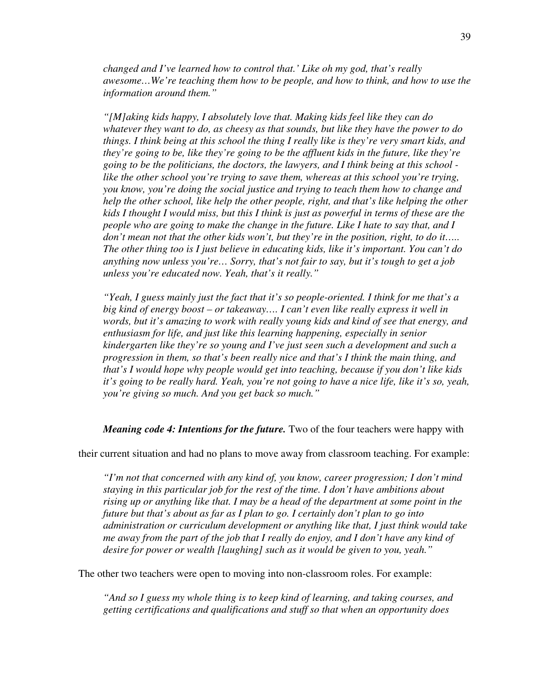*changed and I've learned how to control that.' Like oh my god, that's really awesome…We're teaching them how to be people, and how to think, and how to use the information around them."* 

*"[M]aking kids happy, I absolutely love that. Making kids feel like they can do whatever they want to do, as cheesy as that sounds, but like they have the power to do things. I think being at this school the thing I really like is they're very smart kids, and they're going to be, like they're going to be the affluent kids in the future, like they're going to be the politicians, the doctors, the lawyers, and I think being at this school like the other school you're trying to save them, whereas at this school you're trying, you know, you're doing the social justice and trying to teach them how to change and help the other school, like help the other people, right, and that's like helping the other kids I thought I would miss, but this I think is just as powerful in terms of these are the people who are going to make the change in the future. Like I hate to say that, and I don't mean not that the other kids won't, but they're in the position, right, to do it….. The other thing too is I just believe in educating kids, like it's important. You can't do anything now unless you're… Sorry, that's not fair to say, but it's tough to get a job unless you're educated now. Yeah, that's it really."* 

*"Yeah, I guess mainly just the fact that it's so people-oriented. I think for me that's a big kind of energy boost – or takeaway…. I can't even like really express it well in words, but it's amazing to work with really young kids and kind of see that energy, and enthusiasm for life, and just like this learning happening, especially in senior kindergarten like they're so young and I've just seen such a development and such a progression in them, so that's been really nice and that's I think the main thing, and that's I would hope why people would get into teaching, because if you don't like kids it's going to be really hard. Yeah, you're not going to have a nice life, like it's so, yeah, you're giving so much. And you get back so much."* 

*Meaning code 4: Intentions for the future.* Two of the four teachers were happy with

their current situation and had no plans to move away from classroom teaching. For example:

*"I'm not that concerned with any kind of, you know, career progression; I don't mind staying in this particular job for the rest of the time. I don't have ambitions about rising up or anything like that. I may be a head of the department at some point in the future but that's about as far as I plan to go. I certainly don't plan to go into administration or curriculum development or anything like that, I just think would take me away from the part of the job that I really do enjoy, and I don't have any kind of desire for power or wealth [laughing] such as it would be given to you, yeah."* 

The other two teachers were open to moving into non-classroom roles. For example:

*"And so I guess my whole thing is to keep kind of learning, and taking courses, and getting certifications and qualifications and stuff so that when an opportunity does*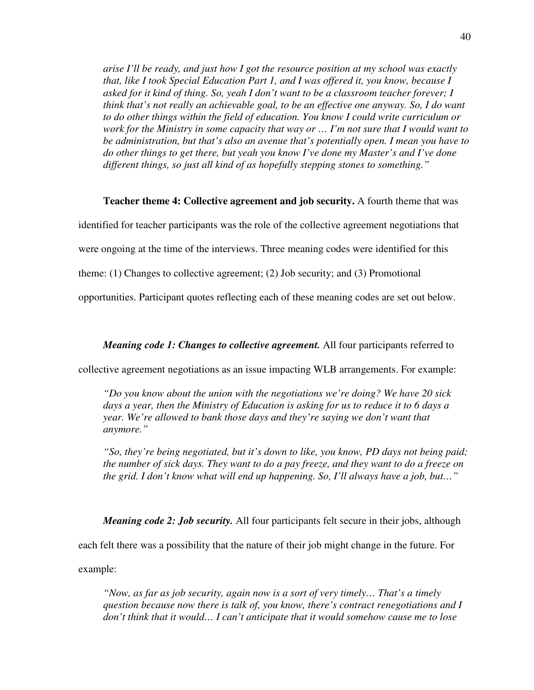*arise I'll be ready, and just how I got the resource position at my school was exactly that, like I took Special Education Part 1, and I was offered it, you know, because I asked for it kind of thing. So, yeah I don't want to be a classroom teacher forever; I think that's not really an achievable goal, to be an effective one anyway. So, I do want to do other things within the field of education. You know I could write curriculum or work for the Ministry in some capacity that way or … I'm not sure that I would want to be administration, but that's also an avenue that's potentially open. I mean you have to do other things to get there, but yeah you know I've done my Master's and I've done different things, so just all kind of as hopefully stepping stones to something."* 

**Teacher theme 4: Collective agreement and job security.** A fourth theme that was

identified for teacher participants was the role of the collective agreement negotiations that

were ongoing at the time of the interviews. Three meaning codes were identified for this

theme: (1) Changes to collective agreement; (2) Job security; and (3) Promotional

opportunities. Participant quotes reflecting each of these meaning codes are set out below.

*Meaning code 1: Changes to collective agreement.* All four participants referred to

collective agreement negotiations as an issue impacting WLB arrangements. For example:

*"Do you know about the union with the negotiations we're doing? We have 20 sick days a year, then the Ministry of Education is asking for us to reduce it to 6 days a year. We're allowed to bank those days and they're saying we don't want that anymore."* 

*"So, they're being negotiated, but it's down to like, you know, PD days not being paid; the number of sick days. They want to do a pay freeze, and they want to do a freeze on the grid. I don't know what will end up happening. So, I'll always have a job, but…"* 

*Meaning code 2: Job security.* All four participants felt secure in their jobs, although each felt there was a possibility that the nature of their job might change in the future. For example:

*"Now, as far as job security, again now is a sort of very timely… That's a timely question because now there is talk of, you know, there's contract renegotiations and I don't think that it would… I can't anticipate that it would somehow cause me to lose*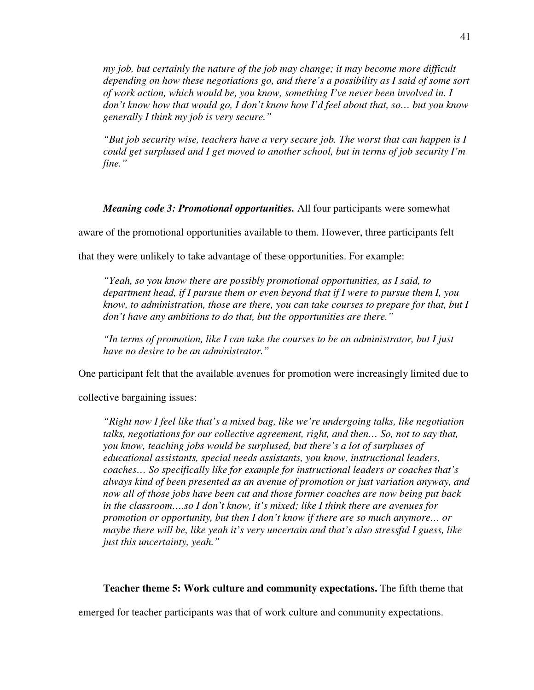*my job, but certainly the nature of the job may change; it may become more difficult depending on how these negotiations go, and there's a possibility as I said of some sort of work action, which would be, you know, something I've never been involved in. I don't know how that would go, I don't know how I'd feel about that, so… but you know generally I think my job is very secure."* 

*"But job security wise, teachers have a very secure job. The worst that can happen is I could get surplused and I get moved to another school, but in terms of job security I'm fine."* 

*Meaning code 3: Promotional opportunities.* All four participants were somewhat

aware of the promotional opportunities available to them. However, three participants felt

that they were unlikely to take advantage of these opportunities. For example:

*"Yeah, so you know there are possibly promotional opportunities, as I said, to department head, if I pursue them or even beyond that if I were to pursue them I, you know, to administration, those are there, you can take courses to prepare for that, but I don't have any ambitions to do that, but the opportunities are there."* 

*"In terms of promotion, like I can take the courses to be an administrator, but I just have no desire to be an administrator."* 

One participant felt that the available avenues for promotion were increasingly limited due to

collective bargaining issues:

*"Right now I feel like that's a mixed bag, like we're undergoing talks, like negotiation talks, negotiations for our collective agreement, right, and then… So, not to say that, you know, teaching jobs would be surplused, but there's a lot of surpluses of educational assistants, special needs assistants, you know, instructional leaders, coaches… So specifically like for example for instructional leaders or coaches that's always kind of been presented as an avenue of promotion or just variation anyway, and now all of those jobs have been cut and those former coaches are now being put back in the classroom….so I don't know, it's mixed; like I think there are avenues for promotion or opportunity, but then I don't know if there are so much anymore… or maybe there will be, like yeah it's very uncertain and that's also stressful I guess, like just this uncertainty, yeah."* 

**Teacher theme 5: Work culture and community expectations.** The fifth theme that

emerged for teacher participants was that of work culture and community expectations.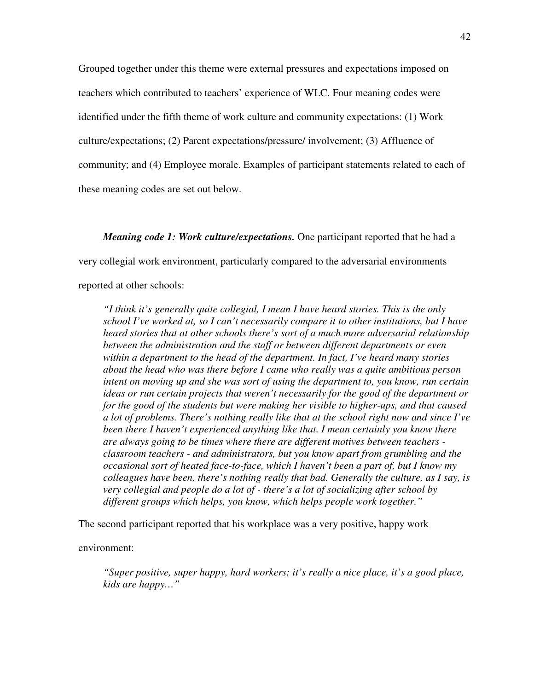Grouped together under this theme were external pressures and expectations imposed on teachers which contributed to teachers' experience of WLC. Four meaning codes were identified under the fifth theme of work culture and community expectations: (1) Work culture/expectations; (2) Parent expectations/pressure/ involvement; (3) Affluence of community; and (4) Employee morale. Examples of participant statements related to each of these meaning codes are set out below.

*Meaning code 1: Work culture/expectations.* One participant reported that he had a very collegial work environment, particularly compared to the adversarial environments reported at other schools:

*"I think it's generally quite collegial, I mean I have heard stories. This is the only school I've worked at, so I can't necessarily compare it to other institutions, but I have heard stories that at other schools there's sort of a much more adversarial relationship between the administration and the staff or between different departments or even within a department to the head of the department. In fact, I've heard many stories about the head who was there before I came who really was a quite ambitious person intent on moving up and she was sort of using the department to, you know, run certain ideas or run certain projects that weren't necessarily for the good of the department or for the good of the students but were making her visible to higher-ups, and that caused a lot of problems. There's nothing really like that at the school right now and since I've been there I haven't experienced anything like that. I mean certainly you know there are always going to be times where there are different motives between teachers classroom teachers - and administrators, but you know apart from grumbling and the occasional sort of heated face-to-face, which I haven't been a part of, but I know my colleagues have been, there's nothing really that bad. Generally the culture, as I say, is very collegial and people do a lot of - there's a lot of socializing after school by different groups which helps, you know, which helps people work together."* 

The second participant reported that his workplace was a very positive, happy work

environment:

*"Super positive, super happy, hard workers; it's really a nice place, it's a good place, kids are happy…"*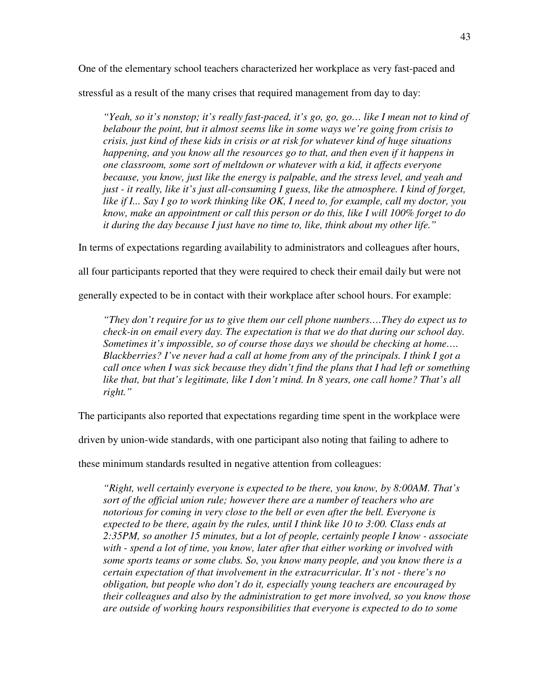One of the elementary school teachers characterized her workplace as very fast-paced and

stressful as a result of the many crises that required management from day to day:

*"Yeah, so it's nonstop; it's really fast-paced, it's go, go, go… like I mean not to kind of belabour the point, but it almost seems like in some ways we're going from crisis to crisis, just kind of these kids in crisis or at risk for whatever kind of huge situations happening, and you know all the resources go to that, and then even if it happens in one classroom, some sort of meltdown or whatever with a kid, it affects everyone because, you know, just like the energy is palpable, and the stress level, and yeah and just - it really, like it's just all-consuming I guess, like the atmosphere. I kind of forget, like if I... Say I go to work thinking like OK, I need to, for example, call my doctor, you know, make an appointment or call this person or do this, like I will 100% forget to do it during the day because I just have no time to, like, think about my other life."* 

In terms of expectations regarding availability to administrators and colleagues after hours,

all four participants reported that they were required to check their email daily but were not

generally expected to be in contact with their workplace after school hours. For example:

*"They don't require for us to give them our cell phone numbers….They do expect us to check-in on email every day. The expectation is that we do that during our school day. Sometimes it's impossible, so of course those days we should be checking at home…. Blackberries? I've never had a call at home from any of the principals. I think I got a call once when I was sick because they didn't find the plans that I had left or something*  like that, but that's legitimate, like I don't mind. In 8 years, one call home? That's all *right."* 

The participants also reported that expectations regarding time spent in the workplace were

driven by union-wide standards, with one participant also noting that failing to adhere to

these minimum standards resulted in negative attention from colleagues:

*"Right, well certainly everyone is expected to be there, you know, by 8:00AM. That's sort of the official union rule; however there are a number of teachers who are notorious for coming in very close to the bell or even after the bell. Everyone is expected to be there, again by the rules, until I think like 10 to 3:00. Class ends at 2:35PM, so another 15 minutes, but a lot of people, certainly people I know - associate with - spend a lot of time, you know, later after that either working or involved with some sports teams or some clubs. So, you know many people, and you know there is a certain expectation of that involvement in the extracurricular. It's not - there's no obligation, but people who don't do it, especially young teachers are encouraged by their colleagues and also by the administration to get more involved, so you know those are outside of working hours responsibilities that everyone is expected to do to some*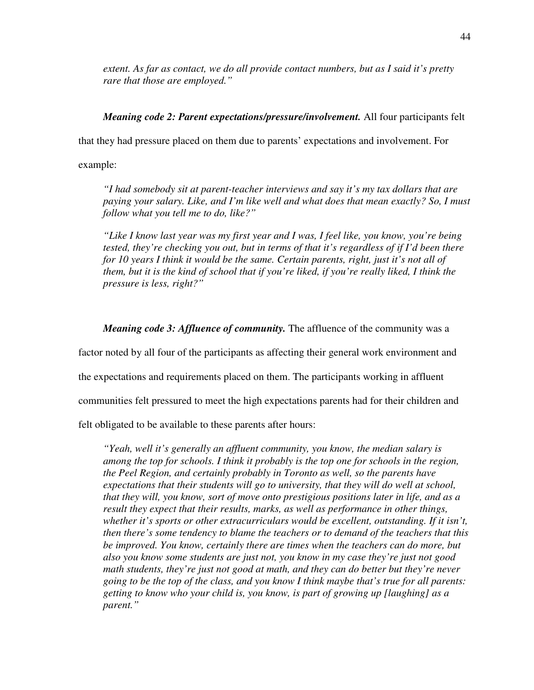*extent. As far as contact, we do all provide contact numbers, but as I said it's pretty rare that those are employed."* 

## *Meaning code 2: Parent expectations/pressure/involvement.* All four participants felt

that they had pressure placed on them due to parents' expectations and involvement. For

example:

*"I had somebody sit at parent-teacher interviews and say it's my tax dollars that are paying your salary. Like, and I'm like well and what does that mean exactly? So, I must follow what you tell me to do, like?"* 

*"Like I know last year was my first year and I was, I feel like, you know, you're being tested, they're checking you out, but in terms of that it's regardless of if I'd been there for 10 years I think it would be the same. Certain parents, right, just it's not all of them, but it is the kind of school that if you're liked, if you're really liked, I think the pressure is less, right?"* 

*Meaning code 3: Affluence of community.* The affluence of the community was a

factor noted by all four of the participants as affecting their general work environment and

the expectations and requirements placed on them. The participants working in affluent

communities felt pressured to meet the high expectations parents had for their children and

felt obligated to be available to these parents after hours:

*"Yeah, well it's generally an affluent community, you know, the median salary is among the top for schools. I think it probably is the top one for schools in the region, the Peel Region, and certainly probably in Toronto as well, so the parents have expectations that their students will go to university, that they will do well at school, that they will, you know, sort of move onto prestigious positions later in life, and as a result they expect that their results, marks, as well as performance in other things, whether it's sports or other extracurriculars would be excellent, outstanding. If it isn't, then there's some tendency to blame the teachers or to demand of the teachers that this*  be improved. You know, certainly there are times when the teachers can do more, but *also you know some students are just not, you know in my case they're just not good math students, they're just not good at math, and they can do better but they're never going to be the top of the class, and you know I think maybe that's true for all parents: getting to know who your child is, you know, is part of growing up [laughing] as a parent."*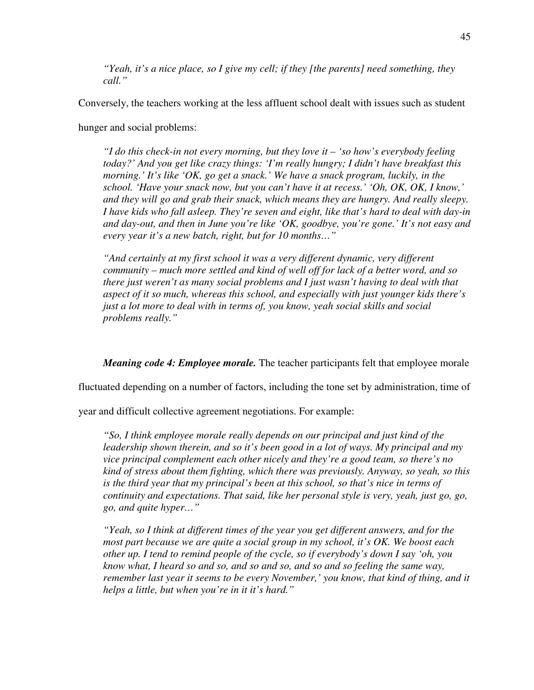*"Yeah, it's a nice place, so I give my cell; if they [the parents] need something, they call."* 

Conversely, the teachers working at the less affluent school dealt with issues such as student

hunger and social problems:

*"I do this check-in not every morning, but they love it – 'so how's everybody feeling today?' And you get like crazy things: 'I'm really hungry; I didn't have breakfast this morning.' It's like 'OK, go get a snack.' We have a snack program, luckily, in the school. 'Have your snack now, but you can't have it at recess.' 'Oh, OK, OK, I know,' and they will go and grab their snack, which means they are hungry. And really sleepy. I have kids who fall asleep. They're seven and eight, like that's hard to deal with day-in and day-out, and then in June you're like 'OK, goodbye, you're gone.' It's not easy and every year it's a new batch, right, but for 10 months…"* 

*"And certainly at my first school it was a very different dynamic, very different community – much more settled and kind of well off for lack of a better word, and so there just weren't as many social problems and I just wasn't having to deal with that aspect of it so much, whereas this school, and especially with just younger kids there's just a lot more to deal with in terms of, you know, yeah social skills and social problems really."* 

*Meaning code 4: Employee morale.* The teacher participants felt that employee morale

fluctuated depending on a number of factors, including the tone set by administration, time of

year and difficult collective agreement negotiations. For example:

*"So, I think employee morale really depends on our principal and just kind of the leadership shown therein, and so it's been good in a lot of ways. My principal and my vice principal complement each other nicely and they're a good team, so there's no kind of stress about them fighting, which there was previously. Anyway, so yeah, so this is the third year that my principal's been at this school, so that's nice in terms of continuity and expectations. That said, like her personal style is very, yeah, just go, go, go, and quite hyper…"* 

*"Yeah, so I think at different times of the year you get different answers, and for the most part because we are quite a social group in my school, it's OK. We boost each other up. I tend to remind people of the cycle, so if everybody's down I say 'oh, you know what, I heard so and so, and so and so, and so and so feeling the same way, remember last year it seems to be every November,' you know, that kind of thing, and it helps a little, but when you're in it it's hard."*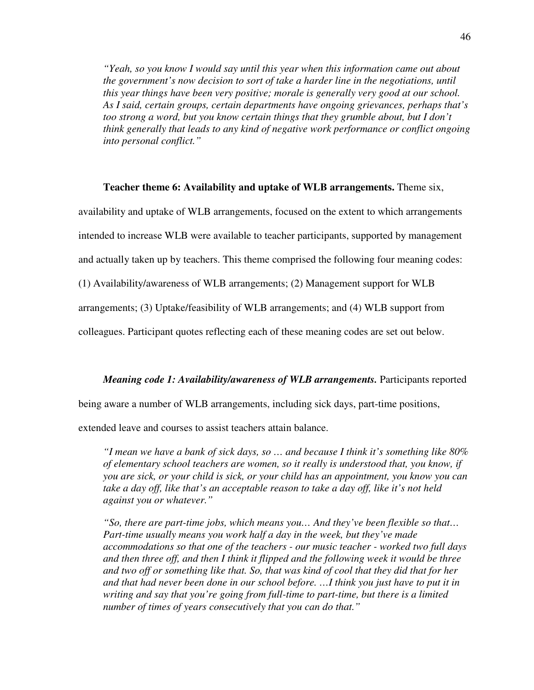*"Yeah, so you know I would say until this year when this information came out about the government's now decision to sort of take a harder line in the negotiations, until this year things have been very positive; morale is generally very good at our school. As I said, certain groups, certain departments have ongoing grievances, perhaps that's*  too strong a word, but you know certain things that they grumble about, but I don't *think generally that leads to any kind of negative work performance or conflict ongoing into personal conflict."* 

### **Teacher theme 6: Availability and uptake of WLB arrangements.** Theme six,

availability and uptake of WLB arrangements, focused on the extent to which arrangements

intended to increase WLB were available to teacher participants, supported by management

and actually taken up by teachers. This theme comprised the following four meaning codes:

(1) Availability/awareness of WLB arrangements; (2) Management support for WLB

arrangements; (3) Uptake/feasibility of WLB arrangements; and (4) WLB support from

colleagues. Participant quotes reflecting each of these meaning codes are set out below.

### *Meaning code 1: Availability/awareness of WLB arrangements.* Participants reported

being aware a number of WLB arrangements, including sick days, part-time positions,

extended leave and courses to assist teachers attain balance.

*"I mean we have a bank of sick days, so … and because I think it's something like 80% of elementary school teachers are women, so it really is understood that, you know, if you are sick, or your child is sick, or your child has an appointment, you know you can take a day off, like that's an acceptable reason to take a day off, like it's not held against you or whatever."* 

*"So, there are part-time jobs, which means you… And they've been flexible so that… Part-time usually means you work half a day in the week, but they've made accommodations so that one of the teachers - our music teacher - worked two full days and then three off, and then I think it flipped and the following week it would be three and two off or something like that. So, that was kind of cool that they did that for her and that had never been done in our school before. …I think you just have to put it in writing and say that you're going from full-time to part-time, but there is a limited number of times of years consecutively that you can do that."*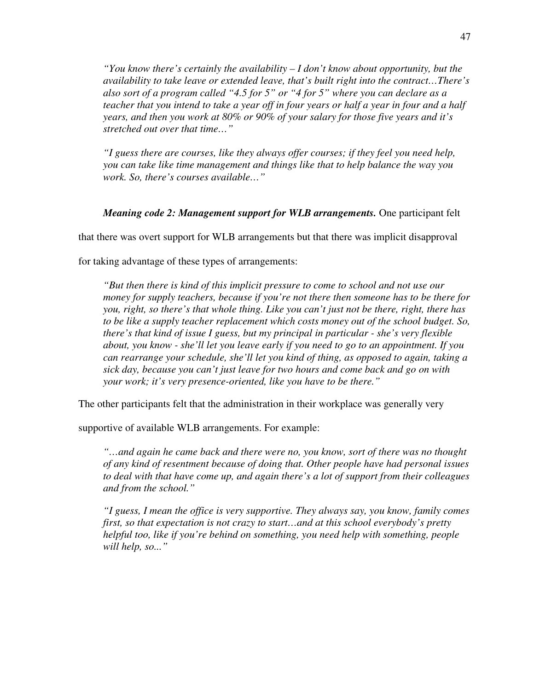*"You know there's certainly the availability – I don't know about opportunity, but the availability to take leave or extended leave, that's built right into the contract…There's also sort of a program called "4.5 for 5" or "4 for 5" where you can declare as a teacher that you intend to take a year off in four years or half a year in four and a half years, and then you work at 80% or 90% of your salary for those five years and it's stretched out over that time…"* 

*"I guess there are courses, like they always offer courses; if they feel you need help, you can take like time management and things like that to help balance the way you work. So, there's courses available…"* 

## *Meaning code 2: Management support for WLB arrangements.* One participant felt

that there was overt support for WLB arrangements but that there was implicit disapproval

for taking advantage of these types of arrangements:

*"But then there is kind of this implicit pressure to come to school and not use our money for supply teachers, because if you're not there then someone has to be there for you, right, so there's that whole thing. Like you can't just not be there, right, there has to be like a supply teacher replacement which costs money out of the school budget. So, there's that kind of issue I guess, but my principal in particular - she's very flexible about, you know - she'll let you leave early if you need to go to an appointment. If you can rearrange your schedule, she'll let you kind of thing, as opposed to again, taking a sick day, because you can't just leave for two hours and come back and go on with your work; it's very presence-oriented, like you have to be there."* 

The other participants felt that the administration in their workplace was generally very

supportive of available WLB arrangements. For example:

*"…and again he came back and there were no, you know, sort of there was no thought of any kind of resentment because of doing that. Other people have had personal issues to deal with that have come up, and again there's a lot of support from their colleagues and from the school."* 

*"I guess, I mean the office is very supportive. They always say, you know, family comes first, so that expectation is not crazy to start…and at this school everybody's pretty helpful too, like if you're behind on something, you need help with something, people will help, so..."*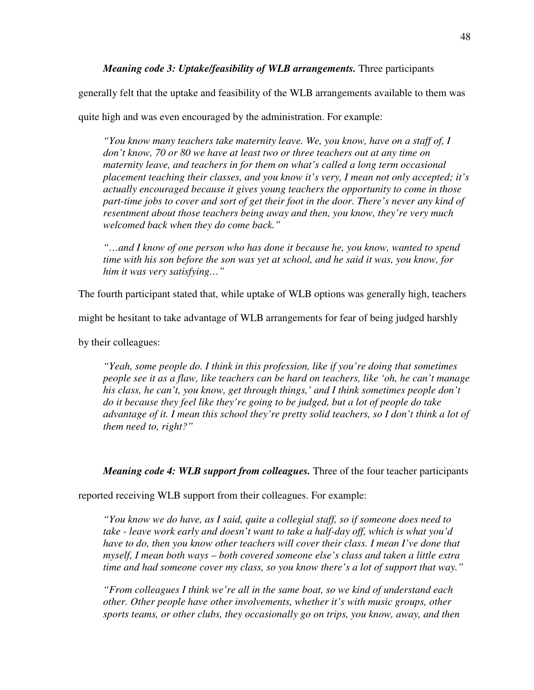## *Meaning code 3: Uptake/feasibility of WLB arrangements.* Three participants

generally felt that the uptake and feasibility of the WLB arrangements available to them was

quite high and was even encouraged by the administration. For example:

*"You know many teachers take maternity leave. We, you know, have on a staff of, I don't know, 70 or 80 we have at least two or three teachers out at any time on maternity leave, and teachers in for them on what's called a long term occasional placement teaching their classes, and you know it's very, I mean not only accepted; it's actually encouraged because it gives young teachers the opportunity to come in those part-time jobs to cover and sort of get their foot in the door. There's never any kind of resentment about those teachers being away and then, you know, they're very much welcomed back when they do come back."* 

*"…and I know of one person who has done it because he, you know, wanted to spend time with his son before the son was yet at school, and he said it was, you know, for him it was very satisfying…"* 

The fourth participant stated that, while uptake of WLB options was generally high, teachers

might be hesitant to take advantage of WLB arrangements for fear of being judged harshly

by their colleagues:

*"Yeah, some people do. I think in this profession, like if you're doing that sometimes people see it as a flaw, like teachers can be hard on teachers, like 'oh, he can't manage his class, he can't, you know, get through things,' and I think sometimes people don't do it because they feel like they're going to be judged, but a lot of people do take*  advantage of it. I mean this school they're pretty solid teachers, so I don't think a lot of *them need to, right?"* 

*Meaning code 4: WLB support from colleagues.* Three of the four teacher participants

reported receiving WLB support from their colleagues. For example:

*"You know we do have, as I said, quite a collegial staff, so if someone does need to take - leave work early and doesn't want to take a half-day off, which is what you'd have to do, then you know other teachers will cover their class. I mean I've done that myself, I mean both ways – both covered someone else's class and taken a little extra time and had someone cover my class, so you know there's a lot of support that way."* 

*"From colleagues I think we're all in the same boat, so we kind of understand each other. Other people have other involvements, whether it's with music groups, other sports teams, or other clubs, they occasionally go on trips, you know, away, and then*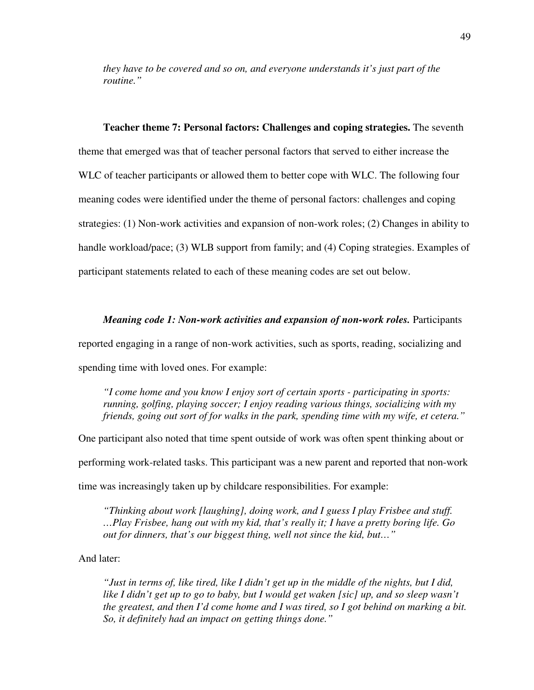*they have to be covered and so on, and everyone understands it's just part of the routine."* 

**Teacher theme 7: Personal factors: Challenges and coping strategies.** The seventh theme that emerged was that of teacher personal factors that served to either increase the WLC of teacher participants or allowed them to better cope with WLC. The following four meaning codes were identified under the theme of personal factors: challenges and coping strategies: (1) Non-work activities and expansion of non-work roles; (2) Changes in ability to handle workload/pace; (3) WLB support from family; and (4) Coping strategies. Examples of participant statements related to each of these meaning codes are set out below.

#### *Meaning code 1: Non-work activities and expansion of non-work roles.* Participants

reported engaging in a range of non-work activities, such as sports, reading, socializing and spending time with loved ones. For example:

*"I come home and you know I enjoy sort of certain sports - participating in sports: running, golfing, playing soccer; I enjoy reading various things, socializing with my friends, going out sort of for walks in the park, spending time with my wife, et cetera."* 

One participant also noted that time spent outside of work was often spent thinking about or performing work-related tasks. This participant was a new parent and reported that non-work time was increasingly taken up by childcare responsibilities. For example:

*"Thinking about work [laughing], doing work, and I guess I play Frisbee and stuff. …Play Frisbee, hang out with my kid, that's really it; I have a pretty boring life. Go out for dinners, that's our biggest thing, well not since the kid, but…"* 

And later:

*"Just in terms of, like tired, like I didn't get up in the middle of the nights, but I did, like I didn't get up to go to baby, but I would get waken [sic] up, and so sleep wasn't the greatest, and then I'd come home and I was tired, so I got behind on marking a bit. So, it definitely had an impact on getting things done."*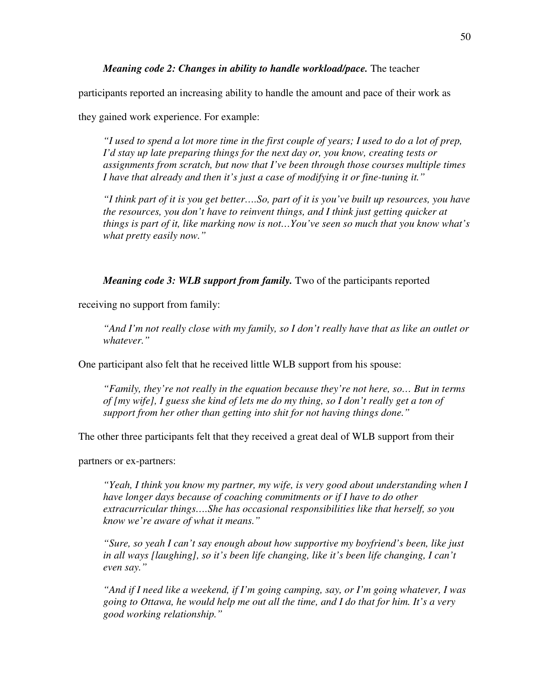participants reported an increasing ability to handle the amount and pace of their work as

they gained work experience. For example:

*"I used to spend a lot more time in the first couple of years; I used to do a lot of prep, I'd stay up late preparing things for the next day or, you know, creating tests or assignments from scratch, but now that I've been through those courses multiple times I have that already and then it's just a case of modifying it or fine-tuning it."* 

*"I think part of it is you get better….So, part of it is you've built up resources, you have the resources, you don't have to reinvent things, and I think just getting quicker at things is part of it, like marking now is not…You've seen so much that you know what's what pretty easily now."* 

*Meaning code 3: WLB support from family.* Two of the participants reported

receiving no support from family:

*"And I'm not really close with my family, so I don't really have that as like an outlet or whatever."* 

One participant also felt that he received little WLB support from his spouse:

*"Family, they're not really in the equation because they're not here, so… But in terms of [my wife], I guess she kind of lets me do my thing, so I don't really get a ton of support from her other than getting into shit for not having things done."* 

The other three participants felt that they received a great deal of WLB support from their

partners or ex-partners:

*"Yeah, I think you know my partner, my wife, is very good about understanding when I have longer days because of coaching commitments or if I have to do other extracurricular things….She has occasional responsibilities like that herself, so you know we're aware of what it means."* 

*"Sure, so yeah I can't say enough about how supportive my boyfriend's been, like just in all ways [laughing], so it's been life changing, like it's been life changing, I can't even say."* 

*"And if I need like a weekend, if I'm going camping, say, or I'm going whatever, I was going to Ottawa, he would help me out all the time, and I do that for him. It's a very good working relationship."*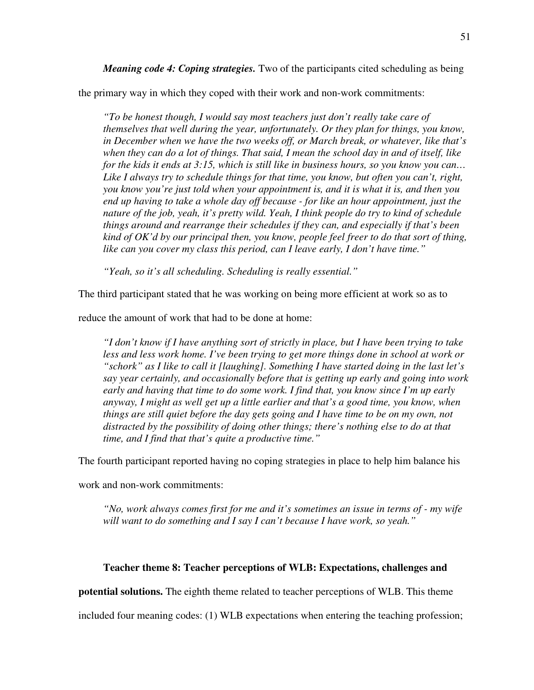*Meaning code 4: Coping strategies.* Two of the participants cited scheduling as being

the primary way in which they coped with their work and non-work commitments:

*"To be honest though, I would say most teachers just don't really take care of themselves that well during the year, unfortunately. Or they plan for things, you know, in December when we have the two weeks off, or March break, or whatever, like that's when they can do a lot of things. That said, I mean the school day in and of itself, like for the kids it ends at 3:15, which is still like in business hours, so you know you can… Like I always try to schedule things for that time, you know, but often you can't, right, you know you're just told when your appointment is, and it is what it is, and then you end up having to take a whole day off because - for like an hour appointment, just the nature of the job, yeah, it's pretty wild. Yeah, I think people do try to kind of schedule things around and rearrange their schedules if they can, and especially if that's been kind of OK'd by our principal then, you know, people feel freer to do that sort of thing, like can you cover my class this period, can I leave early, I don't have time."* 

*"Yeah, so it's all scheduling. Scheduling is really essential."* 

The third participant stated that he was working on being more efficient at work so as to

reduce the amount of work that had to be done at home:

*"I don't know if I have anything sort of strictly in place, but I have been trying to take*  less and less work home. I've been trying to get more things done in school at work or *"schork" as I like to call it [laughing]. Something I have started doing in the last let's say year certainly, and occasionally before that is getting up early and going into work early and having that time to do some work. I find that, you know since I'm up early anyway, I might as well get up a little earlier and that's a good time, you know, when things are still quiet before the day gets going and I have time to be on my own, not distracted by the possibility of doing other things; there's nothing else to do at that time, and I find that that's quite a productive time."* 

The fourth participant reported having no coping strategies in place to help him balance his

work and non-work commitments:

*"No, work always comes first for me and it's sometimes an issue in terms of - my wife will want to do something and I say I can't because I have work, so yeah."* 

### **Teacher theme 8: Teacher perceptions of WLB: Expectations, challenges and**

**potential solutions.** The eighth theme related to teacher perceptions of WLB. This theme

included four meaning codes: (1) WLB expectations when entering the teaching profession;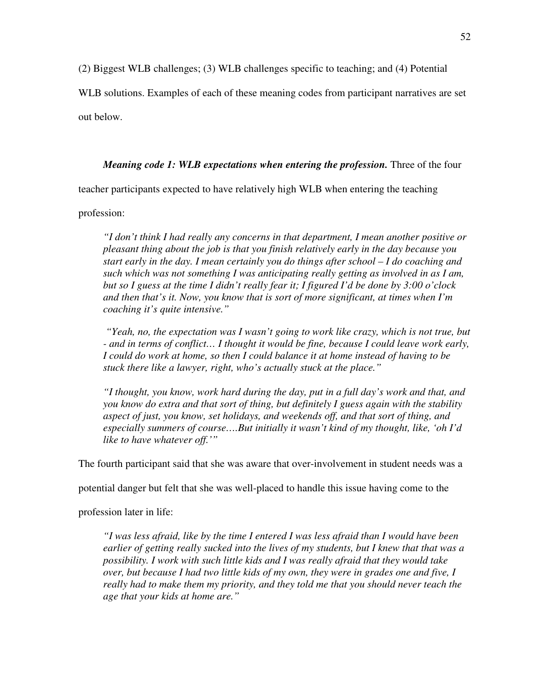(2) Biggest WLB challenges; (3) WLB challenges specific to teaching; and (4) Potential

WLB solutions. Examples of each of these meaning codes from participant narratives are set out below.

## *Meaning code 1: WLB expectations when entering the profession.* Three of the four

teacher participants expected to have relatively high WLB when entering the teaching

profession:

*"I don't think I had really any concerns in that department, I mean another positive or pleasant thing about the job is that you finish relatively early in the day because you start early in the day. I mean certainly you do things after school – I do coaching and such which was not something I was anticipating really getting as involved in as I am, but so I guess at the time I didn't really fear it; I figured I'd be done by 3:00 o'clock and then that's it. Now, you know that is sort of more significant, at times when I'm coaching it's quite intensive."* 

 *"Yeah, no, the expectation was I wasn't going to work like crazy, which is not true, but - and in terms of conflict… I thought it would be fine, because I could leave work early, I could do work at home, so then I could balance it at home instead of having to be stuck there like a lawyer, right, who's actually stuck at the place."* 

*"I thought, you know, work hard during the day, put in a full day's work and that, and you know do extra and that sort of thing, but definitely I guess again with the stability aspect of just, you know, set holidays, and weekends off, and that sort of thing, and especially summers of course….But initially it wasn't kind of my thought, like, 'oh I'd like to have whatever off.'"* 

The fourth participant said that she was aware that over-involvement in student needs was a

potential danger but felt that she was well-placed to handle this issue having come to the

profession later in life:

*"I was less afraid, like by the time I entered I was less afraid than I would have been earlier of getting really sucked into the lives of my students, but I knew that that was a possibility. I work with such little kids and I was really afraid that they would take over, but because I had two little kids of my own, they were in grades one and five, I really had to make them my priority, and they told me that you should never teach the age that your kids at home are."*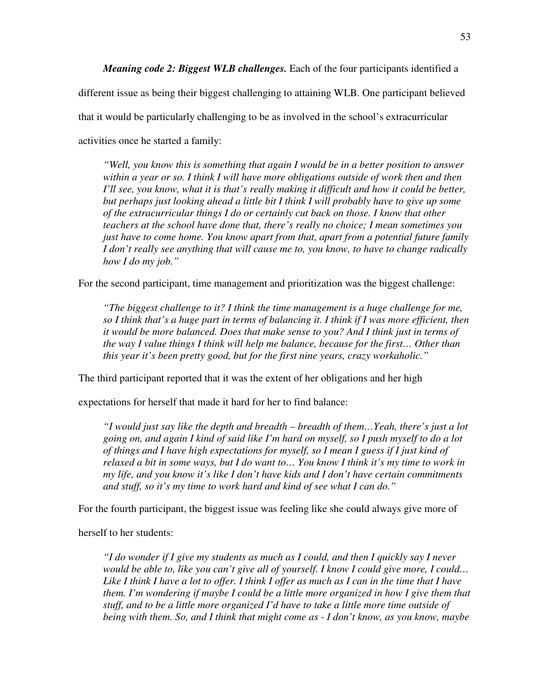*Meaning code 2: Biggest WLB challenges.* Each of the four participants identified a

different issue as being their biggest challenging to attaining WLB. One participant believed

that it would be particularly challenging to be as involved in the school's extracurricular

activities once he started a family:

*"Well, you know this is something that again I would be in a better position to answer*  within a year or so. I think I will have more obligations outside of work then and then *I'll see, you know, what it is that's really making it difficult and how it could be better, but perhaps just looking ahead a little bit I think I will probably have to give up some of the extracurricular things I do or certainly cut back on those. I know that other teachers at the school have done that, there's really no choice; I mean sometimes you just have to come home. You know apart from that, apart from a potential future family I don't really see anything that will cause me to, you know, to have to change radically how I do my job."* 

For the second participant, time management and prioritization was the biggest challenge:

*"The biggest challenge to it? I think the time management is a huge challenge for me,*  so I think that's a huge part in terms of balancing it. I think if I was more efficient, then *it would be more balanced. Does that make sense to you? And I think just in terms of the way I value things I think will help me balance, because for the first… Other than this year it's been pretty good, but for the first nine years, crazy workaholic."* 

The third participant reported that it was the extent of her obligations and her high

expectations for herself that made it hard for her to find balance:

*"I would just say like the depth and breadth – breadth of them…Yeah, there's just a lot going on, and again I kind of said like I'm hard on myself, so I push myself to do a lot of things and I have high expectations for myself, so I mean I guess if I just kind of relaxed a bit in some ways, but I do want to… You know I think it's my time to work in my life, and you know it's like I don't have kids and I don't have certain commitments and stuff, so it's my time to work hard and kind of see what I can do."* 

For the fourth participant, the biggest issue was feeling like she could always give more of

herself to her students:

*"I do wonder if I give my students as much as I could, and then I quickly say I never would be able to, like you can't give all of yourself. I know I could give more, I could… Like I think I have a lot to offer. I think I offer as much as I can in the time that I have them. I'm wondering if maybe I could be a little more organized in how I give them that stuff, and to be a little more organized I'd have to take a little more time outside of being with them. So, and I think that might come as - I don't know, as you know, maybe*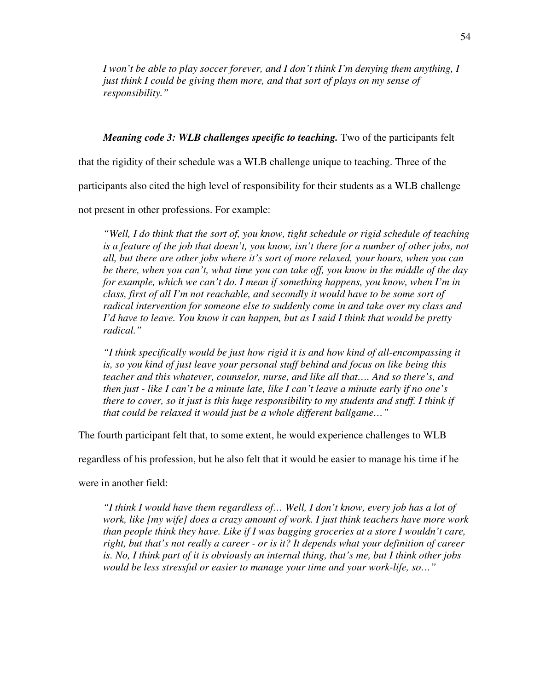*I won't be able to play soccer forever, and I don't think I'm denying them anything, I just think I could be giving them more, and that sort of plays on my sense of responsibility."* 

## *Meaning code 3: WLB challenges specific to teaching.* Two of the participants felt

that the rigidity of their schedule was a WLB challenge unique to teaching. Three of the

participants also cited the high level of responsibility for their students as a WLB challenge

not present in other professions. For example:

*"Well, I do think that the sort of, you know, tight schedule or rigid schedule of teaching*  is a feature of the job that doesn't, you know, isn't there for a number of other jobs, not *all, but there are other jobs where it's sort of more relaxed, your hours, when you can be there, when you can't, what time you can take off, you know in the middle of the day for example, which we can't do. I mean if something happens, you know, when I'm in class, first of all I'm not reachable, and secondly it would have to be some sort of radical intervention for someone else to suddenly come in and take over my class and I'd have to leave. You know it can happen, but as I said I think that would be pretty radical."* 

*"I think specifically would be just how rigid it is and how kind of all-encompassing it is, so you kind of just leave your personal stuff behind and focus on like being this teacher and this whatever, counselor, nurse, and like all that…. And so there's, and then just - like I can't be a minute late, like I can't leave a minute early if no one's there to cover, so it just is this huge responsibility to my students and stuff. I think if that could be relaxed it would just be a whole different ballgame…"* 

The fourth participant felt that, to some extent, he would experience challenges to WLB

regardless of his profession, but he also felt that it would be easier to manage his time if he

were in another field:

*"I think I would have them regardless of… Well, I don't know, every job has a lot of work, like [my wife] does a crazy amount of work. I just think teachers have more work than people think they have. Like if I was bagging groceries at a store I wouldn't care, right, but that's not really a career - or is it? It depends what your definition of career is. No, I think part of it is obviously an internal thing, that's me, but I think other jobs would be less stressful or easier to manage your time and your work-life, so…"*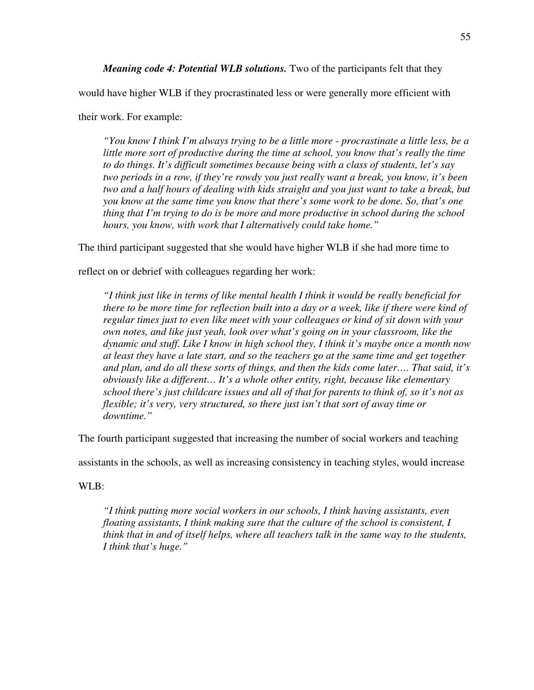*Meaning code 4: Potential WLB solutions.* Two of the participants felt that they

would have higher WLB if they procrastinated less or were generally more efficient with

their work. For example:

*"You know I think I'm always trying to be a little more - procrastinate a little less, be a little more sort of productive during the time at school, you know that's really the time to do things. It's difficult sometimes because being with a class of students, let's say two periods in a row, if they're rowdy you just really want a break, you know, it's been two and a half hours of dealing with kids straight and you just want to take a break, but you know at the same time you know that there's some work to be done. So, that's one thing that I'm trying to do is be more and more productive in school during the school hours, you know, with work that I alternatively could take home."* 

The third participant suggested that she would have higher WLB if she had more time to

reflect on or debrief with colleagues regarding her work:

*"I think just like in terms of like mental health I think it would be really beneficial for there to be more time for reflection built into a day or a week, like if there were kind of regular times just to even like meet with your colleagues or kind of sit down with your own notes, and like just yeah, look over what's going on in your classroom, like the dynamic and stuff. Like I know in high school they, I think it's maybe once a month now at least they have a late start, and so the teachers go at the same time and get together and plan, and do all these sorts of things, and then the kids come later…. That said, it's obviously like a different… It's a whole other entity, right, because like elementary school there's just childcare issues and all of that for parents to think of, so it's not as flexible; it's very, very structured, so there just isn't that sort of away time or downtime."* 

The fourth participant suggested that increasing the number of social workers and teaching

assistants in the schools, as well as increasing consistency in teaching styles, would increase

WLB:

*"I think putting more social workers in our schools, I think having assistants, even floating assistants, I think making sure that the culture of the school is consistent, I think that in and of itself helps, where all teachers talk in the same way to the students, I think that's huge."*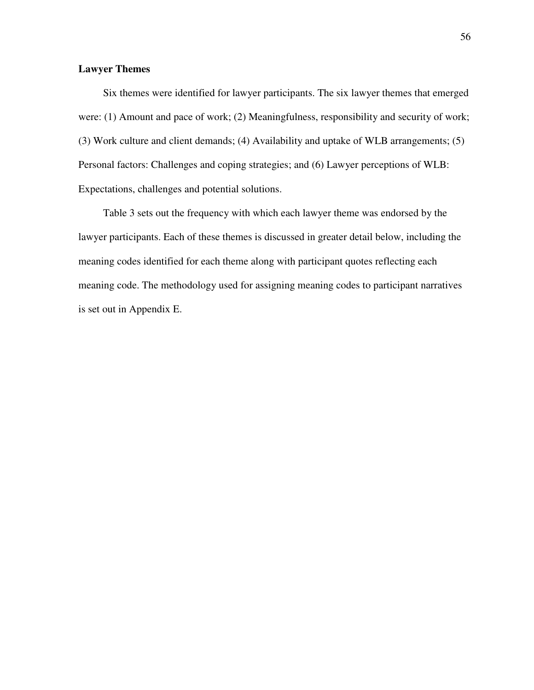## **Lawyer Themes**

Six themes were identified for lawyer participants. The six lawyer themes that emerged were: (1) Amount and pace of work; (2) Meaningfulness, responsibility and security of work; (3) Work culture and client demands; (4) Availability and uptake of WLB arrangements; (5) Personal factors: Challenges and coping strategies; and (6) Lawyer perceptions of WLB: Expectations, challenges and potential solutions.

Table 3 sets out the frequency with which each lawyer theme was endorsed by the lawyer participants. Each of these themes is discussed in greater detail below, including the meaning codes identified for each theme along with participant quotes reflecting each meaning code. The methodology used for assigning meaning codes to participant narratives is set out in Appendix E.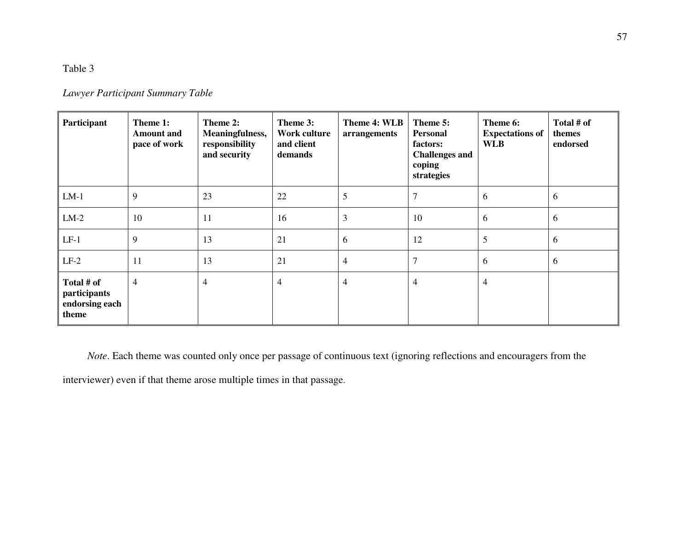# Table 3

# *Lawyer Participant Summary Table*

| Participant                                           | Theme 1:<br><b>Amount</b> and<br>pace of work | Theme 2:<br>Meaningfulness,<br>responsibility<br>and security | Theme 3:<br>Work culture<br>and client<br>demands | Theme 4: WLB<br>arrangements | Theme 5:<br><b>Personal</b><br>factors:<br><b>Challenges and</b><br>coping<br>strategies | Theme 6:<br><b>Expectations of</b><br><b>WLB</b> | Total # of<br>themes<br>endorsed |
|-------------------------------------------------------|-----------------------------------------------|---------------------------------------------------------------|---------------------------------------------------|------------------------------|------------------------------------------------------------------------------------------|--------------------------------------------------|----------------------------------|
| $LM-1$                                                | 9                                             | 23                                                            | 22                                                | 5                            | 7                                                                                        | 6                                                | 6                                |
| $LM-2$                                                | 10                                            | 11                                                            | 16                                                | 3                            | 10                                                                                       | 6                                                | 6                                |
| $LF-1$                                                | 9                                             | 13                                                            | 21                                                | 6                            | 12                                                                                       | 5                                                | 6                                |
| $LF-2$                                                | 11                                            | 13                                                            | 21                                                | $\overline{4}$               | $\overline{7}$                                                                           | 6                                                | 6                                |
| Total # of<br>participants<br>endorsing each<br>theme | 4                                             | $\overline{4}$                                                | $\overline{4}$                                    | $\overline{4}$               | $\overline{4}$                                                                           | 4                                                |                                  |

*Note*. Each theme was counted only once per passage of continuous text (ignoring reflections and encouragers from the

interviewer) even if that theme arose multiple times in that passage.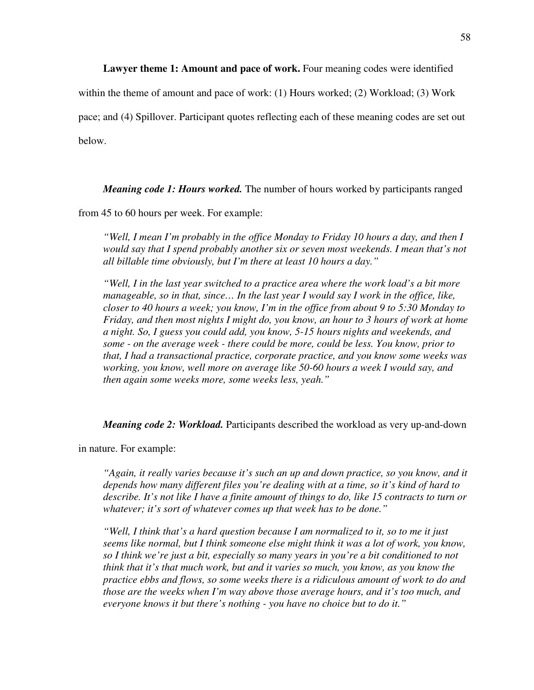**Lawyer theme 1: Amount and pace of work.** Four meaning codes were identified

within the theme of amount and pace of work: (1) Hours worked; (2) Workload; (3) Work

pace; and (4) Spillover. Participant quotes reflecting each of these meaning codes are set out

below.

*Meaning code 1: Hours worked.* The number of hours worked by participants ranged

from 45 to 60 hours per week. For example:

*"Well, I mean I'm probably in the office Monday to Friday 10 hours a day, and then I would say that I spend probably another six or seven most weekends. I mean that's not all billable time obviously, but I'm there at least 10 hours a day."* 

*"Well, I in the last year switched to a practice area where the work load's a bit more*  manageable, so in that, since... In the last year I would say I work in the office, like, *closer to 40 hours a week; you know, I'm in the office from about 9 to 5:30 Monday to Friday, and then most nights I might do, you know, an hour to 3 hours of work at home a night. So, I guess you could add, you know, 5-15 hours nights and weekends, and some - on the average week - there could be more, could be less. You know, prior to that, I had a transactional practice, corporate practice, and you know some weeks was working, you know, well more on average like 50-60 hours a week I would say, and then again some weeks more, some weeks less, yeah."* 

*Meaning code 2: Workload.* Participants described the workload as very up-and-down

in nature. For example:

*"Again, it really varies because it's such an up and down practice, so you know, and it depends how many different files you're dealing with at a time, so it's kind of hard to describe. It's not like I have a finite amount of things to do, like 15 contracts to turn or whatever; it's sort of whatever comes up that week has to be done."* 

*"Well, I think that's a hard question because I am normalized to it, so to me it just seems like normal, but I think someone else might think it was a lot of work, you know, so I think we're just a bit, especially so many years in you're a bit conditioned to not think that it's that much work, but and it varies so much, you know, as you know the practice ebbs and flows, so some weeks there is a ridiculous amount of work to do and those are the weeks when I'm way above those average hours, and it's too much, and everyone knows it but there's nothing - you have no choice but to do it."*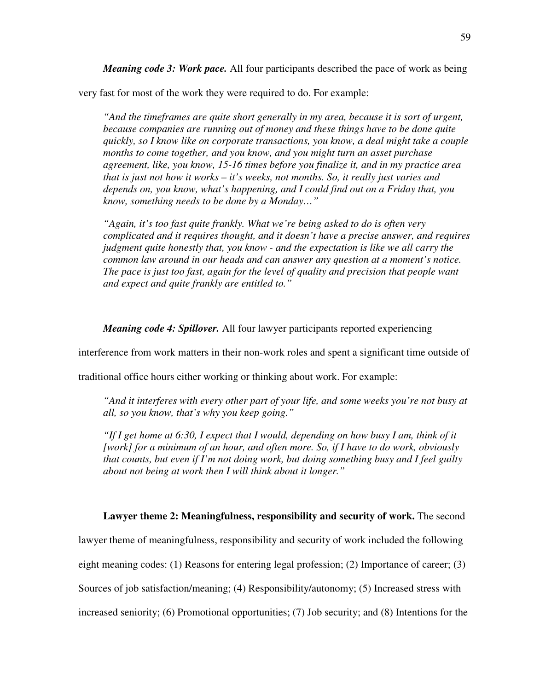*Meaning code 3: Work pace.* All four participants described the pace of work as being

very fast for most of the work they were required to do. For example:

*"And the timeframes are quite short generally in my area, because it is sort of urgent, because companies are running out of money and these things have to be done quite quickly, so I know like on corporate transactions, you know, a deal might take a couple months to come together, and you know, and you might turn an asset purchase agreement, like, you know, 15-16 times before you finalize it, and in my practice area that is just not how it works – it's weeks, not months. So, it really just varies and depends on, you know, what's happening, and I could find out on a Friday that, you know, something needs to be done by a Monday…"* 

*"Again, it's too fast quite frankly. What we're being asked to do is often very complicated and it requires thought, and it doesn't have a precise answer, and requires judgment quite honestly that, you know - and the expectation is like we all carry the common law around in our heads and can answer any question at a moment's notice. The pace is just too fast, again for the level of quality and precision that people want and expect and quite frankly are entitled to."* 

*Meaning code 4: Spillover.* All four lawyer participants reported experiencing

interference from work matters in their non-work roles and spent a significant time outside of

traditional office hours either working or thinking about work. For example:

*"And it interferes with every other part of your life, and some weeks you're not busy at all, so you know, that's why you keep going."* 

*"If I get home at 6:30, I expect that I would, depending on how busy I am, think of it [work] for a minimum of an hour, and often more. So, if I have to do work, obviously that counts, but even if I'm not doing work, but doing something busy and I feel guilty about not being at work then I will think about it longer."* 

Lawyer theme 2: Meaningfulness, responsibility and security of work. The second lawyer theme of meaningfulness, responsibility and security of work included the following eight meaning codes: (1) Reasons for entering legal profession; (2) Importance of career; (3) Sources of job satisfaction/meaning; (4) Responsibility/autonomy; (5) Increased stress with increased seniority; (6) Promotional opportunities; (7) Job security; and (8) Intentions for the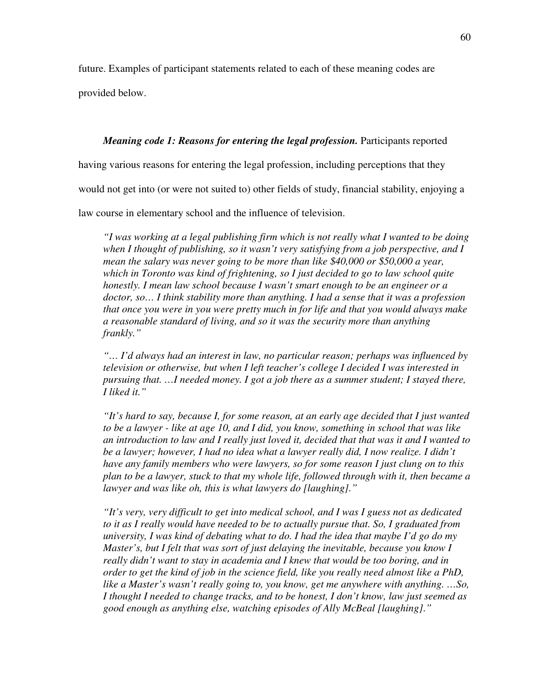future. Examples of participant statements related to each of these meaning codes are

provided below.

## *Meaning code 1: Reasons for entering the legal profession.* Participants reported

having various reasons for entering the legal profession, including perceptions that they

would not get into (or were not suited to) other fields of study, financial stability, enjoying a

law course in elementary school and the influence of television.

*"I was working at a legal publishing firm which is not really what I wanted to be doing when I thought of publishing, so it wasn't very satisfying from a job perspective, and I mean the salary was never going to be more than like \$40,000 or \$50,000 a year, which in Toronto was kind of frightening, so I just decided to go to law school quite honestly. I mean law school because I wasn't smart enough to be an engineer or a doctor, so… I think stability more than anything. I had a sense that it was a profession that once you were in you were pretty much in for life and that you would always make a reasonable standard of living, and so it was the security more than anything frankly."* 

*"… I'd always had an interest in law, no particular reason; perhaps was influenced by television or otherwise, but when I left teacher's college I decided I was interested in pursuing that. …I needed money. I got a job there as a summer student; I stayed there, I liked it."* 

*"It's hard to say, because I, for some reason, at an early age decided that I just wanted to be a lawyer - like at age 10, and I did, you know, something in school that was like an introduction to law and I really just loved it, decided that that was it and I wanted to be a lawyer; however, I had no idea what a lawyer really did, I now realize. I didn't have any family members who were lawyers, so for some reason I just clung on to this plan to be a lawyer, stuck to that my whole life, followed through with it, then became a lawyer and was like oh, this is what lawyers do [laughing]."* 

*"It's very, very difficult to get into medical school, and I was I guess not as dedicated to it as I really would have needed to be to actually pursue that. So, I graduated from university, I was kind of debating what to do. I had the idea that maybe I'd go do my Master's, but I felt that was sort of just delaying the inevitable, because you know I really didn't want to stay in academia and I knew that would be too boring, and in order to get the kind of job in the science field, like you really need almost like a PhD, like a Master's wasn't really going to, you know, get me anywhere with anything. …So, I thought I needed to change tracks, and to be honest, I don't know, law just seemed as good enough as anything else, watching episodes of Ally McBeal [laughing]."*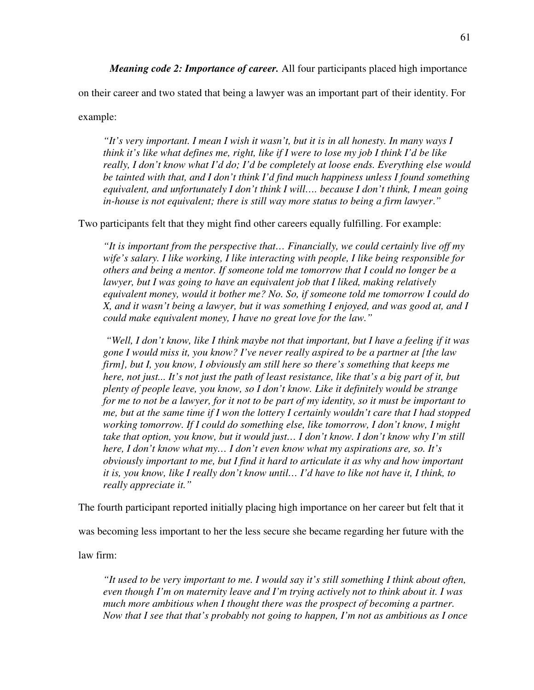*Meaning code 2: Importance of career.* All four participants placed high importance

on their career and two stated that being a lawyer was an important part of their identity. For

example:

*"It's very important. I mean I wish it wasn't, but it is in all honesty. In many ways I think it's like what defines me, right, like if I were to lose my job I think I'd be like really, I don't know what I'd do; I'd be completely at loose ends. Everything else would be tainted with that, and I don't think I'd find much happiness unless I found something equivalent, and unfortunately I don't think I will…. because I don't think, I mean going in-house is not equivalent; there is still way more status to being a firm lawyer*.*"* 

Two participants felt that they might find other careers equally fulfilling. For example:

*"It is important from the perspective that… Financially, we could certainly live off my wife's salary. I like working, I like interacting with people, I like being responsible for others and being a mentor. If someone told me tomorrow that I could no longer be a lawyer, but I was going to have an equivalent job that I liked, making relatively equivalent money, would it bother me? No. So, if someone told me tomorrow I could do X, and it wasn't being a lawyer, but it was something I enjoyed, and was good at, and I could make equivalent money, I have no great love for the law."* 

 *"Well, I don't know, like I think maybe not that important, but I have a feeling if it was gone I would miss it, you know? I've never really aspired to be a partner at [the law firm], but I, you know, I obviously am still here so there's something that keeps me here, not just... It's not just the path of least resistance, like that's a big part of it, but plenty of people leave, you know, so I don't know. Like it definitely would be strange for me to not be a lawyer, for it not to be part of my identity, so it must be important to me, but at the same time if I won the lottery I certainly wouldn't care that I had stopped working tomorrow. If I could do something else, like tomorrow, I don't know, I might take that option, you know, but it would just… I don't know. I don't know why I'm still here, I don't know what my… I don't even know what my aspirations are, so. It's obviously important to me, but I find it hard to articulate it as why and how important it is, you know, like I really don't know until… I'd have to like not have it, I think, to really appreciate it."* 

The fourth participant reported initially placing high importance on her career but felt that it

was becoming less important to her the less secure she became regarding her future with the

law firm:

*"It used to be very important to me. I would say it's still something I think about often, even though I'm on maternity leave and I'm trying actively not to think about it. I was*  much more ambitious when I thought there was the prospect of becoming a partner. *Now that I see that that's probably not going to happen, I'm not as ambitious as I once*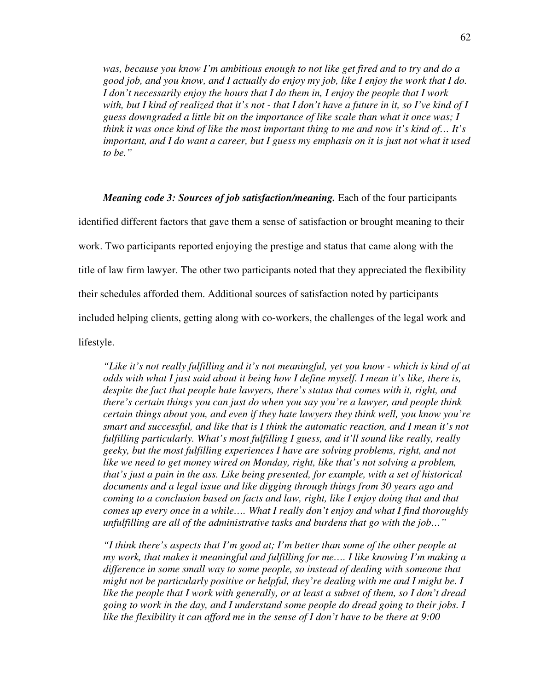*was, because you know I'm ambitious enough to not like get fired and to try and do a good job, and you know, and I actually do enjoy my job, like I enjoy the work that I do. I don't necessarily enjoy the hours that I do them in, I enjoy the people that I work with, but I kind of realized that it's not - that I don't have a future in it, so I've kind of I guess downgraded a little bit on the importance of like scale than what it once was; I think it was once kind of like the most important thing to me and now it's kind of… It's important, and I do want a career, but I guess my emphasis on it is just not what it used to be."* 

## *Meaning code 3: Sources of job satisfaction/meaning.* Each of the four participants

identified different factors that gave them a sense of satisfaction or brought meaning to their work. Two participants reported enjoying the prestige and status that came along with the title of law firm lawyer. The other two participants noted that they appreciated the flexibility their schedules afforded them. Additional sources of satisfaction noted by participants included helping clients, getting along with co-workers, the challenges of the legal work and lifestyle.

*"Like it's not really fulfilling and it's not meaningful, yet you know - which is kind of at odds with what I just said about it being how I define myself. I mean it's like, there is, despite the fact that people hate lawyers, there's status that comes with it, right, and there's certain things you can just do when you say you're a lawyer, and people think certain things about you, and even if they hate lawyers they think well, you know you're smart and successful, and like that is I think the automatic reaction, and I mean it's not fulfilling particularly. What's most fulfilling I guess, and it'll sound like really, really geeky, but the most fulfilling experiences I have are solving problems, right, and not like we need to get money wired on Monday, right, like that's not solving a problem, that's just a pain in the ass. Like being presented, for example, with a set of historical documents and a legal issue and like digging through things from 30 years ago and coming to a conclusion based on facts and law, right, like I enjoy doing that and that comes up every once in a while…. What I really don't enjoy and what I find thoroughly unfulfilling are all of the administrative tasks and burdens that go with the job…"* 

*"I think there's aspects that I'm good at; I'm better than some of the other people at my work, that makes it meaningful and fulfilling for me…. I like knowing I'm making a difference in some small way to some people, so instead of dealing with someone that might not be particularly positive or helpful, they're dealing with me and I might be. I like the people that I work with generally, or at least a subset of them, so I don't dread going to work in the day, and I understand some people do dread going to their jobs. I like the flexibility it can afford me in the sense of I don't have to be there at 9:00*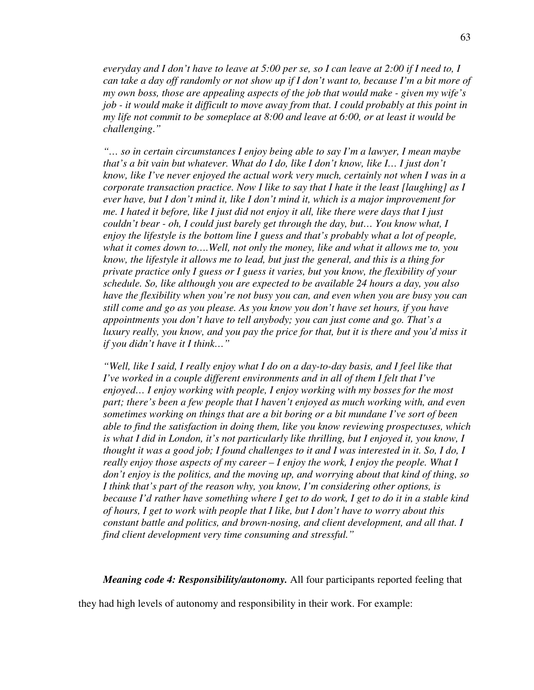*everyday and I don't have to leave at 5:00 per se, so I can leave at 2:00 if I need to, I can take a day off randomly or not show up if I don't want to, because I'm a bit more of my own boss, those are appealing aspects of the job that would make - given my wife's job - it would make it difficult to move away from that. I could probably at this point in my life not commit to be someplace at 8:00 and leave at 6:00, or at least it would be challenging*.*"* 

*"… so in certain circumstances I enjoy being able to say I'm a lawyer, I mean maybe that's a bit vain but whatever. What do I do, like I don't know, like I… I just don't know, like I've never enjoyed the actual work very much, certainly not when I was in a corporate transaction practice. Now I like to say that I hate it the least [laughing] as I ever have, but I don't mind it, like I don't mind it, which is a major improvement for me. I hated it before, like I just did not enjoy it all, like there were days that I just couldn't bear - oh, I could just barely get through the day, but… You know what, I enjoy the lifestyle is the bottom line I guess and that's probably what a lot of people, what it comes down to….Well, not only the money, like and what it allows me to, you know, the lifestyle it allows me to lead, but just the general, and this is a thing for private practice only I guess or I guess it varies, but you know, the flexibility of your schedule. So, like although you are expected to be available 24 hours a day, you also have the flexibility when you're not busy you can, and even when you are busy you can still come and go as you please. As you know you don't have set hours, if you have appointments you don't have to tell anybody; you can just come and go. That's a luxury really, you know, and you pay the price for that, but it is there and you'd miss it if you didn't have it I think…"* 

*"Well, like I said, I really enjoy what I do on a day-to-day basis, and I feel like that I've worked in a couple different environments and in all of them I felt that I've enjoyed… I enjoy working with people, I enjoy working with my bosses for the most part; there's been a few people that I haven't enjoyed as much working with, and even sometimes working on things that are a bit boring or a bit mundane I've sort of been able to find the satisfaction in doing them, like you know reviewing prospectuses, which is what I did in London, it's not particularly like thrilling, but I enjoyed it, you know, I thought it was a good job; I found challenges to it and I was interested in it. So, I do, I really enjoy those aspects of my career – I enjoy the work, I enjoy the people. What I don't enjoy is the politics, and the moving up, and worrying about that kind of thing, so I think that's part of the reason why, you know, I'm considering other options, is because I'd rather have something where I get to do work, I get to do it in a stable kind of hours, I get to work with people that I like, but I don't have to worry about this constant battle and politics, and brown-nosing, and client development, and all that. I find client development very time consuming and stressful."* 

*Meaning code 4: Responsibility/autonomy.* All four participants reported feeling that

they had high levels of autonomy and responsibility in their work. For example: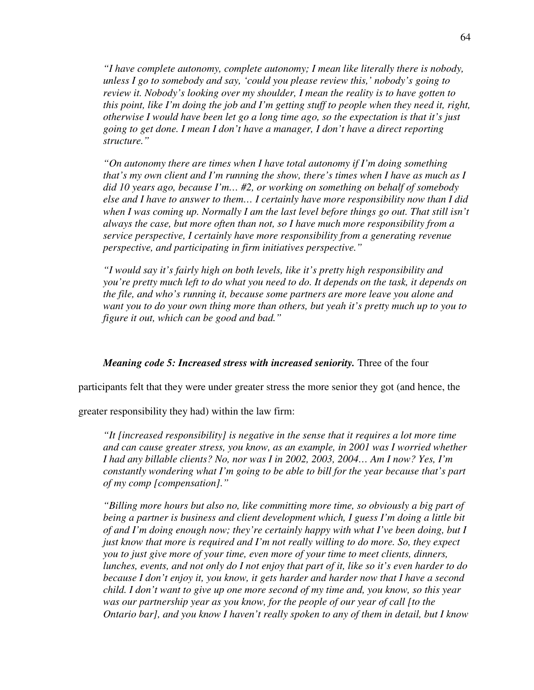*"I have complete autonomy, complete autonomy; I mean like literally there is nobody, unless I go to somebody and say, 'could you please review this,' nobody's going to review it. Nobody's looking over my shoulder, I mean the reality is to have gotten to this point, like I'm doing the job and I'm getting stuff to people when they need it, right, otherwise I would have been let go a long time ago, so the expectation is that it's just going to get done. I mean I don't have a manager, I don't have a direct reporting structure."* 

*"On autonomy there are times when I have total autonomy if I'm doing something that's my own client and I'm running the show, there's times when I have as much as I did 10 years ago, because I'm… #2, or working on something on behalf of somebody else and I have to answer to them… I certainly have more responsibility now than I did when I was coming up. Normally I am the last level before things go out. That still isn't always the case, but more often than not, so I have much more responsibility from a service perspective, I certainly have more responsibility from a generating revenue perspective, and participating in firm initiatives perspective."* 

*"I would say it's fairly high on both levels, like it's pretty high responsibility and you're pretty much left to do what you need to do. It depends on the task, it depends on the file, and who's running it, because some partners are more leave you alone and want you to do your own thing more than others, but yeah it's pretty much up to you to figure it out, which can be good and bad."* 

#### *Meaning code 5: Increased stress with increased seniority.* Three of the four

participants felt that they were under greater stress the more senior they got (and hence, the

greater responsibility they had) within the law firm:

*"It [increased responsibility] is negative in the sense that it requires a lot more time and can cause greater stress, you know, as an example, in 2001 was I worried whether I had any billable clients? No, nor was I in 2002, 2003, 2004… Am I now? Yes, I'm constantly wondering what I'm going to be able to bill for the year because that's part of my comp [compensation]."* 

*"Billing more hours but also no, like committing more time, so obviously a big part of being a partner is business and client development which, I guess I'm doing a little bit of and I'm doing enough now; they're certainly happy with what I've been doing, but I just know that more is required and I'm not really willing to do more. So, they expect you to just give more of your time, even more of your time to meet clients, dinners, lunches, events, and not only do I not enjoy that part of it, like so it's even harder to do because I don't enjoy it, you know, it gets harder and harder now that I have a second child. I don't want to give up one more second of my time and, you know, so this year was our partnership year as you know, for the people of our year of call [to the Ontario bar], and you know I haven't really spoken to any of them in detail, but I know*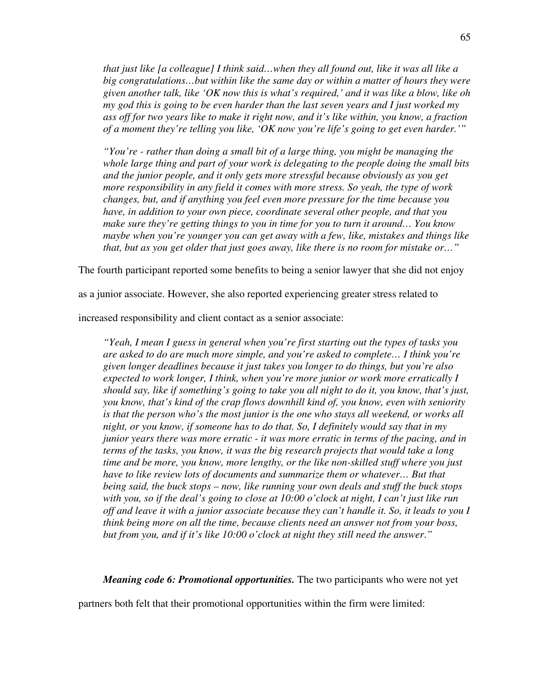*that just like [a colleague] I think said…when they all found out, like it was all like a big congratulations…but within like the same day or within a matter of hours they were given another talk, like 'OK now this is what's required,' and it was like a blow, like oh my god this is going to be even harder than the last seven years and I just worked my ass off for two years like to make it right now, and it's like within, you know, a fraction of a moment they're telling you like, 'OK now you're life's going to get even harder.'"* 

*"You're - rather than doing a small bit of a large thing, you might be managing the whole large thing and part of your work is delegating to the people doing the small bits and the junior people, and it only gets more stressful because obviously as you get more responsibility in any field it comes with more stress. So yeah, the type of work changes, but, and if anything you feel even more pressure for the time because you have, in addition to your own piece, coordinate several other people, and that you make sure they're getting things to you in time for you to turn it around… You know maybe when you're younger you can get away with a few, like, mistakes and things like that, but as you get older that just goes away, like there is no room for mistake or…"* 

The fourth participant reported some benefits to being a senior lawyer that she did not enjoy

as a junior associate. However, she also reported experiencing greater stress related to

increased responsibility and client contact as a senior associate:

*"Yeah, I mean I guess in general when you're first starting out the types of tasks you are asked to do are much more simple, and you're asked to complete… I think you're given longer deadlines because it just takes you longer to do things, but you're also expected to work longer, I think, when you're more junior or work more erratically I should say, like if something's going to take you all night to do it, you know, that's just, you know, that's kind of the crap flows downhill kind of, you know, even with seniority is that the person who's the most junior is the one who stays all weekend, or works all night, or you know, if someone has to do that. So, I definitely would say that in my junior years there was more erratic - it was more erratic in terms of the pacing, and in terms of the tasks, you know, it was the big research projects that would take a long time and be more, you know, more lengthy, or the like non-skilled stuff where you just have to like review lots of documents and summarize them or whatever… But that being said, the buck stops – now, like running your own deals and stuff the buck stops with you, so if the deal's going to close at 10:00 o'clock at night, I can't just like run off and leave it with a junior associate because they can't handle it. So, it leads to you I think being more on all the time, because clients need an answer not from your boss, but from you, and if it's like 10:00 o'clock at night they still need the answer*.*"* 

*Meaning code 6: Promotional opportunities.* The two participants who were not yet

partners both felt that their promotional opportunities within the firm were limited: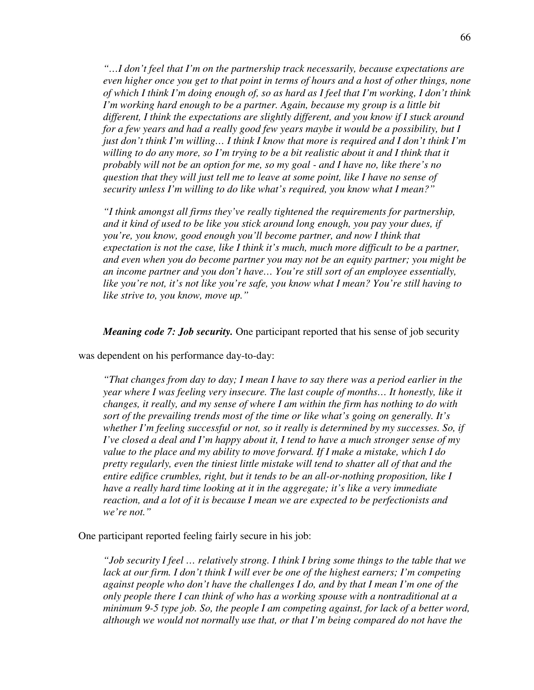*"…I don't feel that I'm on the partnership track necessarily, because expectations are even higher once you get to that point in terms of hours and a host of other things, none of which I think I'm doing enough of, so as hard as I feel that I'm working, I don't think I'm working hard enough to be a partner. Again, because my group is a little bit different, I think the expectations are slightly different, and you know if I stuck around for a few years and had a really good few years maybe it would be a possibility, but I just don't think I'm willing… I think I know that more is required and I don't think I'm willing to do any more, so I'm trying to be a bit realistic about it and I think that it probably will not be an option for me, so my goal - and I have no, like there's no question that they will just tell me to leave at some point, like I have no sense of security unless I'm willing to do like what's required, you know what I mean?"* 

*"I think amongst all firms they've really tightened the requirements for partnership, and it kind of used to be like you stick around long enough, you pay your dues, if you're, you know, good enough you'll become partner, and now I think that expectation is not the case, like I think it's much, much more difficult to be a partner, and even when you do become partner you may not be an equity partner; you might be an income partner and you don't have… You're still sort of an employee essentially, like you're not, it's not like you're safe, you know what I mean? You're still having to like strive to, you know, move up."* 

*Meaning code 7: Job security.* One participant reported that his sense of job security

was dependent on his performance day-to-day:

*"That changes from day to day; I mean I have to say there was a period earlier in the year where I was feeling very insecure. The last couple of months… It honestly, like it changes, it really, and my sense of where I am within the firm has nothing to do with sort of the prevailing trends most of the time or like what's going on generally. It's whether I'm feeling successful or not, so it really is determined by my successes. So, if I've closed a deal and I'm happy about it, I tend to have a much stronger sense of my value to the place and my ability to move forward. If I make a mistake, which I do pretty regularly, even the tiniest little mistake will tend to shatter all of that and the entire edifice crumbles, right, but it tends to be an all-or-nothing proposition, like I have a really hard time looking at it in the aggregate; it's like a very immediate reaction, and a lot of it is because I mean we are expected to be perfectionists and we're not."* 

One participant reported feeling fairly secure in his job:

*"Job security I feel … relatively strong. I think I bring some things to the table that we lack at our firm. I don't think I will ever be one of the highest earners; I'm competing against people who don't have the challenges I do, and by that I mean I'm one of the only people there I can think of who has a working spouse with a nontraditional at a minimum 9-5 type job. So, the people I am competing against, for lack of a better word, although we would not normally use that, or that I'm being compared do not have the*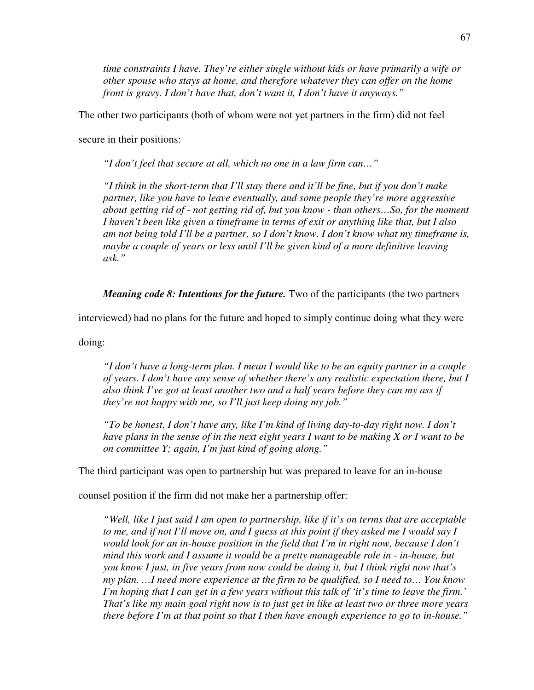*time constraints I have. They're either single without kids or have primarily a wife or other spouse who stays at home, and therefore whatever they can offer on the home front is gravy. I don't have that, don't want it, I don't have it anyways."* 

The other two participants (both of whom were not yet partners in the firm) did not feel

secure in their positions:

*"I don't feel that secure at all, which no one in a law firm can…"* 

*"I think in the short-term that I'll stay there and it'll be fine, but if you don't make partner, like you have to leave eventually, and some people they're more aggressive about getting rid of - not getting rid of, but you know - than others…So, for the moment I haven't been like given a timeframe in terms of exit or anything like that, but I also am not being told I'll be a partner, so I don't know. I don't know what my timeframe is, maybe a couple of years or less until I'll be given kind of a more definitive leaving ask."* 

*Meaning code 8: Intentions for the future.* Two of the participants (the two partners

interviewed) had no plans for the future and hoped to simply continue doing what they were

doing:

*"I don't have a long-term plan. I mean I would like to be an equity partner in a couple of years. I don't have any sense of whether there's any realistic expectation there, but I also think I've got at least another two and a half years before they can my ass if they're not happy with me, so I'll just keep doing my job."* 

*"To be honest, I don't have any, like I'm kind of living day-to-day right now. I don't have plans in the sense of in the next eight years I want to be making X or I want to be on committee Y; again, I'm just kind of going along."* 

The third participant was open to partnership but was prepared to leave for an in-house

counsel position if the firm did not make her a partnership offer:

*"Well, like I just said I am open to partnership, like if it's on terms that are acceptable to me, and if not I'll move on, and I guess at this point if they asked me I would say I would look for an in-house position in the field that I'm in right now, because I don't mind this work and I assume it would be a pretty manageable role in - in-house, but you know I just, in five years from now could be doing it, but I think right now that's my plan. …I need more experience at the firm to be qualified, so I need to… You know I'm hoping that I can get in a few years without this talk of 'it's time to leave the firm.' That's like my main goal right now is to just get in like at least two or three more years there before I'm at that point so that I then have enough experience to go to in-house."*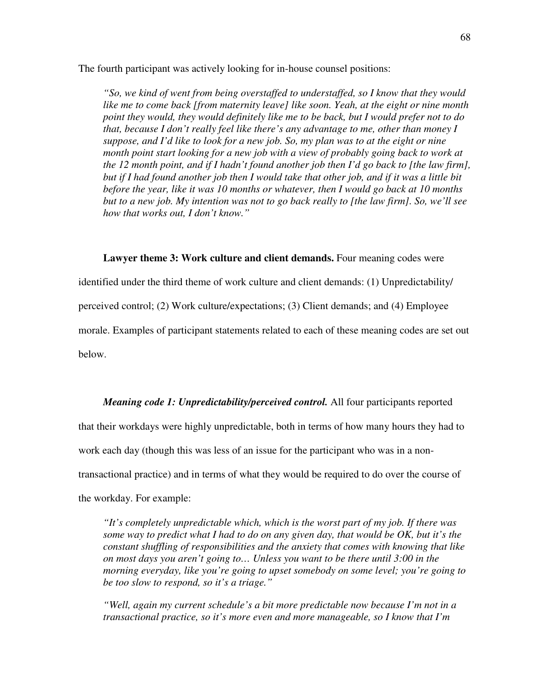The fourth participant was actively looking for in-house counsel positions:

*"So, we kind of went from being overstaffed to understaffed, so I know that they would like me to come back [from maternity leave] like soon. Yeah, at the eight or nine month point they would, they would definitely like me to be back, but I would prefer not to do that, because I don't really feel like there's any advantage to me, other than money I suppose, and I'd like to look for a new job. So, my plan was to at the eight or nine*  month point start looking for a new job with a view of probably going back to work at *the 12 month point, and if I hadn't found another job then I'd go back to [the law firm], but if I had found another job then I would take that other job, and if it was a little bit before the year, like it was 10 months or whatever, then I would go back at 10 months but to a new job. My intention was not to go back really to [the law firm]. So, we'll see how that works out, I don't know."* 

Lawyer theme 3: Work culture and client demands. Four meaning codes were identified under the third theme of work culture and client demands: (1) Unpredictability/ perceived control; (2) Work culture/expectations; (3) Client demands; and (4) Employee morale. Examples of participant statements related to each of these meaning codes are set out below.

#### *Meaning code 1: Unpredictability/perceived control.* All four participants reported

that their workdays were highly unpredictable, both in terms of how many hours they had to work each day (though this was less of an issue for the participant who was in a nontransactional practice) and in terms of what they would be required to do over the course of the workday. For example:

*"It's completely unpredictable which, which is the worst part of my job. If there was some way to predict what I had to do on any given day, that would be OK, but it's the constant shuffling of responsibilities and the anxiety that comes with knowing that like on most days you aren't going to… Unless you want to be there until 3:00 in the morning everyday, like you're going to upset somebody on some level; you're going to be too slow to respond, so it's a triage."* 

*"Well, again my current schedule's a bit more predictable now because I'm not in a transactional practice, so it's more even and more manageable, so I know that I'm*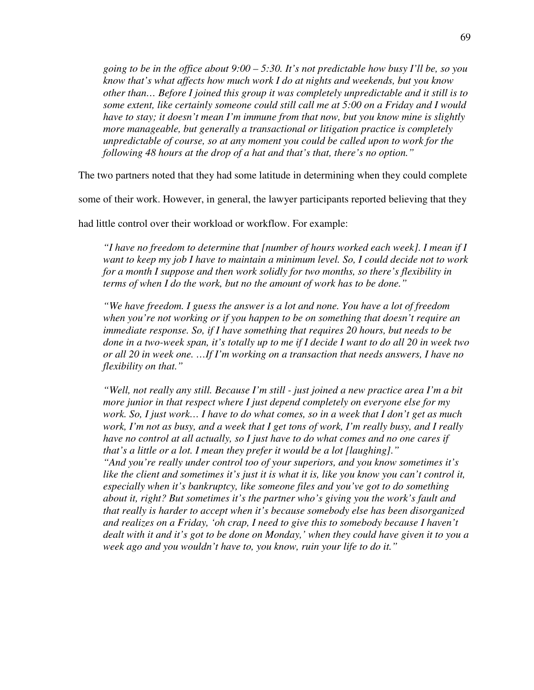*going to be in the office about 9:00 – 5:30. It's not predictable how busy I'll be, so you know that's what affects how much work I do at nights and weekends, but you know other than… Before I joined this group it was completely unpredictable and it still is to some extent, like certainly someone could still call me at 5:00 on a Friday and I would have to stay; it doesn't mean I'm immune from that now, but you know mine is slightly more manageable, but generally a transactional or litigation practice is completely unpredictable of course, so at any moment you could be called upon to work for the following 48 hours at the drop of a hat and that's that, there's no option."* 

The two partners noted that they had some latitude in determining when they could complete

some of their work. However, in general, the lawyer participants reported believing that they

had little control over their workload or workflow. For example:

*"I have no freedom to determine that [number of hours worked each week]. I mean if I want to keep my job I have to maintain a minimum level. So, I could decide not to work for a month I suppose and then work solidly for two months, so there's flexibility in terms of when I do the work, but no the amount of work has to be done."* 

*"We have freedom. I guess the answer is a lot and none. You have a lot of freedom when you're not working or if you happen to be on something that doesn't require an immediate response. So, if I have something that requires 20 hours, but needs to be done in a two-week span, it's totally up to me if I decide I want to do all 20 in week two or all 20 in week one. …If I'm working on a transaction that needs answers, I have no flexibility on that."* 

*"Well, not really any still. Because I'm still - just joined a new practice area I'm a bit more junior in that respect where I just depend completely on everyone else for my work. So, I just work… I have to do what comes, so in a week that I don't get as much work, I'm not as busy, and a week that I get tons of work, I'm really busy, and I really have no control at all actually, so I just have to do what comes and no one cares if that's a little or a lot. I mean they prefer it would be a lot [laughing]." "And you're really under control too of your superiors, and you know sometimes it's like the client and sometimes it's just it is what it is, like you know you can't control it, especially when it's bankruptcy, like someone files and you've got to do something about it, right? But sometimes it's the partner who's giving you the work's fault and that really is harder to accept when it's because somebody else has been disorganized and realizes on a Friday, 'oh crap, I need to give this to somebody because I haven't dealt with it and it's got to be done on Monday,' when they could have given it to you a week ago and you wouldn't have to, you know, ruin your life to do it."*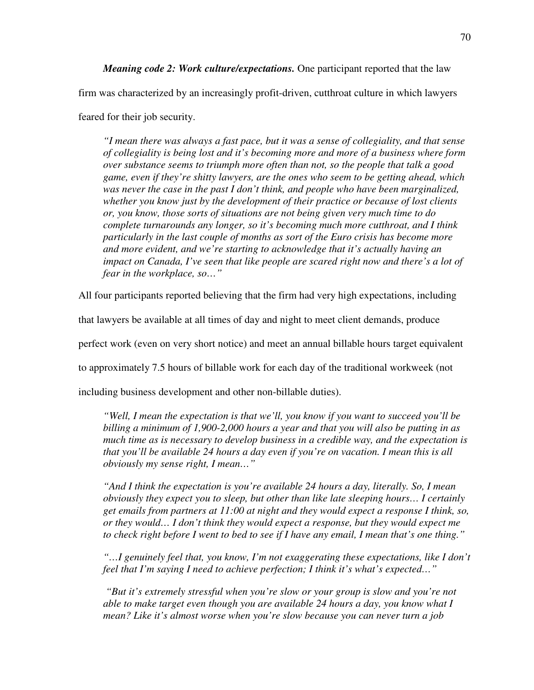*Meaning code 2: Work culture/expectations.* One participant reported that the law

firm was characterized by an increasingly profit-driven, cutthroat culture in which lawyers

feared for their job security.

*"I mean there was always a fast pace, but it was a sense of collegiality, and that sense of collegiality is being lost and it's becoming more and more of a business where form over substance seems to triumph more often than not, so the people that talk a good game, even if they're shitty lawyers, are the ones who seem to be getting ahead, which*  was never the case in the past I don't think, and people who have been marginalized, *whether you know just by the development of their practice or because of lost clients or, you know, those sorts of situations are not being given very much time to do complete turnarounds any longer, so it's becoming much more cutthroat, and I think particularly in the last couple of months as sort of the Euro crisis has become more and more evident, and we're starting to acknowledge that it's actually having an impact on Canada, I've seen that like people are scared right now and there's a lot of fear in the workplace, so…"* 

All four participants reported believing that the firm had very high expectations, including

that lawyers be available at all times of day and night to meet client demands, produce

perfect work (even on very short notice) and meet an annual billable hours target equivalent

to approximately 7.5 hours of billable work for each day of the traditional workweek (not

including business development and other non-billable duties).

*"Well, I mean the expectation is that we'll, you know if you want to succeed you'll be billing a minimum of 1,900-2,000 hours a year and that you will also be putting in as much time as is necessary to develop business in a credible way, and the expectation is that you'll be available 24 hours a day even if you're on vacation. I mean this is all obviously my sense right, I mean…"* 

*"And I think the expectation is you're available 24 hours a day, literally. So, I mean obviously they expect you to sleep, but other than like late sleeping hours… I certainly get emails from partners at 11:00 at night and they would expect a response I think, so, or they would… I don't think they would expect a response, but they would expect me to check right before I went to bed to see if I have any email, I mean that's one thing."* 

*"…I genuinely feel that, you know, I'm not exaggerating these expectations, like I don't feel that I'm saying I need to achieve perfection; I think it's what's expected…"*

 *"But it's extremely stressful when you're slow or your group is slow and you're not able to make target even though you are available 24 hours a day, you know what I mean? Like it's almost worse when you're slow because you can never turn a job*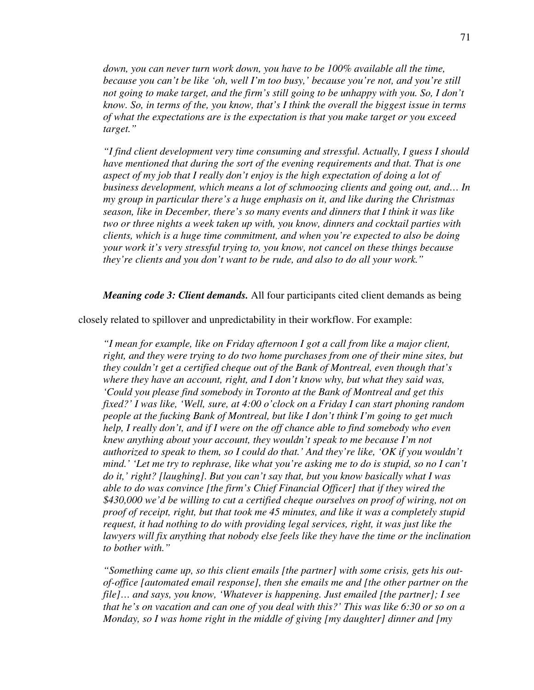*down, you can never turn work down, you have to be 100% available all the time, because you can't be like 'oh, well I'm too busy,' because you're not, and you're still*  not going to make target, and the firm's still going to be unhappy with you. So, I don't *know. So, in terms of the, you know, that's I think the overall the biggest issue in terms of what the expectations are is the expectation is that you make target or you exceed target."* 

*"I find client development very time consuming and stressful. Actually, I guess I should have mentioned that during the sort of the evening requirements and that. That is one aspect of my job that I really don't enjoy is the high expectation of doing a lot of business development, which means a lot of schmoozing clients and going out, and… In my group in particular there's a huge emphasis on it, and like during the Christmas season, like in December, there's so many events and dinners that I think it was like two or three nights a week taken up with, you know, dinners and cocktail parties with clients, which is a huge time commitment, and when you're expected to also be doing your work it's very stressful trying to, you know, not cancel on these things because they're clients and you don't want to be rude, and also to do all your work."* 

*Meaning code 3: Client demands.* All four participants cited client demands as being

closely related to spillover and unpredictability in their workflow. For example:

*"I mean for example, like on Friday afternoon I got a call from like a major client, right, and they were trying to do two home purchases from one of their mine sites, but they couldn't get a certified cheque out of the Bank of Montreal, even though that's where they have an account, right, and I don't know why, but what they said was, 'Could you please find somebody in Toronto at the Bank of Montreal and get this fixed?' I was like, 'Well, sure, at 4:00 o'clock on a Friday I can start phoning random people at the fucking Bank of Montreal, but like I don't think I'm going to get much help, I really don't, and if I were on the off chance able to find somebody who even knew anything about your account, they wouldn't speak to me because I'm not authorized to speak to them, so I could do that.' And they're like, 'OK if you wouldn't mind.' 'Let me try to rephrase, like what you're asking me to do is stupid, so no I can't do it,' right? [laughing]. But you can't say that, but you know basically what I was able to do was convince [the firm's Chief Financial Officer] that if they wired the \$430,000 we'd be willing to cut a certified cheque ourselves on proof of wiring, not on proof of receipt, right, but that took me 45 minutes, and like it was a completely stupid request, it had nothing to do with providing legal services, right, it was just like the lawyers will fix anything that nobody else feels like they have the time or the inclination to bother with."* 

*"Something came up, so this client emails [the partner] with some crisis, gets his outof-office [automated email response], then she emails me and [the other partner on the file]… and says, you know, 'Whatever is happening. Just emailed [the partner]; I see that he's on vacation and can one of you deal with this?' This was like 6:30 or so on a Monday, so I was home right in the middle of giving [my daughter] dinner and [my*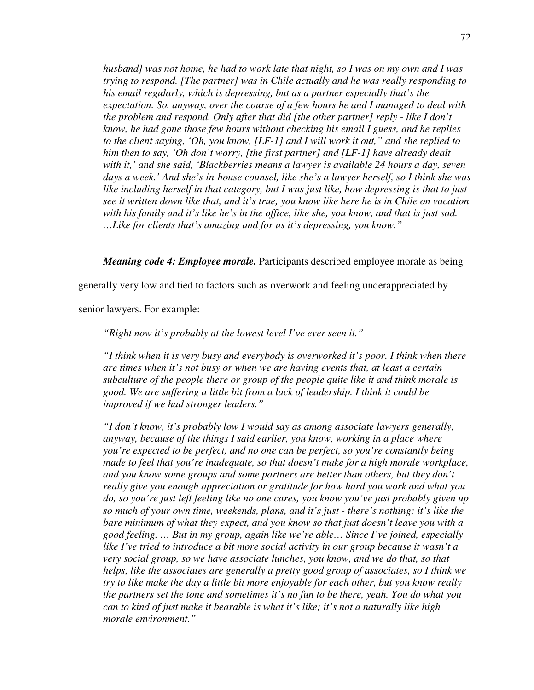*husband] was not home, he had to work late that night, so I was on my own and I was trying to respond. [The partner] was in Chile actually and he was really responding to his email regularly, which is depressing, but as a partner especially that's the expectation. So, anyway, over the course of a few hours he and I managed to deal with the problem and respond. Only after that did [the other partner] reply - like I don't know, he had gone those few hours without checking his email I guess, and he replies to the client saying, 'Oh, you know, [LF-1] and I will work it out," and she replied to him then to say, 'Oh don't worry, [the first partner] and [LF-1] have already dealt with it,' and she said, 'Blackberries means a lawyer is available 24 hours a day, seven days a week.' And she's in-house counsel, like she's a lawyer herself, so I think she was like including herself in that category, but I was just like, how depressing is that to just see it written down like that, and it's true, you know like here he is in Chile on vacation with his family and it's like he's in the office, like she, you know, and that is just sad. …Like for clients that's amazing and for us it's depressing, you know."* 

*Meaning code 4: Employee morale.* Participants described employee morale as being

generally very low and tied to factors such as overwork and feeling underappreciated by

senior lawyers. For example:

*"Right now it's probably at the lowest level I've ever seen it."* 

*"I think when it is very busy and everybody is overworked it's poor. I think when there are times when it's not busy or when we are having events that, at least a certain subculture of the people there or group of the people quite like it and think morale is good. We are suffering a little bit from a lack of leadership. I think it could be improved if we had stronger leaders."* 

*"I don't know, it's probably low I would say as among associate lawyers generally, anyway, because of the things I said earlier, you know, working in a place where you're expected to be perfect, and no one can be perfect, so you're constantly being made to feel that you're inadequate, so that doesn't make for a high morale workplace, and you know some groups and some partners are better than others, but they don't really give you enough appreciation or gratitude for how hard you work and what you do, so you're just left feeling like no one cares, you know you've just probably given up so much of your own time, weekends, plans, and it's just - there's nothing; it's like the bare minimum of what they expect, and you know so that just doesn't leave you with a good feeling. … But in my group, again like we're able… Since I've joined, especially like I've tried to introduce a bit more social activity in our group because it wasn't a very social group, so we have associate lunches, you know, and we do that, so that helps, like the associates are generally a pretty good group of associates, so I think we try to like make the day a little bit more enjoyable for each other, but you know really the partners set the tone and sometimes it's no fun to be there, yeah. You do what you can to kind of just make it bearable is what it's like; it's not a naturally like high morale environment."*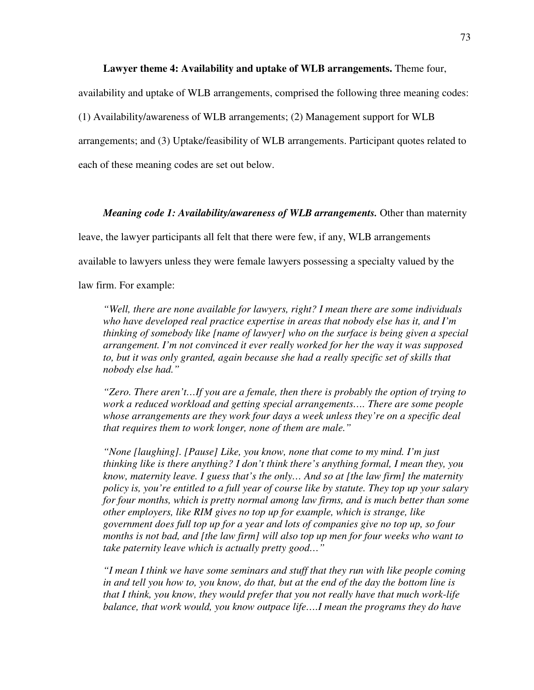## **Lawyer theme 4: Availability and uptake of WLB arrangements.** Theme four,

availability and uptake of WLB arrangements, comprised the following three meaning codes:

(1) Availability/awareness of WLB arrangements; (2) Management support for WLB

arrangements; and (3) Uptake/feasibility of WLB arrangements. Participant quotes related to

each of these meaning codes are set out below.

## *Meaning code 1: Availability/awareness of WLB arrangements.* Other than maternity

leave, the lawyer participants all felt that there were few, if any, WLB arrangements

available to lawyers unless they were female lawyers possessing a specialty valued by the

law firm. For example:

*"Well, there are none available for lawyers, right? I mean there are some individuals who have developed real practice expertise in areas that nobody else has it, and I'm thinking of somebody like [name of lawyer] who on the surface is being given a special arrangement. I'm not convinced it ever really worked for her the way it was supposed*  to, but it was only granted, again because she had a really specific set of skills that *nobody else had."* 

*"Zero. There aren't…If you are a female, then there is probably the option of trying to work a reduced workload and getting special arrangements…. There are some people whose arrangements are they work four days a week unless they're on a specific deal that requires them to work longer, none of them are male."* 

*"None [laughing]. [Pause] Like, you know, none that come to my mind. I'm just thinking like is there anything? I don't think there's anything formal, I mean they, you know, maternity leave. I guess that's the only… And so at [the law firm] the maternity policy is, you're entitled to a full year of course like by statute. They top up your salary for four months, which is pretty normal among law firms, and is much better than some other employers, like RIM gives no top up for example, which is strange, like government does full top up for a year and lots of companies give no top up, so four months is not bad, and [the law firm] will also top up men for four weeks who want to take paternity leave which is actually pretty good…"* 

*"I mean I think we have some seminars and stuff that they run with like people coming in and tell you how to, you know, do that, but at the end of the day the bottom line is that I think, you know, they would prefer that you not really have that much work-life balance, that work would, you know outpace life….I mean the programs they do have*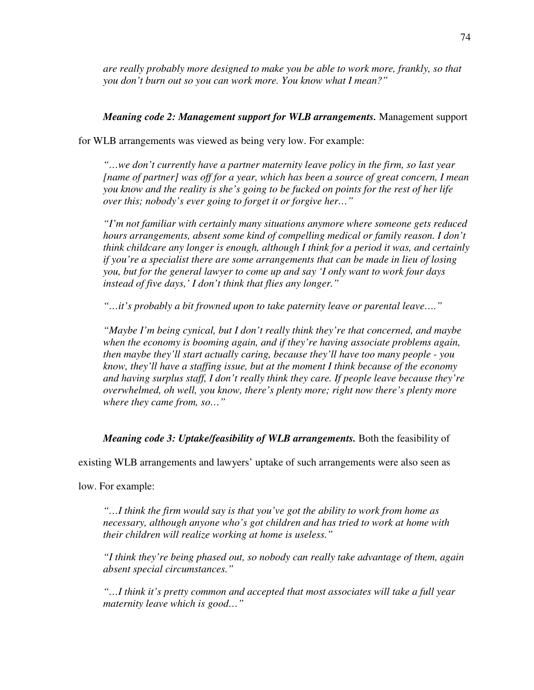*are really probably more designed to make you be able to work more, frankly, so that you don't burn out so you can work more. You know what I mean?"* 

## *Meaning code 2: Management support for WLB arrangements.* Management support

for WLB arrangements was viewed as being very low. For example:

*"…we don't currently have a partner maternity leave policy in the firm, so last year [name of partner] was off for a year, which has been a source of great concern, I mean you know and the reality is she's going to be fucked on points for the rest of her life over this; nobody's ever going to forget it or forgive her…"* 

*"I'm not familiar with certainly many situations anymore where someone gets reduced hours arrangements, absent some kind of compelling medical or family reason. I don't think childcare any longer is enough, although I think for a period it was, and certainly if you're a specialist there are some arrangements that can be made in lieu of losing you, but for the general lawyer to come up and say 'I only want to work four days instead of five days,' I don't think that flies any longer."* 

*"…it's probably a bit frowned upon to take paternity leave or parental leave…."* 

*"Maybe I'm being cynical, but I don't really think they're that concerned, and maybe when the economy is booming again, and if they're having associate problems again, then maybe they'll start actually caring, because they'll have too many people - you know, they'll have a staffing issue, but at the moment I think because of the economy and having surplus staff, I don't really think they care. If people leave because they're overwhelmed, oh well, you know, there's plenty more; right now there's plenty more where they came from, so…"* 

*Meaning code 3: Uptake/feasibility of WLB arrangements.* Both the feasibility of

existing WLB arrangements and lawyers' uptake of such arrangements were also seen as

low. For example:

*"…I think the firm would say is that you've got the ability to work from home as necessary, although anyone who's got children and has tried to work at home with their children will realize working at home is useless."* 

*"I think they're being phased out, so nobody can really take advantage of them, again absent special circumstances."* 

*"…I think it's pretty common and accepted that most associates will take a full year maternity leave which is good…"*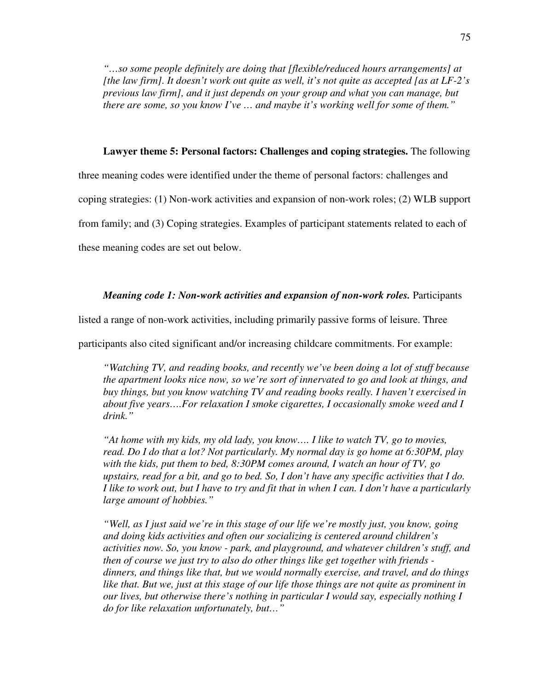*"…so some people definitely are doing that [flexible/reduced hours arrangements] at [the law firm]. It doesn't work out quite as well, it's not quite as accepted [as at LF-2's previous law firm], and it just depends on your group and what you can manage, but there are some, so you know I've … and maybe it's working well for some of them."* 

### **Lawyer theme 5: Personal factors: Challenges and coping strategies.** The following

three meaning codes were identified under the theme of personal factors: challenges and coping strategies: (1) Non-work activities and expansion of non-work roles; (2) WLB support from family; and (3) Coping strategies. Examples of participant statements related to each of

these meaning codes are set out below.

## *Meaning code 1: Non-work activities and expansion of non-work roles.* Participants

listed a range of non-work activities, including primarily passive forms of leisure. Three

participants also cited significant and/or increasing childcare commitments. For example:

*"Watching TV, and reading books, and recently we've been doing a lot of stuff because the apartment looks nice now, so we're sort of innervated to go and look at things, and buy things, but you know watching TV and reading books really. I haven't exercised in about five years….For relaxation I smoke cigarettes, I occasionally smoke weed and I drink."* 

*"At home with my kids, my old lady, you know…. I like to watch TV, go to movies, read. Do I do that a lot? Not particularly. My normal day is go home at 6:30PM, play with the kids, put them to bed, 8:30PM comes around, I watch an hour of TV, go upstairs, read for a bit, and go to bed. So, I don't have any specific activities that I do. I like to work out, but I have to try and fit that in when I can. I don't have a particularly large amount of hobbies."* 

*"Well, as I just said we're in this stage of our life we're mostly just, you know, going and doing kids activities and often our socializing is centered around children's activities now. So, you know - park, and playground, and whatever children's stuff, and then of course we just try to also do other things like get together with friends dinners, and things like that, but we would normally exercise, and travel, and do things like that. But we, just at this stage of our life those things are not quite as prominent in our lives, but otherwise there's nothing in particular I would say, especially nothing I do for like relaxation unfortunately, but…"*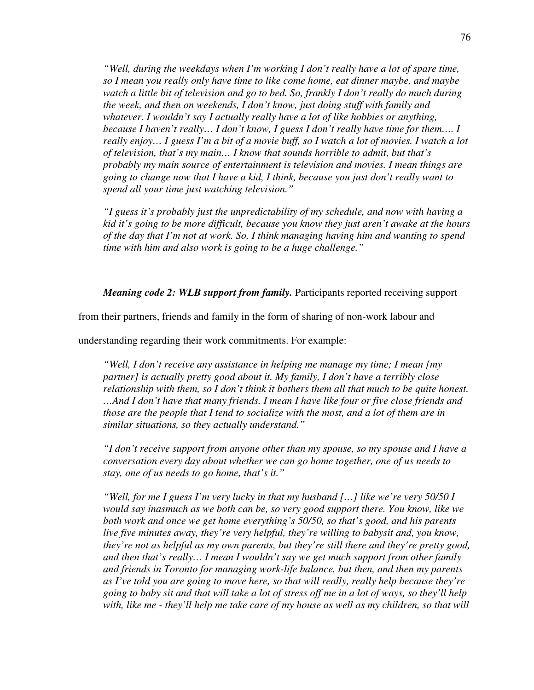*"Well, during the weekdays when I'm working I don't really have a lot of spare time, so I mean you really only have time to like come home, eat dinner maybe, and maybe watch a little bit of television and go to bed. So, frankly I don't really do much during the week, and then on weekends, I don't know, just doing stuff with family and whatever. I wouldn't say I actually really have a lot of like hobbies or anything, because I haven't really… I don't know, I guess I don't really have time for them…. I really enjoy… I guess I'm a bit of a movie buff, so I watch a lot of movies. I watch a lot of television, that's my main… I know that sounds horrible to admit, but that's probably my main source of entertainment is television and movies. I mean things are going to change now that I have a kid, I think, because you just don't really want to spend all your time just watching television."* 

*"I guess it's probably just the unpredictability of my schedule, and now with having a kid it's going to be more difficult, because you know they just aren't awake at the hours of the day that I'm not at work. So, I think managing having him and wanting to spend time with him and also work is going to be a huge challenge."* 

*Meaning code 2: WLB support from family.* Participants reported receiving support

from their partners, friends and family in the form of sharing of non-work labour and

understanding regarding their work commitments. For example:

*"Well, I don't receive any assistance in helping me manage my time; I mean [my partner] is actually pretty good about it. My family, I don't have a terribly close relationship with them, so I don't think it bothers them all that much to be quite honest. …And I don't have that many friends. I mean I have like four or five close friends and those are the people that I tend to socialize with the most, and a lot of them are in similar situations, so they actually understand."* 

*"I don't receive support from anyone other than my spouse, so my spouse and I have a conversation every day about whether we can go home together, one of us needs to stay, one of us needs to go home, that's it."* 

*"Well, for me I guess I'm very lucky in that my husband […] like we're very 50/50 I would say inasmuch as we both can be, so very good support there. You know, like we both work and once we get home everything's 50/50, so that's good, and his parents live five minutes away, they're very helpful, they're willing to babysit and, you know, they're not as helpful as my own parents, but they're still there and they're pretty good, and then that's really… I mean I wouldn't say we get much support from other family and friends in Toronto for managing work-life balance, but then, and then my parents as I've told you are going to move here, so that will really, really help because they're going to baby sit and that will take a lot of stress off me in a lot of ways, so they'll help*  with, like me - they'll help me take care of my house as well as my children, so that will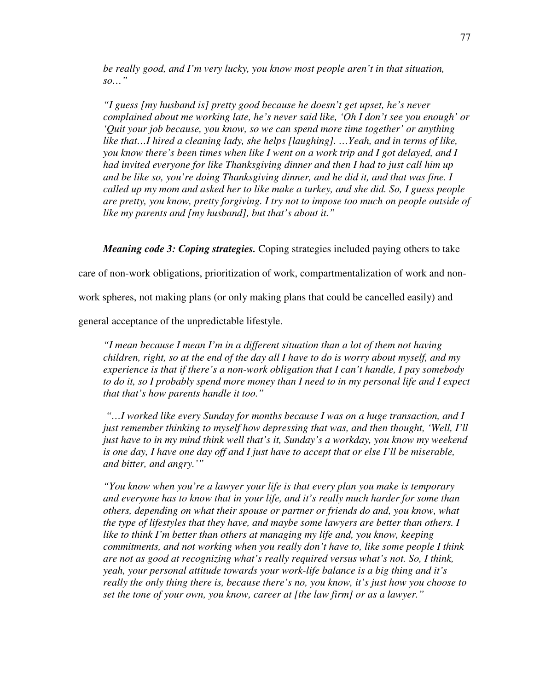*be really good, and I'm very lucky, you know most people aren't in that situation, so…"* 

*"I guess [my husband is] pretty good because he doesn't get upset, he's never complained about me working late, he's never said like, 'Oh I don't see you enough' or 'Quit your job because, you know, so we can spend more time together' or anything like that…I hired a cleaning lady, she helps [laughing]. …Yeah, and in terms of like, you know there's been times when like I went on a work trip and I got delayed, and I had invited everyone for like Thanksgiving dinner and then I had to just call him up and be like so, you're doing Thanksgiving dinner, and he did it, and that was fine. I called up my mom and asked her to like make a turkey, and she did. So, I guess people are pretty, you know, pretty forgiving. I try not to impose too much on people outside of like my parents and [my husband], but that's about it."* 

*Meaning code 3: Coping strategies.* Coping strategies included paying others to take

care of non-work obligations, prioritization of work, compartmentalization of work and non-

work spheres, not making plans (or only making plans that could be cancelled easily) and

general acceptance of the unpredictable lifestyle.

*"I mean because I mean I'm in a different situation than a lot of them not having children, right, so at the end of the day all I have to do is worry about myself, and my experience is that if there's a non-work obligation that I can't handle, I pay somebody to do it, so I probably spend more money than I need to in my personal life and I expect that that's how parents handle it too."* 

 *"…I worked like every Sunday for months because I was on a huge transaction, and I just remember thinking to myself how depressing that was, and then thought, 'Well, I'll just have to in my mind think well that's it, Sunday's a workday, you know my weekend is one day, I have one day off and I just have to accept that or else I'll be miserable, and bitter, and angry.'"* 

*"You know when you're a lawyer your life is that every plan you make is temporary and everyone has to know that in your life, and it's really much harder for some than others, depending on what their spouse or partner or friends do and, you know, what the type of lifestyles that they have, and maybe some lawyers are better than others. I like to think I'm better than others at managing my life and, you know, keeping commitments, and not working when you really don't have to, like some people I think are not as good at recognizing what's really required versus what's not. So, I think, yeah, your personal attitude towards your work-life balance is a big thing and it's really the only thing there is, because there's no, you know, it's just how you choose to set the tone of your own, you know, career at [the law firm] or as a lawyer."*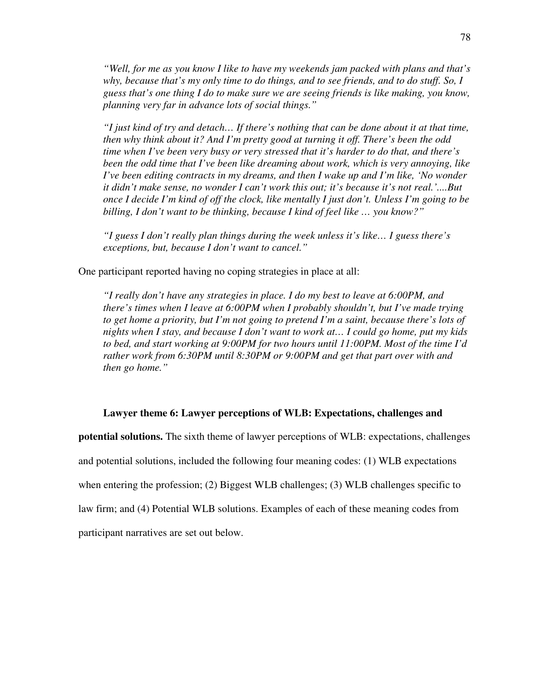*"Well, for me as you know I like to have my weekends jam packed with plans and that's why, because that's my only time to do things, and to see friends, and to do stuff. So, I guess that's one thing I do to make sure we are seeing friends is like making, you know, planning very far in advance lots of social things."* 

*"I just kind of try and detach… If there's nothing that can be done about it at that time, then why think about it? And I'm pretty good at turning it off. There's been the odd time when I've been very busy or very stressed that it's harder to do that, and there's been the odd time that I've been like dreaming about work, which is very annoying, like I've been editing contracts in my dreams, and then I wake up and I'm like, 'No wonder it didn't make sense, no wonder I can't work this out; it's because it's not real.'....But once I decide I'm kind of off the clock, like mentally I just don't. Unless I'm going to be billing, I don't want to be thinking, because I kind of feel like … you know?"* 

*"I guess I don't really plan things during the week unless it's like… I guess there's exceptions, but, because I don't want to cancel."* 

One participant reported having no coping strategies in place at all:

*"I really don't have any strategies in place. I do my best to leave at 6:00PM, and there's times when I leave at 6:00PM when I probably shouldn't, but I've made trying to get home a priority, but I'm not going to pretend I'm a saint, because there's lots of nights when I stay, and because I don't want to work at… I could go home, put my kids to bed, and start working at 9:00PM for two hours until 11:00PM. Most of the time I'd rather work from 6:30PM until 8:30PM or 9:00PM and get that part over with and then go home."* 

### **Lawyer theme 6: Lawyer perceptions of WLB: Expectations, challenges and**

**potential solutions.** The sixth theme of lawyer perceptions of WLB: expectations, challenges and potential solutions, included the following four meaning codes: (1) WLB expectations when entering the profession; (2) Biggest WLB challenges; (3) WLB challenges specific to law firm; and (4) Potential WLB solutions. Examples of each of these meaning codes from participant narratives are set out below.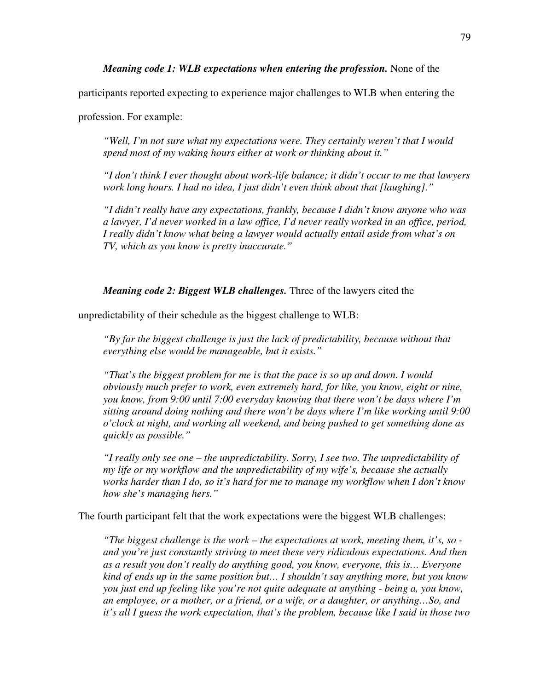*Meaning code 1: WLB expectations when entering the profession.* None of the

participants reported expecting to experience major challenges to WLB when entering the

profession. For example:

*"Well, I'm not sure what my expectations were. They certainly weren't that I would spend most of my waking hours either at work or thinking about it."* 

*"I don't think I ever thought about work-life balance; it didn't occur to me that lawyers work long hours. I had no idea, I just didn't even think about that [laughing]."* 

*"I didn't really have any expectations, frankly, because I didn't know anyone who was a lawyer, I'd never worked in a law office, I'd never really worked in an office, period, I really didn't know what being a lawyer would actually entail aside from what's on TV, which as you know is pretty inaccurate."* 

*Meaning code 2: Biggest WLB challenges.* Three of the lawyers cited the

unpredictability of their schedule as the biggest challenge to WLB:

*"By far the biggest challenge is just the lack of predictability, because without that everything else would be manageable, but it exists."* 

*"That's the biggest problem for me is that the pace is so up and down. I would obviously much prefer to work, even extremely hard, for like, you know, eight or nine, you know, from 9:00 until 7:00 everyday knowing that there won't be days where I'm sitting around doing nothing and there won't be days where I'm like working until 9:00 o'clock at night, and working all weekend, and being pushed to get something done as quickly as possible."* 

*"I really only see one – the unpredictability. Sorry, I see two. The unpredictability of my life or my workflow and the unpredictability of my wife's, because she actually works harder than I do, so it's hard for me to manage my workflow when I don't know how she's managing hers."* 

The fourth participant felt that the work expectations were the biggest WLB challenges:

*"The biggest challenge is the work – the expectations at work, meeting them, it's, so and you're just constantly striving to meet these very ridiculous expectations. And then as a result you don't really do anything good, you know, everyone, this is… Everyone kind of ends up in the same position but… I shouldn't say anything more, but you know you just end up feeling like you're not quite adequate at anything - being a, you know, an employee, or a mother, or a friend, or a wife, or a daughter, or anything…So, and it's all I guess the work expectation, that's the problem, because like I said in those two*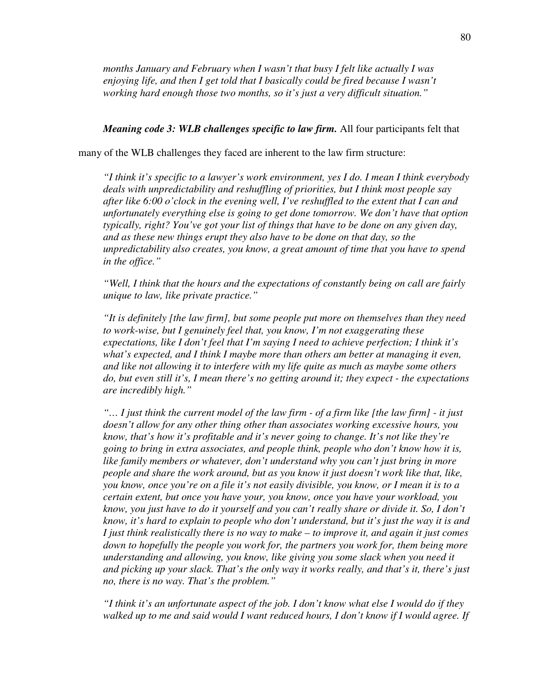*months January and February when I wasn't that busy I felt like actually I was enjoying life, and then I get told that I basically could be fired because I wasn't working hard enough those two months, so it's just a very difficult situation."* 

## *Meaning code 3: WLB challenges specific to law firm.* All four participants felt that

many of the WLB challenges they faced are inherent to the law firm structure:

*"I think it's specific to a lawyer's work environment, yes I do. I mean I think everybody deals with unpredictability and reshuffling of priorities, but I think most people say after like 6:00 o'clock in the evening well, I've reshuffled to the extent that I can and unfortunately everything else is going to get done tomorrow. We don't have that option typically, right? You've got your list of things that have to be done on any given day, and as these new things erupt they also have to be done on that day, so the unpredictability also creates, you know, a great amount of time that you have to spend in the office."* 

*"Well, I think that the hours and the expectations of constantly being on call are fairly unique to law, like private practice."* 

*"It is definitely [the law firm], but some people put more on themselves than they need to work-wise, but I genuinely feel that, you know, I'm not exaggerating these expectations, like I don't feel that I'm saying I need to achieve perfection; I think it's*  what's expected, and I think I maybe more than others am better at managing it even, *and like not allowing it to interfere with my life quite as much as maybe some others do, but even still it's, I mean there's no getting around it; they expect - the expectations are incredibly high."* 

*"… I just think the current model of the law firm - of a firm like [the law firm] - it just doesn't allow for any other thing other than associates working excessive hours, you know, that's how it's profitable and it's never going to change. It's not like they're going to bring in extra associates, and people think, people who don't know how it is, like family members or whatever, don't understand why you can't just bring in more people and share the work around, but as you know it just doesn't work like that, like, you know, once you're on a file it's not easily divisible, you know, or I mean it is to a certain extent, but once you have your, you know, once you have your workload, you know, you just have to do it yourself and you can't really share or divide it. So, I don't know, it's hard to explain to people who don't understand, but it's just the way it is and I just think realistically there is no way to make – to improve it, and again it just comes down to hopefully the people you work for, the partners you work for, them being more understanding and allowing, you know, like giving you some slack when you need it and picking up your slack. That's the only way it works really, and that's it, there's just no, there is no way. That's the problem."* 

*"I think it's an unfortunate aspect of the job. I don't know what else I would do if they*  walked up to me and said would I want reduced hours, I don't know if I would agree. If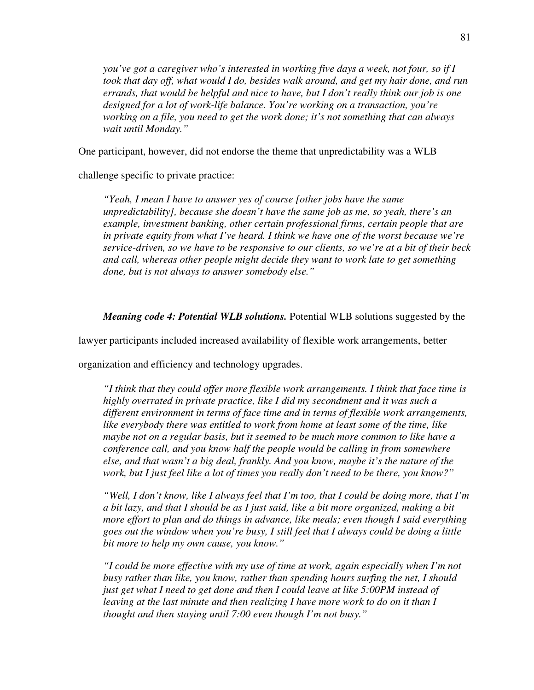*you've got a caregiver who's interested in working five days a week, not four, so if I took that day off, what would I do, besides walk around, and get my hair done, and run errands, that would be helpful and nice to have, but I don't really think our job is one designed for a lot of work-life balance. You're working on a transaction, you're working on a file, you need to get the work done; it's not something that can always wait until Monday."* 

One participant, however, did not endorse the theme that unpredictability was a WLB

challenge specific to private practice:

*"Yeah, I mean I have to answer yes of course [other jobs have the same unpredictability], because she doesn't have the same job as me, so yeah, there's an example, investment banking, other certain professional firms, certain people that are in private equity from what I've heard. I think we have one of the worst because we're service-driven, so we have to be responsive to our clients, so we're at a bit of their beck and call, whereas other people might decide they want to work late to get something done, but is not always to answer somebody else."* 

*Meaning code 4: Potential WLB solutions.* Potential WLB solutions suggested by the

lawyer participants included increased availability of flexible work arrangements, better

organization and efficiency and technology upgrades.

*"I think that they could offer more flexible work arrangements. I think that face time is highly overrated in private practice, like I did my secondment and it was such a different environment in terms of face time and in terms of flexible work arrangements, like everybody there was entitled to work from home at least some of the time, like maybe not on a regular basis, but it seemed to be much more common to like have a conference call, and you know half the people would be calling in from somewhere else, and that wasn't a big deal, frankly. And you know, maybe it's the nature of the work, but I just feel like a lot of times you really don't need to be there, you know?"* 

*"Well, I don't know, like I always feel that I'm too, that I could be doing more, that I'm a bit lazy, and that I should be as I just said, like a bit more organized, making a bit more effort to plan and do things in advance, like meals; even though I said everything goes out the window when you're busy, I still feel that I always could be doing a little bit more to help my own cause, you know."* 

*"I could be more effective with my use of time at work, again especially when I'm not busy rather than like, you know, rather than spending hours surfing the net, I should just get what I need to get done and then I could leave at like 5:00PM instead of leaving at the last minute and then realizing I have more work to do on it than I thought and then staying until 7:00 even though I'm not busy."*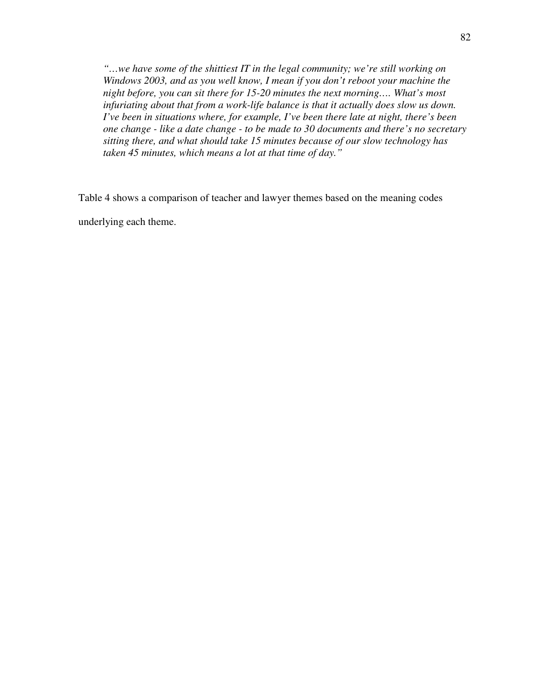*"…we have some of the shittiest IT in the legal community; we're still working on Windows 2003, and as you well know, I mean if you don't reboot your machine the night before, you can sit there for 15-20 minutes the next morning…. What's most infuriating about that from a work-life balance is that it actually does slow us down. I've been in situations where, for example, I've been there late at night, there's been one change - like a date change - to be made to 30 documents and there's no secretary sitting there, and what should take 15 minutes because of our slow technology has taken 45 minutes, which means a lot at that time of day."* 

Table 4 shows a comparison of teacher and lawyer themes based on the meaning codes

underlying each theme.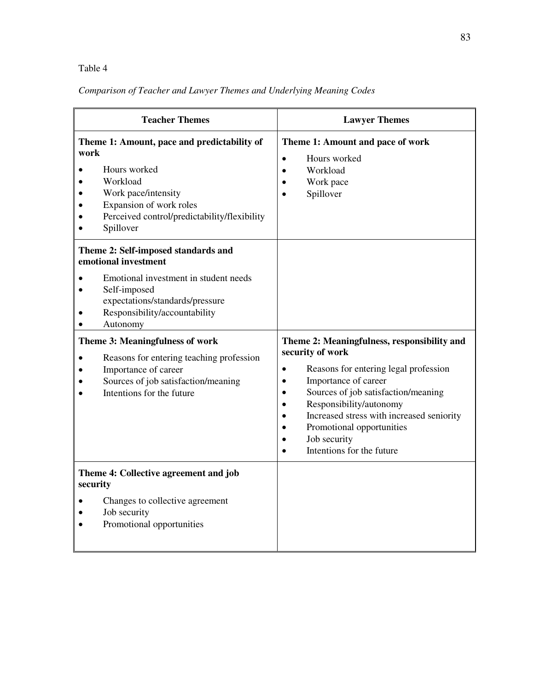# Table 4

# *Comparison of Teacher and Lawyer Themes and Underlying Meaning Codes*

| <b>Teacher Themes</b>                                                                                                                                                                                                                                                                                                                                                           | <b>Lawyer Themes</b>                                                                                                                                                                                                                                                                                                                                                                                    |
|---------------------------------------------------------------------------------------------------------------------------------------------------------------------------------------------------------------------------------------------------------------------------------------------------------------------------------------------------------------------------------|---------------------------------------------------------------------------------------------------------------------------------------------------------------------------------------------------------------------------------------------------------------------------------------------------------------------------------------------------------------------------------------------------------|
| Theme 1: Amount, pace and predictability of<br>work<br>Hours worked<br>Workload<br>Work pace/intensity<br>Expansion of work roles<br>Perceived control/predictability/flexibility<br>Spillover                                                                                                                                                                                  | Theme 1: Amount and pace of work<br>Hours worked<br>$\bullet$<br>Workload<br>$\bullet$<br>Work pace<br>Spillover<br>$\bullet$                                                                                                                                                                                                                                                                           |
| Theme 2: Self-imposed standards and<br>emotional investment<br>Emotional investment in student needs<br>Self-imposed<br>expectations/standards/pressure<br>Responsibility/accountability<br>Autonomy<br>Theme 3: Meaningfulness of work<br>Reasons for entering teaching profession<br>Importance of career<br>Sources of job satisfaction/meaning<br>Intentions for the future | Theme 2: Meaningfulness, responsibility and<br>security of work<br>Reasons for entering legal profession<br>$\bullet$<br>Importance of career<br>$\bullet$<br>Sources of job satisfaction/meaning<br>$\bullet$<br>Responsibility/autonomy<br>$\bullet$<br>Increased stress with increased seniority<br>$\bullet$<br>Promotional opportunities<br>Job security<br>Intentions for the future<br>$\bullet$ |
| Theme 4: Collective agreement and job<br>security<br>Changes to collective agreement<br>Job security<br>Promotional opportunities                                                                                                                                                                                                                                               |                                                                                                                                                                                                                                                                                                                                                                                                         |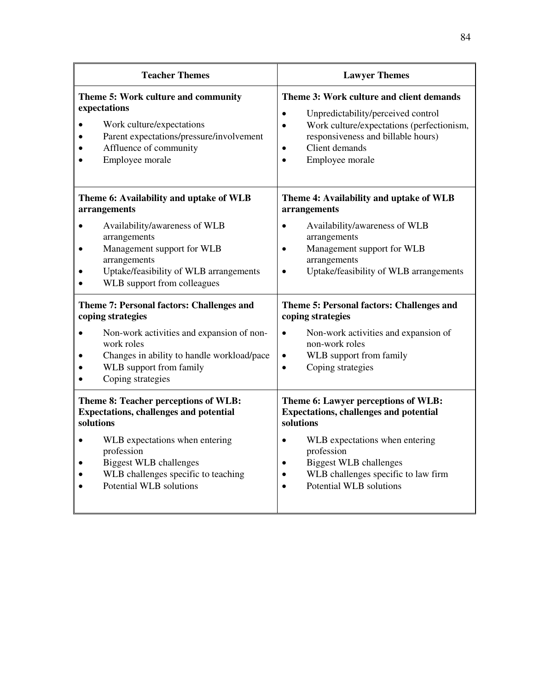| <b>Teacher Themes</b>                                                                                                                                                                                                                                              | <b>Lawyer Themes</b>                                                                                                                                                                                                                                                                                     |
|--------------------------------------------------------------------------------------------------------------------------------------------------------------------------------------------------------------------------------------------------------------------|----------------------------------------------------------------------------------------------------------------------------------------------------------------------------------------------------------------------------------------------------------------------------------------------------------|
| Theme 5: Work culture and community<br>expectations<br>Work culture/expectations<br>Parent expectations/pressure/involvement<br>Affluence of community<br>Employee morale                                                                                          | Theme 3: Work culture and client demands<br>Unpredictability/perceived control<br>$\bullet$<br>Work culture/expectations (perfectionism,<br>$\bullet$<br>responsiveness and billable hours)<br>Client demands<br>$\bullet$<br>Employee morale<br>$\bullet$                                               |
| Theme 6: Availability and uptake of WLB<br>arrangements<br>Availability/awareness of WLB<br>arrangements<br>Management support for WLB<br>$\bullet$<br>arrangements<br>Uptake/feasibility of WLB arrangements<br>WLB support from colleagues                       | Theme 4: Availability and uptake of WLB<br>arrangements<br>Availability/awareness of WLB<br>arrangements<br>Management support for WLB<br>$\bullet$<br>arrangements<br>Uptake/feasibility of WLB arrangements<br>$\bullet$                                                                               |
| <b>Theme 7: Personal factors: Challenges and</b><br>coping strategies<br>Non-work activities and expansion of non-<br>$\bullet$<br>work roles<br>Changes in ability to handle workload/pace<br>$\bullet$<br>WLB support from family<br>Coping strategies           | Theme 5: Personal factors: Challenges and<br>coping strategies<br>Non-work activities and expansion of<br>$\bullet$<br>non-work roles<br>WLB support from family<br>$\bullet$<br>Coping strategies<br>$\bullet$                                                                                          |
| Theme 8: Teacher perceptions of WLB:<br><b>Expectations, challenges and potential</b><br>solutions<br>WLB expectations when entering<br>$\bullet$<br>profession<br><b>Biggest WLB</b> challenges<br>WLB challenges specific to teaching<br>Potential WLB solutions | Theme 6: Lawyer perceptions of WLB:<br><b>Expectations, challenges and potential</b><br>solutions<br>WLB expectations when entering<br>$\bullet$<br>profession<br><b>Biggest WLB</b> challenges<br>$\bullet$<br>WLB challenges specific to law firm<br>$\bullet$<br>Potential WLB solutions<br>$\bullet$ |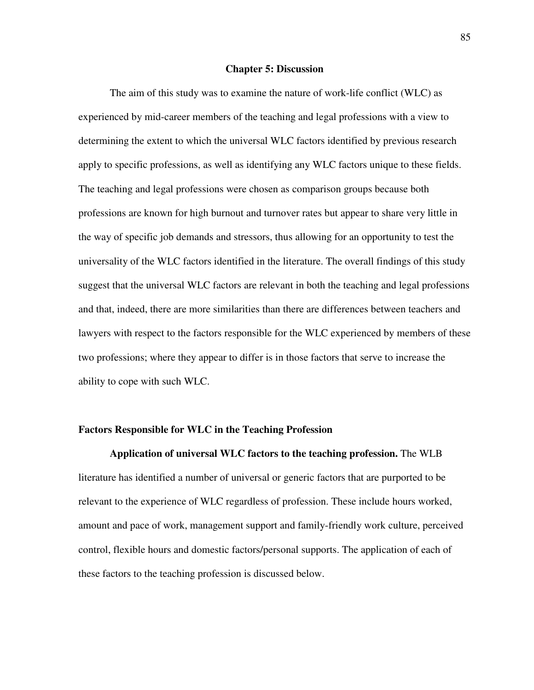#### **Chapter 5: Discussion**

The aim of this study was to examine the nature of work-life conflict (WLC) as experienced by mid-career members of the teaching and legal professions with a view to determining the extent to which the universal WLC factors identified by previous research apply to specific professions, as well as identifying any WLC factors unique to these fields. The teaching and legal professions were chosen as comparison groups because both professions are known for high burnout and turnover rates but appear to share very little in the way of specific job demands and stressors, thus allowing for an opportunity to test the universality of the WLC factors identified in the literature. The overall findings of this study suggest that the universal WLC factors are relevant in both the teaching and legal professions and that, indeed, there are more similarities than there are differences between teachers and lawyers with respect to the factors responsible for the WLC experienced by members of these two professions; where they appear to differ is in those factors that serve to increase the ability to cope with such WLC.

## **Factors Responsible for WLC in the Teaching Profession**

#### **Application of universal WLC factors to the teaching profession.** The WLB

literature has identified a number of universal or generic factors that are purported to be relevant to the experience of WLC regardless of profession. These include hours worked, amount and pace of work, management support and family-friendly work culture, perceived control, flexible hours and domestic factors/personal supports. The application of each of these factors to the teaching profession is discussed below.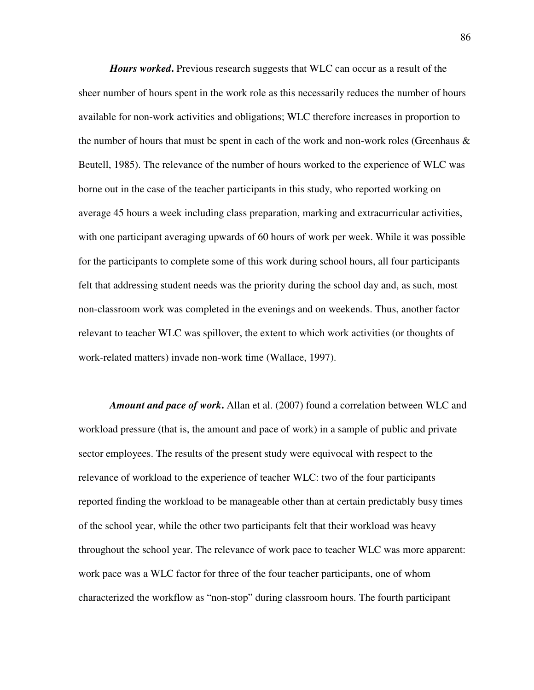*Hours worked***.** Previous research suggests that WLC can occur as a result of the sheer number of hours spent in the work role as this necessarily reduces the number of hours available for non-work activities and obligations; WLC therefore increases in proportion to the number of hours that must be spent in each of the work and non-work roles (Greenhaus  $\&$ Beutell, 1985). The relevance of the number of hours worked to the experience of WLC was borne out in the case of the teacher participants in this study, who reported working on average 45 hours a week including class preparation, marking and extracurricular activities, with one participant averaging upwards of 60 hours of work per week. While it was possible for the participants to complete some of this work during school hours, all four participants felt that addressing student needs was the priority during the school day and, as such, most non-classroom work was completed in the evenings and on weekends. Thus, another factor relevant to teacher WLC was spillover, the extent to which work activities (or thoughts of work-related matters) invade non-work time (Wallace, 1997).

*Amount and pace of work***.** Allan et al. (2007) found a correlation between WLC and workload pressure (that is, the amount and pace of work) in a sample of public and private sector employees. The results of the present study were equivocal with respect to the relevance of workload to the experience of teacher WLC: two of the four participants reported finding the workload to be manageable other than at certain predictably busy times of the school year, while the other two participants felt that their workload was heavy throughout the school year. The relevance of work pace to teacher WLC was more apparent: work pace was a WLC factor for three of the four teacher participants, one of whom characterized the workflow as "non-stop" during classroom hours. The fourth participant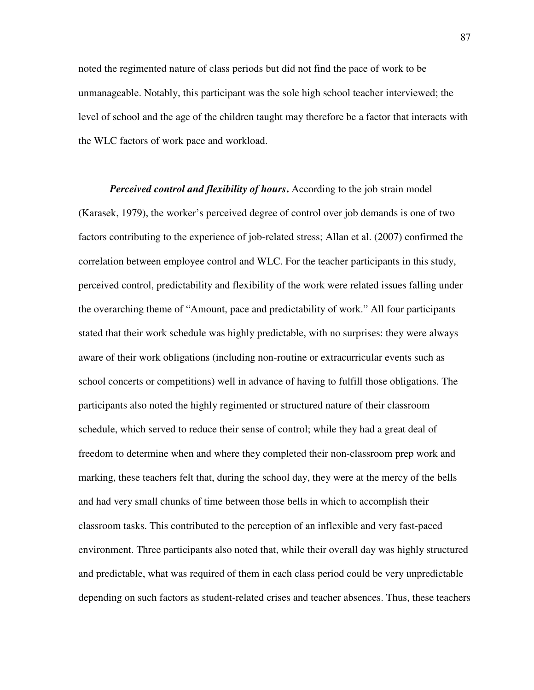noted the regimented nature of class periods but did not find the pace of work to be unmanageable. Notably, this participant was the sole high school teacher interviewed; the level of school and the age of the children taught may therefore be a factor that interacts with the WLC factors of work pace and workload.

*Perceived control and flexibility of hours***.** According to the job strain model (Karasek, 1979), the worker's perceived degree of control over job demands is one of two factors contributing to the experience of job-related stress; Allan et al. (2007) confirmed the correlation between employee control and WLC. For the teacher participants in this study, perceived control, predictability and flexibility of the work were related issues falling under the overarching theme of "Amount, pace and predictability of work." All four participants stated that their work schedule was highly predictable, with no surprises: they were always aware of their work obligations (including non-routine or extracurricular events such as school concerts or competitions) well in advance of having to fulfill those obligations. The participants also noted the highly regimented or structured nature of their classroom schedule, which served to reduce their sense of control; while they had a great deal of freedom to determine when and where they completed their non-classroom prep work and marking, these teachers felt that, during the school day, they were at the mercy of the bells and had very small chunks of time between those bells in which to accomplish their classroom tasks. This contributed to the perception of an inflexible and very fast-paced environment. Three participants also noted that, while their overall day was highly structured and predictable, what was required of them in each class period could be very unpredictable depending on such factors as student-related crises and teacher absences. Thus, these teachers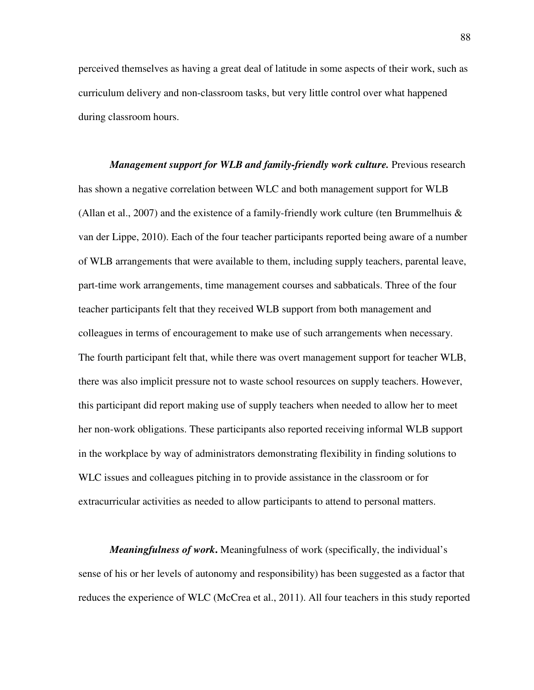perceived themselves as having a great deal of latitude in some aspects of their work, such as curriculum delivery and non-classroom tasks, but very little control over what happened during classroom hours.

*Management support for WLB and family-friendly work culture.* Previous research has shown a negative correlation between WLC and both management support for WLB (Allan et al., 2007) and the existence of a family-friendly work culture (ten Brummelhuis  $\&$ van der Lippe, 2010). Each of the four teacher participants reported being aware of a number of WLB arrangements that were available to them, including supply teachers, parental leave, part-time work arrangements, time management courses and sabbaticals. Three of the four teacher participants felt that they received WLB support from both management and colleagues in terms of encouragement to make use of such arrangements when necessary. The fourth participant felt that, while there was overt management support for teacher WLB, there was also implicit pressure not to waste school resources on supply teachers. However, this participant did report making use of supply teachers when needed to allow her to meet her non-work obligations. These participants also reported receiving informal WLB support in the workplace by way of administrators demonstrating flexibility in finding solutions to WLC issues and colleagues pitching in to provide assistance in the classroom or for extracurricular activities as needed to allow participants to attend to personal matters.

*Meaningfulness of work***.** Meaningfulness of work (specifically, the individual's sense of his or her levels of autonomy and responsibility) has been suggested as a factor that reduces the experience of WLC (McCrea et al., 2011). All four teachers in this study reported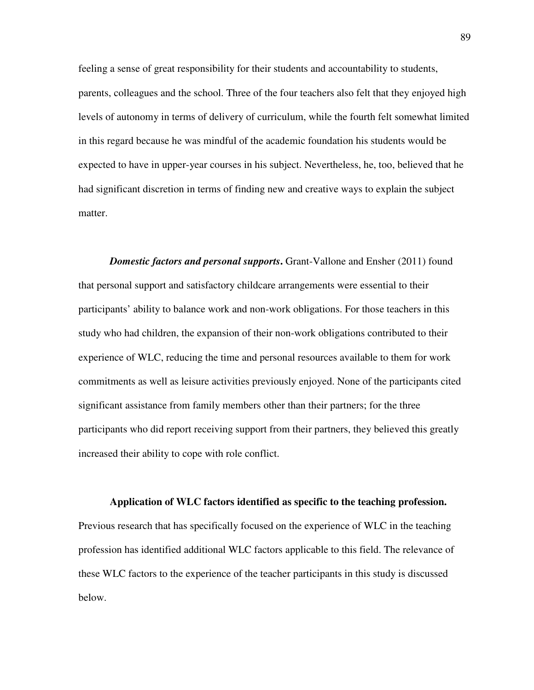feeling a sense of great responsibility for their students and accountability to students, parents, colleagues and the school. Three of the four teachers also felt that they enjoyed high levels of autonomy in terms of delivery of curriculum, while the fourth felt somewhat limited in this regard because he was mindful of the academic foundation his students would be expected to have in upper-year courses in his subject. Nevertheless, he, too, believed that he had significant discretion in terms of finding new and creative ways to explain the subject matter.

*Domestic factors and personal supports***.** Grant-Vallone and Ensher (2011) found that personal support and satisfactory childcare arrangements were essential to their participants' ability to balance work and non-work obligations. For those teachers in this study who had children, the expansion of their non-work obligations contributed to their experience of WLC, reducing the time and personal resources available to them for work commitments as well as leisure activities previously enjoyed. None of the participants cited significant assistance from family members other than their partners; for the three participants who did report receiving support from their partners, they believed this greatly increased their ability to cope with role conflict.

#### **Application of WLC factors identified as specific to the teaching profession.**

Previous research that has specifically focused on the experience of WLC in the teaching profession has identified additional WLC factors applicable to this field. The relevance of these WLC factors to the experience of the teacher participants in this study is discussed below.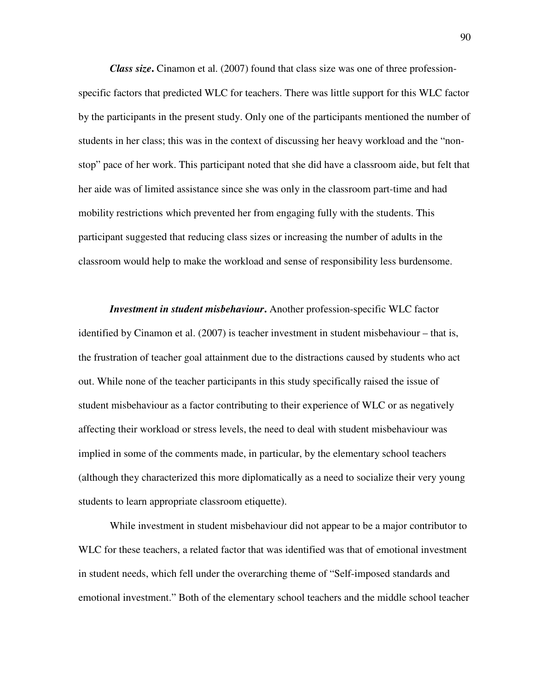*Class size***.** Cinamon et al. (2007) found that class size was one of three professionspecific factors that predicted WLC for teachers. There was little support for this WLC factor by the participants in the present study. Only one of the participants mentioned the number of students in her class; this was in the context of discussing her heavy workload and the "nonstop" pace of her work. This participant noted that she did have a classroom aide, but felt that her aide was of limited assistance since she was only in the classroom part-time and had mobility restrictions which prevented her from engaging fully with the students. This participant suggested that reducing class sizes or increasing the number of adults in the classroom would help to make the workload and sense of responsibility less burdensome.

*Investment in student misbehaviour***.** Another profession-specific WLC factor identified by Cinamon et al. (2007) is teacher investment in student misbehaviour – that is, the frustration of teacher goal attainment due to the distractions caused by students who act out. While none of the teacher participants in this study specifically raised the issue of student misbehaviour as a factor contributing to their experience of WLC or as negatively affecting their workload or stress levels, the need to deal with student misbehaviour was implied in some of the comments made, in particular, by the elementary school teachers (although they characterized this more diplomatically as a need to socialize their very young students to learn appropriate classroom etiquette).

While investment in student misbehaviour did not appear to be a major contributor to WLC for these teachers, a related factor that was identified was that of emotional investment in student needs, which fell under the overarching theme of "Self-imposed standards and emotional investment." Both of the elementary school teachers and the middle school teacher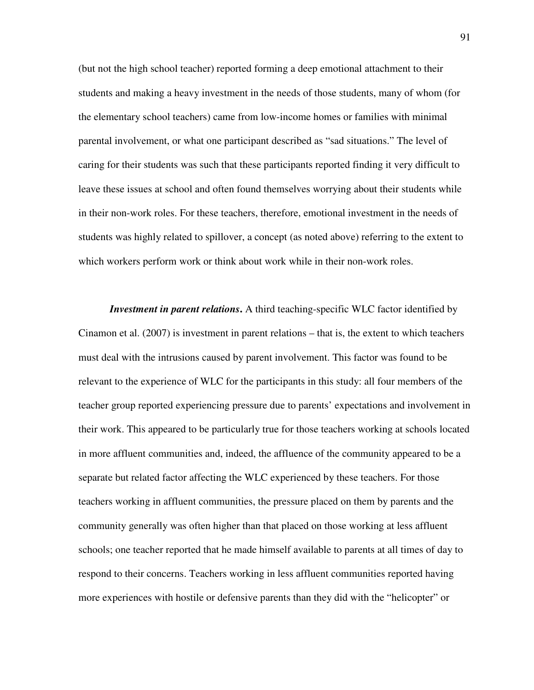(but not the high school teacher) reported forming a deep emotional attachment to their students and making a heavy investment in the needs of those students, many of whom (for the elementary school teachers) came from low-income homes or families with minimal parental involvement, or what one participant described as "sad situations." The level of caring for their students was such that these participants reported finding it very difficult to leave these issues at school and often found themselves worrying about their students while in their non-work roles. For these teachers, therefore, emotional investment in the needs of students was highly related to spillover, a concept (as noted above) referring to the extent to which workers perform work or think about work while in their non-work roles.

*Investment in parent relations***.** A third teaching-specific WLC factor identified by Cinamon et al. (2007) is investment in parent relations – that is, the extent to which teachers must deal with the intrusions caused by parent involvement. This factor was found to be relevant to the experience of WLC for the participants in this study: all four members of the teacher group reported experiencing pressure due to parents' expectations and involvement in their work. This appeared to be particularly true for those teachers working at schools located in more affluent communities and, indeed, the affluence of the community appeared to be a separate but related factor affecting the WLC experienced by these teachers. For those teachers working in affluent communities, the pressure placed on them by parents and the community generally was often higher than that placed on those working at less affluent schools; one teacher reported that he made himself available to parents at all times of day to respond to their concerns. Teachers working in less affluent communities reported having more experiences with hostile or defensive parents than they did with the "helicopter" or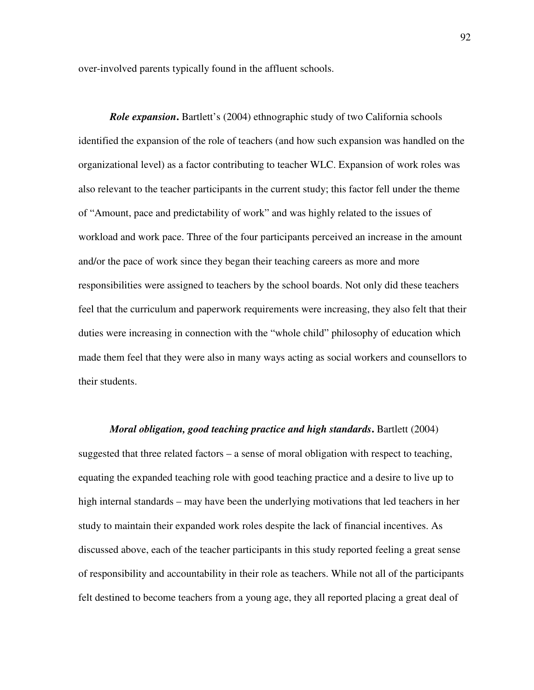over-involved parents typically found in the affluent schools.

*Role expansion***.** Bartlett's (2004) ethnographic study of two California schools identified the expansion of the role of teachers (and how such expansion was handled on the organizational level) as a factor contributing to teacher WLC. Expansion of work roles was also relevant to the teacher participants in the current study; this factor fell under the theme of "Amount, pace and predictability of work" and was highly related to the issues of workload and work pace. Three of the four participants perceived an increase in the amount and/or the pace of work since they began their teaching careers as more and more responsibilities were assigned to teachers by the school boards. Not only did these teachers feel that the curriculum and paperwork requirements were increasing, they also felt that their duties were increasing in connection with the "whole child" philosophy of education which made them feel that they were also in many ways acting as social workers and counsellors to their students.

*Moral obligation, good teaching practice and high standards***.** Bartlett (2004) suggested that three related factors – a sense of moral obligation with respect to teaching, equating the expanded teaching role with good teaching practice and a desire to live up to high internal standards – may have been the underlying motivations that led teachers in her study to maintain their expanded work roles despite the lack of financial incentives. As discussed above, each of the teacher participants in this study reported feeling a great sense of responsibility and accountability in their role as teachers. While not all of the participants felt destined to become teachers from a young age, they all reported placing a great deal of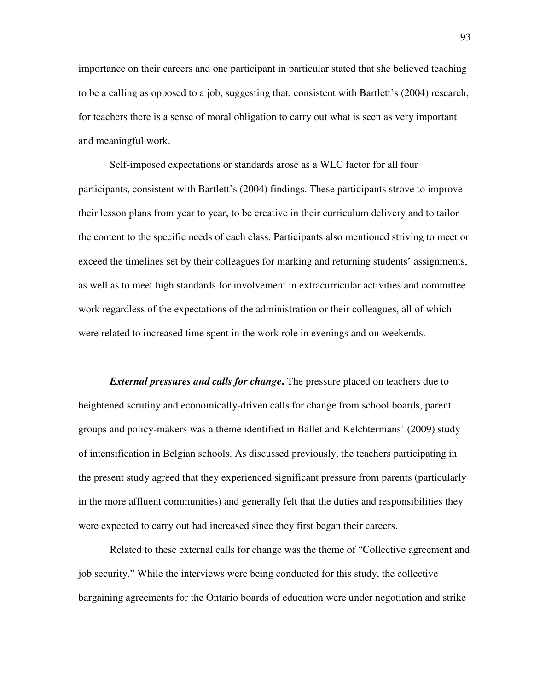importance on their careers and one participant in particular stated that she believed teaching to be a calling as opposed to a job, suggesting that, consistent with Bartlett's (2004) research, for teachers there is a sense of moral obligation to carry out what is seen as very important and meaningful work.

Self-imposed expectations or standards arose as a WLC factor for all four participants, consistent with Bartlett's (2004) findings. These participants strove to improve their lesson plans from year to year, to be creative in their curriculum delivery and to tailor the content to the specific needs of each class. Participants also mentioned striving to meet or exceed the timelines set by their colleagues for marking and returning students' assignments, as well as to meet high standards for involvement in extracurricular activities and committee work regardless of the expectations of the administration or their colleagues, all of which were related to increased time spent in the work role in evenings and on weekends.

*External pressures and calls for change***.** The pressure placed on teachers due to heightened scrutiny and economically-driven calls for change from school boards, parent groups and policy-makers was a theme identified in Ballet and Kelchtermans' (2009) study of intensification in Belgian schools. As discussed previously, the teachers participating in the present study agreed that they experienced significant pressure from parents (particularly in the more affluent communities) and generally felt that the duties and responsibilities they were expected to carry out had increased since they first began their careers.

Related to these external calls for change was the theme of "Collective agreement and job security." While the interviews were being conducted for this study, the collective bargaining agreements for the Ontario boards of education were under negotiation and strike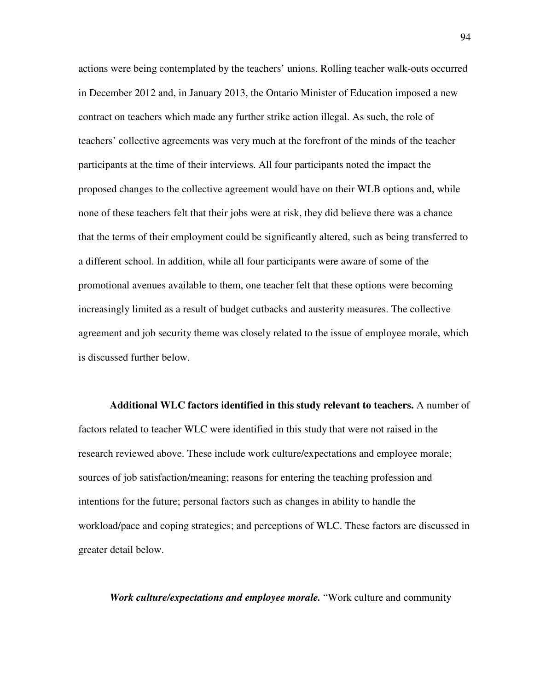actions were being contemplated by the teachers' unions. Rolling teacher walk-outs occurred in December 2012 and, in January 2013, the Ontario Minister of Education imposed a new contract on teachers which made any further strike action illegal. As such, the role of teachers' collective agreements was very much at the forefront of the minds of the teacher participants at the time of their interviews. All four participants noted the impact the proposed changes to the collective agreement would have on their WLB options and, while none of these teachers felt that their jobs were at risk, they did believe there was a chance that the terms of their employment could be significantly altered, such as being transferred to a different school. In addition, while all four participants were aware of some of the promotional avenues available to them, one teacher felt that these options were becoming increasingly limited as a result of budget cutbacks and austerity measures. The collective agreement and job security theme was closely related to the issue of employee morale, which is discussed further below.

**Additional WLC factors identified in this study relevant to teachers.** A number of factors related to teacher WLC were identified in this study that were not raised in the research reviewed above. These include work culture/expectations and employee morale; sources of job satisfaction/meaning; reasons for entering the teaching profession and intentions for the future; personal factors such as changes in ability to handle the workload/pace and coping strategies; and perceptions of WLC. These factors are discussed in greater detail below.

*Work culture/expectations and employee morale.* "Work culture and community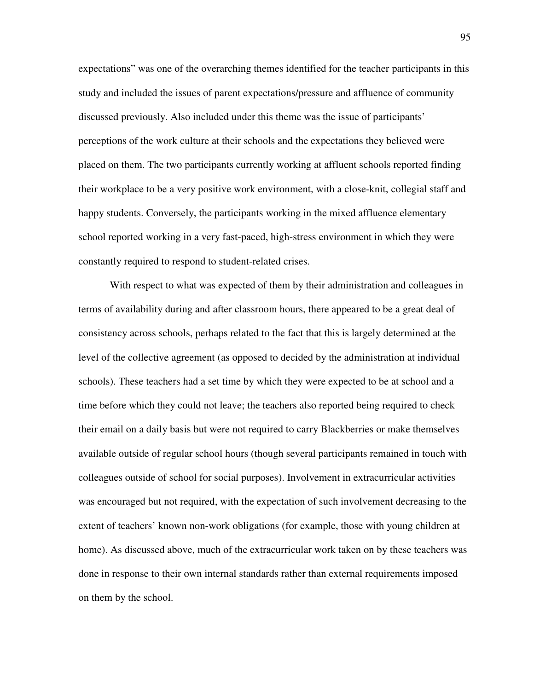expectations" was one of the overarching themes identified for the teacher participants in this study and included the issues of parent expectations/pressure and affluence of community discussed previously. Also included under this theme was the issue of participants' perceptions of the work culture at their schools and the expectations they believed were placed on them. The two participants currently working at affluent schools reported finding their workplace to be a very positive work environment, with a close-knit, collegial staff and happy students. Conversely, the participants working in the mixed affluence elementary school reported working in a very fast-paced, high-stress environment in which they were constantly required to respond to student-related crises.

With respect to what was expected of them by their administration and colleagues in terms of availability during and after classroom hours, there appeared to be a great deal of consistency across schools, perhaps related to the fact that this is largely determined at the level of the collective agreement (as opposed to decided by the administration at individual schools). These teachers had a set time by which they were expected to be at school and a time before which they could not leave; the teachers also reported being required to check their email on a daily basis but were not required to carry Blackberries or make themselves available outside of regular school hours (though several participants remained in touch with colleagues outside of school for social purposes). Involvement in extracurricular activities was encouraged but not required, with the expectation of such involvement decreasing to the extent of teachers' known non-work obligations (for example, those with young children at home). As discussed above, much of the extracurricular work taken on by these teachers was done in response to their own internal standards rather than external requirements imposed on them by the school.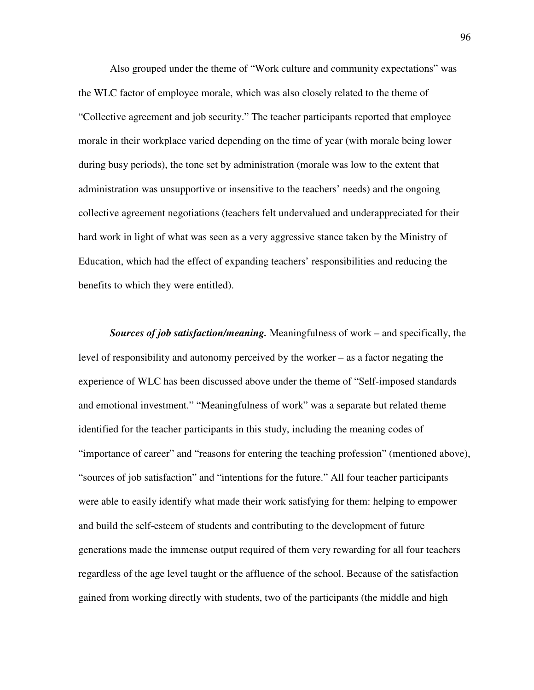Also grouped under the theme of "Work culture and community expectations" was the WLC factor of employee morale, which was also closely related to the theme of "Collective agreement and job security." The teacher participants reported that employee morale in their workplace varied depending on the time of year (with morale being lower during busy periods), the tone set by administration (morale was low to the extent that administration was unsupportive or insensitive to the teachers' needs) and the ongoing collective agreement negotiations (teachers felt undervalued and underappreciated for their hard work in light of what was seen as a very aggressive stance taken by the Ministry of Education, which had the effect of expanding teachers' responsibilities and reducing the benefits to which they were entitled).

*Sources of job satisfaction/meaning.* Meaningfulness of work – and specifically, the level of responsibility and autonomy perceived by the worker – as a factor negating the experience of WLC has been discussed above under the theme of "Self-imposed standards and emotional investment." "Meaningfulness of work" was a separate but related theme identified for the teacher participants in this study, including the meaning codes of "importance of career" and "reasons for entering the teaching profession" (mentioned above), "sources of job satisfaction" and "intentions for the future." All four teacher participants were able to easily identify what made their work satisfying for them: helping to empower and build the self-esteem of students and contributing to the development of future generations made the immense output required of them very rewarding for all four teachers regardless of the age level taught or the affluence of the school. Because of the satisfaction gained from working directly with students, two of the participants (the middle and high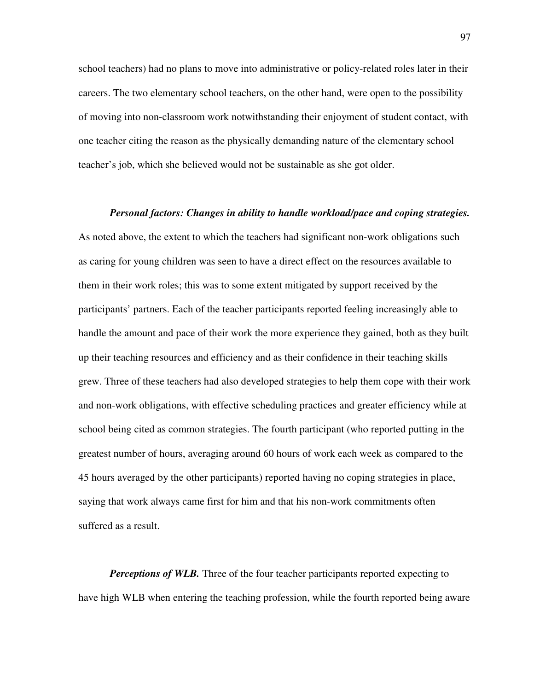school teachers) had no plans to move into administrative or policy-related roles later in their careers. The two elementary school teachers, on the other hand, were open to the possibility of moving into non-classroom work notwithstanding their enjoyment of student contact, with one teacher citing the reason as the physically demanding nature of the elementary school teacher's job, which she believed would not be sustainable as she got older.

*Personal factors: Changes in ability to handle workload/pace and coping strategies.* As noted above, the extent to which the teachers had significant non-work obligations such as caring for young children was seen to have a direct effect on the resources available to them in their work roles; this was to some extent mitigated by support received by the participants' partners. Each of the teacher participants reported feeling increasingly able to handle the amount and pace of their work the more experience they gained, both as they built up their teaching resources and efficiency and as their confidence in their teaching skills grew. Three of these teachers had also developed strategies to help them cope with their work and non-work obligations, with effective scheduling practices and greater efficiency while at school being cited as common strategies. The fourth participant (who reported putting in the greatest number of hours, averaging around 60 hours of work each week as compared to the 45 hours averaged by the other participants) reported having no coping strategies in place, saying that work always came first for him and that his non-work commitments often suffered as a result.

*Perceptions of WLB.* Three of the four teacher participants reported expecting to have high WLB when entering the teaching profession, while the fourth reported being aware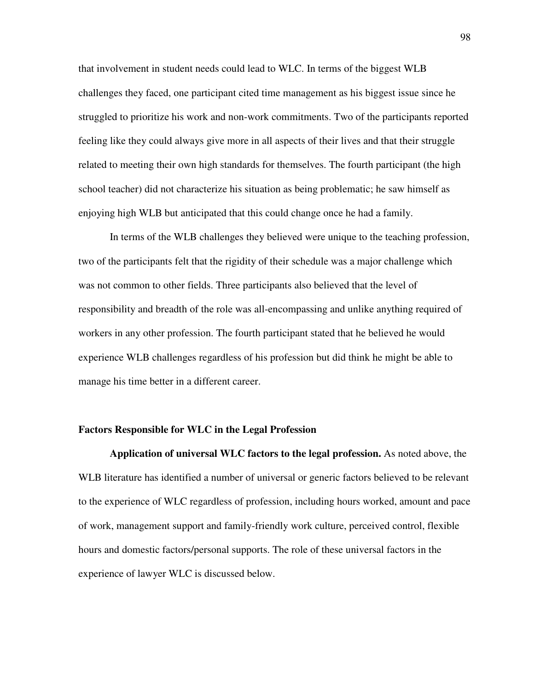that involvement in student needs could lead to WLC. In terms of the biggest WLB challenges they faced, one participant cited time management as his biggest issue since he struggled to prioritize his work and non-work commitments. Two of the participants reported feeling like they could always give more in all aspects of their lives and that their struggle related to meeting their own high standards for themselves. The fourth participant (the high school teacher) did not characterize his situation as being problematic; he saw himself as enjoying high WLB but anticipated that this could change once he had a family.

In terms of the WLB challenges they believed were unique to the teaching profession, two of the participants felt that the rigidity of their schedule was a major challenge which was not common to other fields. Three participants also believed that the level of responsibility and breadth of the role was all-encompassing and unlike anything required of workers in any other profession. The fourth participant stated that he believed he would experience WLB challenges regardless of his profession but did think he might be able to manage his time better in a different career.

#### **Factors Responsible for WLC in the Legal Profession**

**Application of universal WLC factors to the legal profession.** As noted above, the WLB literature has identified a number of universal or generic factors believed to be relevant to the experience of WLC regardless of profession, including hours worked, amount and pace of work, management support and family-friendly work culture, perceived control, flexible hours and domestic factors/personal supports. The role of these universal factors in the experience of lawyer WLC is discussed below.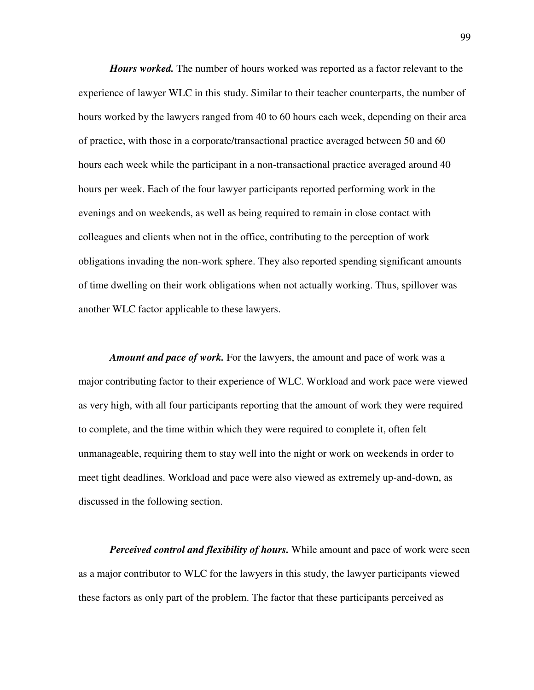*Hours worked.* The number of hours worked was reported as a factor relevant to the experience of lawyer WLC in this study. Similar to their teacher counterparts, the number of hours worked by the lawyers ranged from 40 to 60 hours each week, depending on their area of practice, with those in a corporate/transactional practice averaged between 50 and 60 hours each week while the participant in a non-transactional practice averaged around 40 hours per week. Each of the four lawyer participants reported performing work in the evenings and on weekends, as well as being required to remain in close contact with colleagues and clients when not in the office, contributing to the perception of work obligations invading the non-work sphere. They also reported spending significant amounts of time dwelling on their work obligations when not actually working. Thus, spillover was another WLC factor applicable to these lawyers.

*Amount and pace of work.* For the lawyers, the amount and pace of work was a major contributing factor to their experience of WLC. Workload and work pace were viewed as very high, with all four participants reporting that the amount of work they were required to complete, and the time within which they were required to complete it, often felt unmanageable, requiring them to stay well into the night or work on weekends in order to meet tight deadlines. Workload and pace were also viewed as extremely up-and-down, as discussed in the following section.

*Perceived control and flexibility of hours.* While amount and pace of work were seen as a major contributor to WLC for the lawyers in this study, the lawyer participants viewed these factors as only part of the problem. The factor that these participants perceived as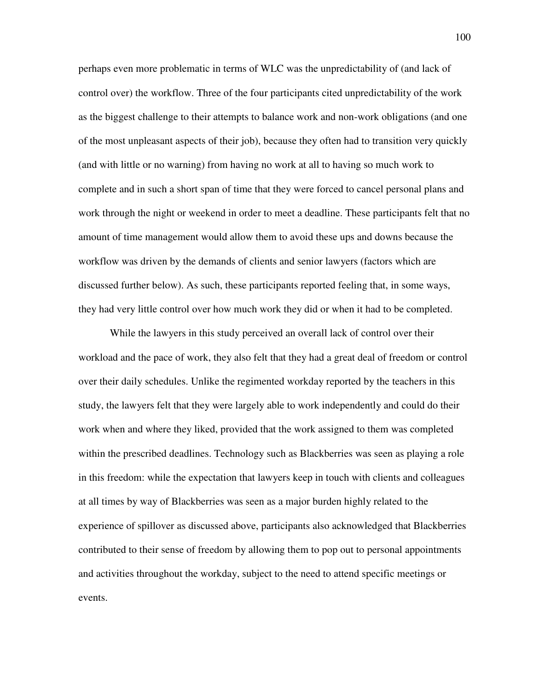perhaps even more problematic in terms of WLC was the unpredictability of (and lack of control over) the workflow. Three of the four participants cited unpredictability of the work as the biggest challenge to their attempts to balance work and non-work obligations (and one of the most unpleasant aspects of their job), because they often had to transition very quickly (and with little or no warning) from having no work at all to having so much work to complete and in such a short span of time that they were forced to cancel personal plans and work through the night or weekend in order to meet a deadline. These participants felt that no amount of time management would allow them to avoid these ups and downs because the workflow was driven by the demands of clients and senior lawyers (factors which are discussed further below). As such, these participants reported feeling that, in some ways, they had very little control over how much work they did or when it had to be completed.

While the lawyers in this study perceived an overall lack of control over their workload and the pace of work, they also felt that they had a great deal of freedom or control over their daily schedules. Unlike the regimented workday reported by the teachers in this study, the lawyers felt that they were largely able to work independently and could do their work when and where they liked, provided that the work assigned to them was completed within the prescribed deadlines. Technology such as Blackberries was seen as playing a role in this freedom: while the expectation that lawyers keep in touch with clients and colleagues at all times by way of Blackberries was seen as a major burden highly related to the experience of spillover as discussed above, participants also acknowledged that Blackberries contributed to their sense of freedom by allowing them to pop out to personal appointments and activities throughout the workday, subject to the need to attend specific meetings or events.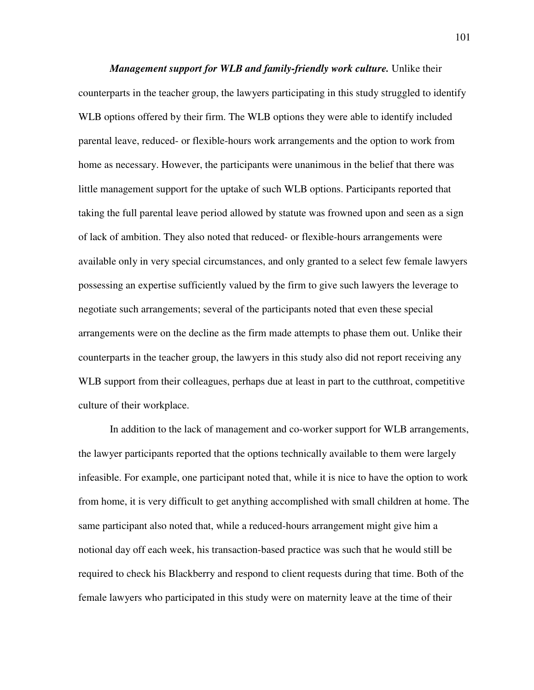*Management support for WLB and family-friendly work culture.* Unlike their counterparts in the teacher group, the lawyers participating in this study struggled to identify WLB options offered by their firm. The WLB options they were able to identify included parental leave, reduced- or flexible-hours work arrangements and the option to work from home as necessary. However, the participants were unanimous in the belief that there was little management support for the uptake of such WLB options. Participants reported that taking the full parental leave period allowed by statute was frowned upon and seen as a sign of lack of ambition. They also noted that reduced- or flexible-hours arrangements were available only in very special circumstances, and only granted to a select few female lawyers possessing an expertise sufficiently valued by the firm to give such lawyers the leverage to negotiate such arrangements; several of the participants noted that even these special arrangements were on the decline as the firm made attempts to phase them out. Unlike their counterparts in the teacher group, the lawyers in this study also did not report receiving any WLB support from their colleagues, perhaps due at least in part to the cutthroat, competitive culture of their workplace.

In addition to the lack of management and co-worker support for WLB arrangements, the lawyer participants reported that the options technically available to them were largely infeasible. For example, one participant noted that, while it is nice to have the option to work from home, it is very difficult to get anything accomplished with small children at home. The same participant also noted that, while a reduced-hours arrangement might give him a notional day off each week, his transaction-based practice was such that he would still be required to check his Blackberry and respond to client requests during that time. Both of the female lawyers who participated in this study were on maternity leave at the time of their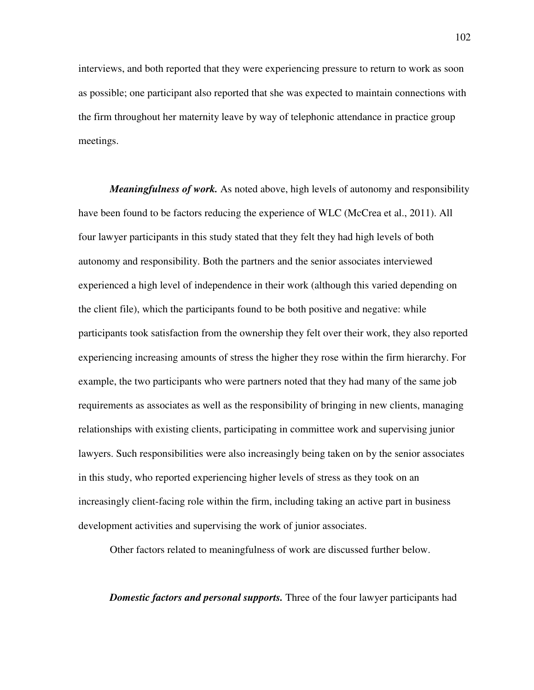interviews, and both reported that they were experiencing pressure to return to work as soon as possible; one participant also reported that she was expected to maintain connections with the firm throughout her maternity leave by way of telephonic attendance in practice group meetings.

*Meaningfulness of work.* As noted above, high levels of autonomy and responsibility have been found to be factors reducing the experience of WLC (McCrea et al., 2011). All four lawyer participants in this study stated that they felt they had high levels of both autonomy and responsibility. Both the partners and the senior associates interviewed experienced a high level of independence in their work (although this varied depending on the client file), which the participants found to be both positive and negative: while participants took satisfaction from the ownership they felt over their work, they also reported experiencing increasing amounts of stress the higher they rose within the firm hierarchy. For example, the two participants who were partners noted that they had many of the same job requirements as associates as well as the responsibility of bringing in new clients, managing relationships with existing clients, participating in committee work and supervising junior lawyers. Such responsibilities were also increasingly being taken on by the senior associates in this study, who reported experiencing higher levels of stress as they took on an increasingly client-facing role within the firm, including taking an active part in business development activities and supervising the work of junior associates.

Other factors related to meaningfulness of work are discussed further below.

*Domestic factors and personal supports.* Three of the four lawyer participants had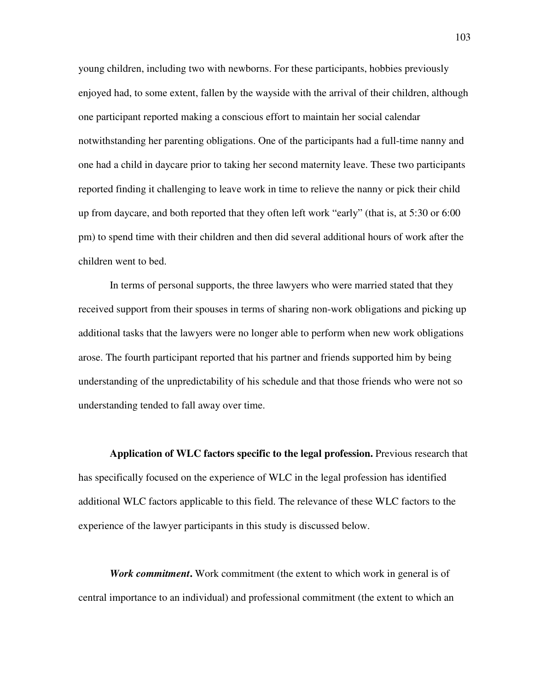young children, including two with newborns. For these participants, hobbies previously enjoyed had, to some extent, fallen by the wayside with the arrival of their children, although one participant reported making a conscious effort to maintain her social calendar notwithstanding her parenting obligations. One of the participants had a full-time nanny and one had a child in daycare prior to taking her second maternity leave. These two participants reported finding it challenging to leave work in time to relieve the nanny or pick their child up from daycare, and both reported that they often left work "early" (that is, at 5:30 or 6:00 pm) to spend time with their children and then did several additional hours of work after the children went to bed.

In terms of personal supports, the three lawyers who were married stated that they received support from their spouses in terms of sharing non-work obligations and picking up additional tasks that the lawyers were no longer able to perform when new work obligations arose. The fourth participant reported that his partner and friends supported him by being understanding of the unpredictability of his schedule and that those friends who were not so understanding tended to fall away over time.

**Application of WLC factors specific to the legal profession.** Previous research that has specifically focused on the experience of WLC in the legal profession has identified additional WLC factors applicable to this field. The relevance of these WLC factors to the experience of the lawyer participants in this study is discussed below.

*Work commitment***.** Work commitment (the extent to which work in general is of central importance to an individual) and professional commitment (the extent to which an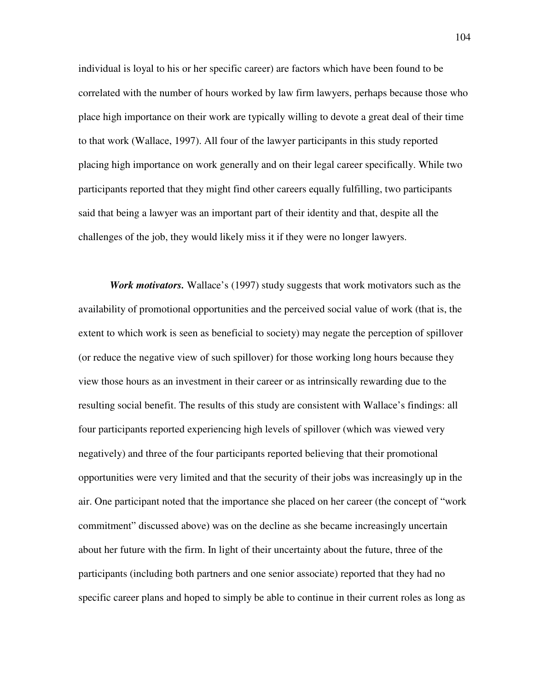individual is loyal to his or her specific career) are factors which have been found to be correlated with the number of hours worked by law firm lawyers, perhaps because those who place high importance on their work are typically willing to devote a great deal of their time to that work (Wallace, 1997). All four of the lawyer participants in this study reported placing high importance on work generally and on their legal career specifically. While two participants reported that they might find other careers equally fulfilling, two participants said that being a lawyer was an important part of their identity and that, despite all the challenges of the job, they would likely miss it if they were no longer lawyers.

*Work motivators.* Wallace's (1997) study suggests that work motivators such as the availability of promotional opportunities and the perceived social value of work (that is, the extent to which work is seen as beneficial to society) may negate the perception of spillover (or reduce the negative view of such spillover) for those working long hours because they view those hours as an investment in their career or as intrinsically rewarding due to the resulting social benefit. The results of this study are consistent with Wallace's findings: all four participants reported experiencing high levels of spillover (which was viewed very negatively) and three of the four participants reported believing that their promotional opportunities were very limited and that the security of their jobs was increasingly up in the air. One participant noted that the importance she placed on her career (the concept of "work commitment" discussed above) was on the decline as she became increasingly uncertain about her future with the firm. In light of their uncertainty about the future, three of the participants (including both partners and one senior associate) reported that they had no specific career plans and hoped to simply be able to continue in their current roles as long as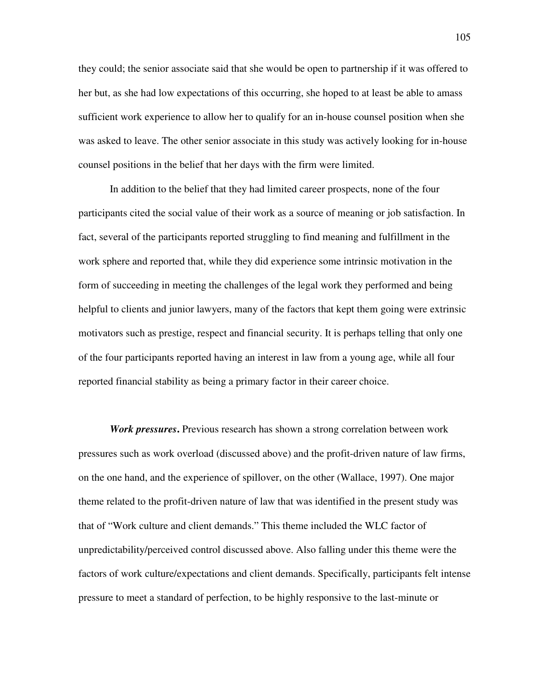they could; the senior associate said that she would be open to partnership if it was offered to her but, as she had low expectations of this occurring, she hoped to at least be able to amass sufficient work experience to allow her to qualify for an in-house counsel position when she was asked to leave. The other senior associate in this study was actively looking for in-house counsel positions in the belief that her days with the firm were limited.

In addition to the belief that they had limited career prospects, none of the four participants cited the social value of their work as a source of meaning or job satisfaction. In fact, several of the participants reported struggling to find meaning and fulfillment in the work sphere and reported that, while they did experience some intrinsic motivation in the form of succeeding in meeting the challenges of the legal work they performed and being helpful to clients and junior lawyers, many of the factors that kept them going were extrinsic motivators such as prestige, respect and financial security. It is perhaps telling that only one of the four participants reported having an interest in law from a young age, while all four reported financial stability as being a primary factor in their career choice.

*Work pressures***.** Previous research has shown a strong correlation between work pressures such as work overload (discussed above) and the profit-driven nature of law firms, on the one hand, and the experience of spillover, on the other (Wallace, 1997). One major theme related to the profit-driven nature of law that was identified in the present study was that of "Work culture and client demands." This theme included the WLC factor of unpredictability/perceived control discussed above. Also falling under this theme were the factors of work culture/expectations and client demands. Specifically, participants felt intense pressure to meet a standard of perfection, to be highly responsive to the last-minute or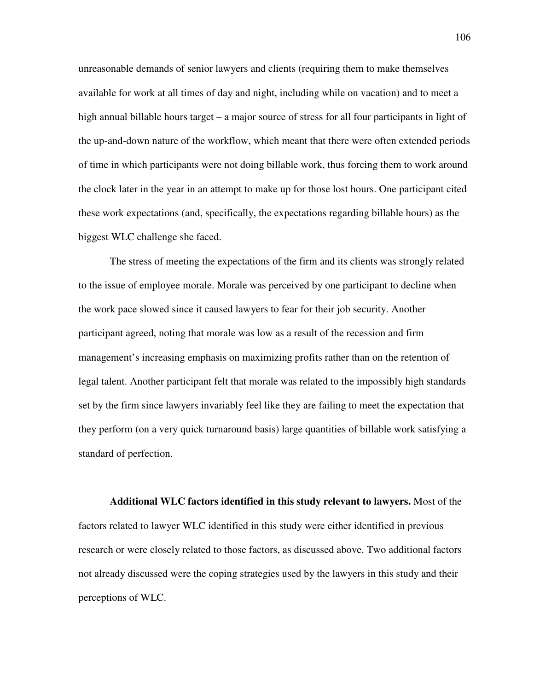unreasonable demands of senior lawyers and clients (requiring them to make themselves available for work at all times of day and night, including while on vacation) and to meet a high annual billable hours target – a major source of stress for all four participants in light of the up-and-down nature of the workflow, which meant that there were often extended periods of time in which participants were not doing billable work, thus forcing them to work around the clock later in the year in an attempt to make up for those lost hours. One participant cited these work expectations (and, specifically, the expectations regarding billable hours) as the biggest WLC challenge she faced.

The stress of meeting the expectations of the firm and its clients was strongly related to the issue of employee morale. Morale was perceived by one participant to decline when the work pace slowed since it caused lawyers to fear for their job security. Another participant agreed, noting that morale was low as a result of the recession and firm management's increasing emphasis on maximizing profits rather than on the retention of legal talent. Another participant felt that morale was related to the impossibly high standards set by the firm since lawyers invariably feel like they are failing to meet the expectation that they perform (on a very quick turnaround basis) large quantities of billable work satisfying a standard of perfection.

**Additional WLC factors identified in this study relevant to lawyers.** Most of the factors related to lawyer WLC identified in this study were either identified in previous research or were closely related to those factors, as discussed above. Two additional factors not already discussed were the coping strategies used by the lawyers in this study and their perceptions of WLC.

106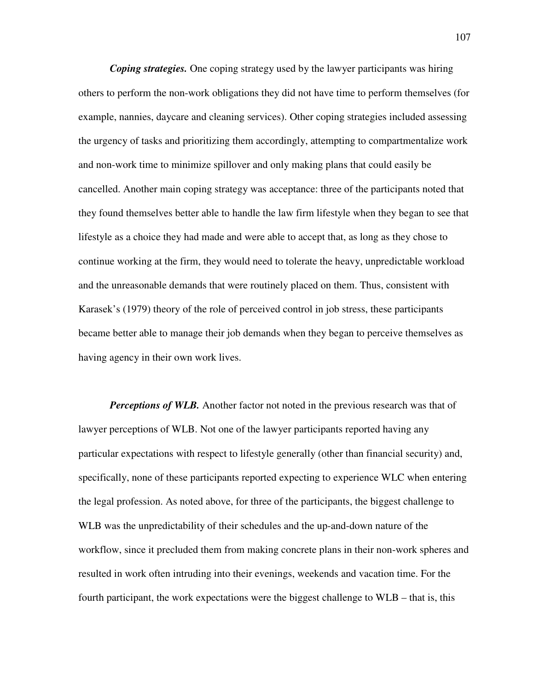*Coping strategies.* One coping strategy used by the lawyer participants was hiring others to perform the non-work obligations they did not have time to perform themselves (for example, nannies, daycare and cleaning services). Other coping strategies included assessing the urgency of tasks and prioritizing them accordingly, attempting to compartmentalize work and non-work time to minimize spillover and only making plans that could easily be cancelled. Another main coping strategy was acceptance: three of the participants noted that they found themselves better able to handle the law firm lifestyle when they began to see that lifestyle as a choice they had made and were able to accept that, as long as they chose to continue working at the firm, they would need to tolerate the heavy, unpredictable workload and the unreasonable demands that were routinely placed on them. Thus, consistent with Karasek's (1979) theory of the role of perceived control in job stress, these participants became better able to manage their job demands when they began to perceive themselves as having agency in their own work lives.

*Perceptions of WLB.* Another factor not noted in the previous research was that of lawyer perceptions of WLB. Not one of the lawyer participants reported having any particular expectations with respect to lifestyle generally (other than financial security) and, specifically, none of these participants reported expecting to experience WLC when entering the legal profession. As noted above, for three of the participants, the biggest challenge to WLB was the unpredictability of their schedules and the up-and-down nature of the workflow, since it precluded them from making concrete plans in their non-work spheres and resulted in work often intruding into their evenings, weekends and vacation time. For the fourth participant, the work expectations were the biggest challenge to WLB – that is, this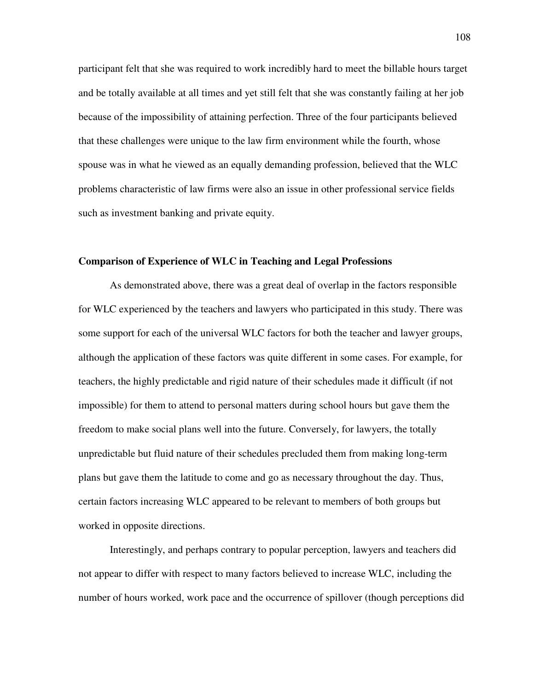participant felt that she was required to work incredibly hard to meet the billable hours target and be totally available at all times and yet still felt that she was constantly failing at her job because of the impossibility of attaining perfection. Three of the four participants believed that these challenges were unique to the law firm environment while the fourth, whose spouse was in what he viewed as an equally demanding profession, believed that the WLC problems characteristic of law firms were also an issue in other professional service fields such as investment banking and private equity.

#### **Comparison of Experience of WLC in Teaching and Legal Professions**

 As demonstrated above, there was a great deal of overlap in the factors responsible for WLC experienced by the teachers and lawyers who participated in this study. There was some support for each of the universal WLC factors for both the teacher and lawyer groups, although the application of these factors was quite different in some cases. For example, for teachers, the highly predictable and rigid nature of their schedules made it difficult (if not impossible) for them to attend to personal matters during school hours but gave them the freedom to make social plans well into the future. Conversely, for lawyers, the totally unpredictable but fluid nature of their schedules precluded them from making long-term plans but gave them the latitude to come and go as necessary throughout the day. Thus, certain factors increasing WLC appeared to be relevant to members of both groups but worked in opposite directions.

 Interestingly, and perhaps contrary to popular perception, lawyers and teachers did not appear to differ with respect to many factors believed to increase WLC, including the number of hours worked, work pace and the occurrence of spillover (though perceptions did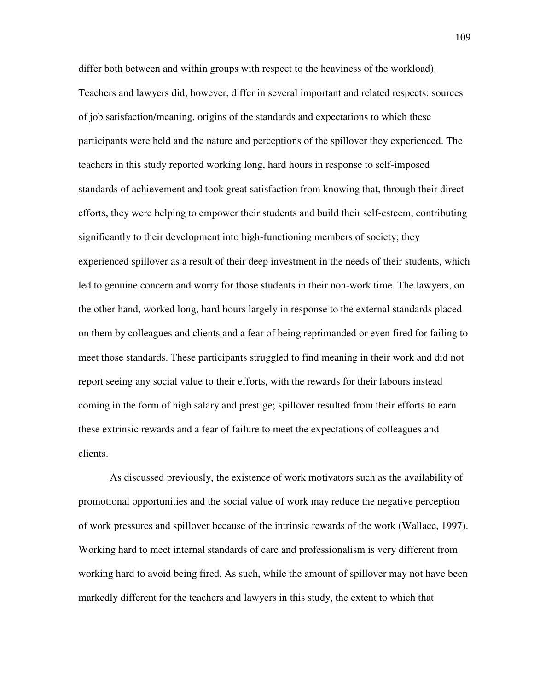differ both between and within groups with respect to the heaviness of the workload). Teachers and lawyers did, however, differ in several important and related respects: sources of job satisfaction/meaning, origins of the standards and expectations to which these participants were held and the nature and perceptions of the spillover they experienced. The teachers in this study reported working long, hard hours in response to self-imposed standards of achievement and took great satisfaction from knowing that, through their direct efforts, they were helping to empower their students and build their self-esteem, contributing significantly to their development into high-functioning members of society; they experienced spillover as a result of their deep investment in the needs of their students, which led to genuine concern and worry for those students in their non-work time. The lawyers, on the other hand, worked long, hard hours largely in response to the external standards placed on them by colleagues and clients and a fear of being reprimanded or even fired for failing to meet those standards. These participants struggled to find meaning in their work and did not report seeing any social value to their efforts, with the rewards for their labours instead coming in the form of high salary and prestige; spillover resulted from their efforts to earn these extrinsic rewards and a fear of failure to meet the expectations of colleagues and clients.

As discussed previously, the existence of work motivators such as the availability of promotional opportunities and the social value of work may reduce the negative perception of work pressures and spillover because of the intrinsic rewards of the work (Wallace, 1997). Working hard to meet internal standards of care and professionalism is very different from working hard to avoid being fired. As such, while the amount of spillover may not have been markedly different for the teachers and lawyers in this study, the extent to which that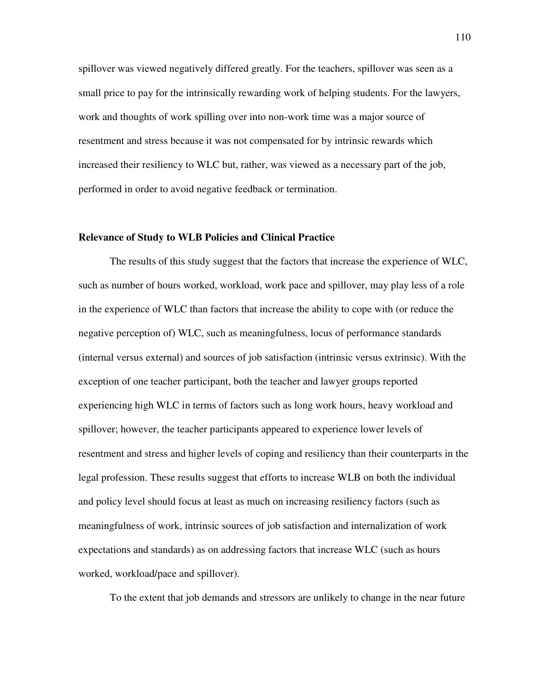spillover was viewed negatively differed greatly. For the teachers, spillover was seen as a small price to pay for the intrinsically rewarding work of helping students. For the lawyers, work and thoughts of work spilling over into non-work time was a major source of resentment and stress because it was not compensated for by intrinsic rewards which increased their resiliency to WLC but, rather, was viewed as a necessary part of the job, performed in order to avoid negative feedback or termination.

#### **Relevance of Study to WLB Policies and Clinical Practice**

 The results of this study suggest that the factors that increase the experience of WLC, such as number of hours worked, workload, work pace and spillover, may play less of a role in the experience of WLC than factors that increase the ability to cope with (or reduce the negative perception of) WLC, such as meaningfulness, locus of performance standards (internal versus external) and sources of job satisfaction (intrinsic versus extrinsic). With the exception of one teacher participant, both the teacher and lawyer groups reported experiencing high WLC in terms of factors such as long work hours, heavy workload and spillover; however, the teacher participants appeared to experience lower levels of resentment and stress and higher levels of coping and resiliency than their counterparts in the legal profession. These results suggest that efforts to increase WLB on both the individual and policy level should focus at least as much on increasing resiliency factors (such as meaningfulness of work, intrinsic sources of job satisfaction and internalization of work expectations and standards) as on addressing factors that increase WLC (such as hours worked, workload/pace and spillover).

To the extent that job demands and stressors are unlikely to change in the near future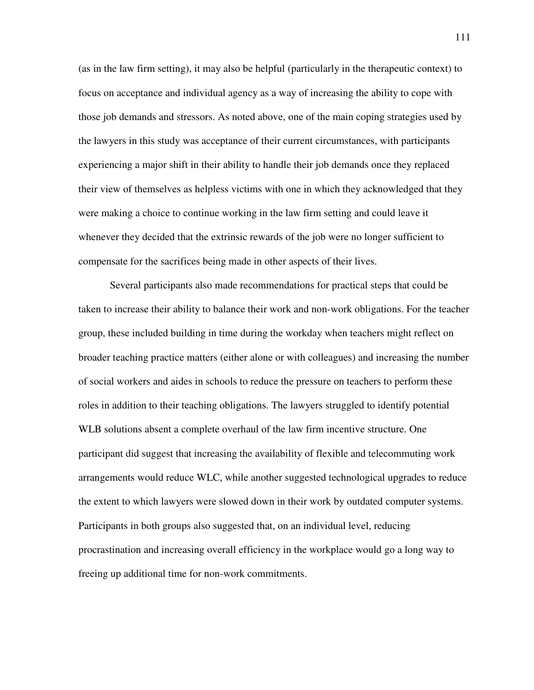(as in the law firm setting), it may also be helpful (particularly in the therapeutic context) to focus on acceptance and individual agency as a way of increasing the ability to cope with those job demands and stressors. As noted above, one of the main coping strategies used by the lawyers in this study was acceptance of their current circumstances, with participants experiencing a major shift in their ability to handle their job demands once they replaced their view of themselves as helpless victims with one in which they acknowledged that they were making a choice to continue working in the law firm setting and could leave it whenever they decided that the extrinsic rewards of the job were no longer sufficient to compensate for the sacrifices being made in other aspects of their lives.

Several participants also made recommendations for practical steps that could be taken to increase their ability to balance their work and non-work obligations. For the teacher group, these included building in time during the workday when teachers might reflect on broader teaching practice matters (either alone or with colleagues) and increasing the number of social workers and aides in schools to reduce the pressure on teachers to perform these roles in addition to their teaching obligations. The lawyers struggled to identify potential WLB solutions absent a complete overhaul of the law firm incentive structure. One participant did suggest that increasing the availability of flexible and telecommuting work arrangements would reduce WLC, while another suggested technological upgrades to reduce the extent to which lawyers were slowed down in their work by outdated computer systems. Participants in both groups also suggested that, on an individual level, reducing procrastination and increasing overall efficiency in the workplace would go a long way to freeing up additional time for non-work commitments.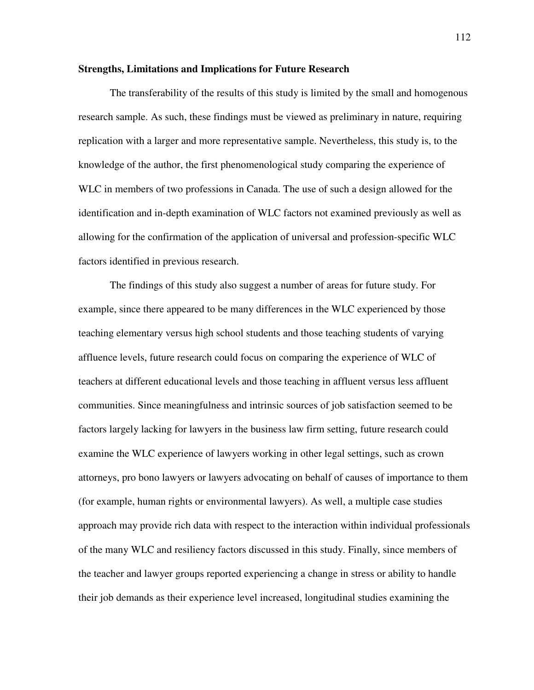#### **Strengths, Limitations and Implications for Future Research**

The transferability of the results of this study is limited by the small and homogenous research sample. As such, these findings must be viewed as preliminary in nature, requiring replication with a larger and more representative sample. Nevertheless, this study is, to the knowledge of the author, the first phenomenological study comparing the experience of WLC in members of two professions in Canada. The use of such a design allowed for the identification and in-depth examination of WLC factors not examined previously as well as allowing for the confirmation of the application of universal and profession-specific WLC factors identified in previous research.

The findings of this study also suggest a number of areas for future study. For example, since there appeared to be many differences in the WLC experienced by those teaching elementary versus high school students and those teaching students of varying affluence levels, future research could focus on comparing the experience of WLC of teachers at different educational levels and those teaching in affluent versus less affluent communities. Since meaningfulness and intrinsic sources of job satisfaction seemed to be factors largely lacking for lawyers in the business law firm setting, future research could examine the WLC experience of lawyers working in other legal settings, such as crown attorneys, pro bono lawyers or lawyers advocating on behalf of causes of importance to them (for example, human rights or environmental lawyers). As well, a multiple case studies approach may provide rich data with respect to the interaction within individual professionals of the many WLC and resiliency factors discussed in this study. Finally, since members of the teacher and lawyer groups reported experiencing a change in stress or ability to handle their job demands as their experience level increased, longitudinal studies examining the

112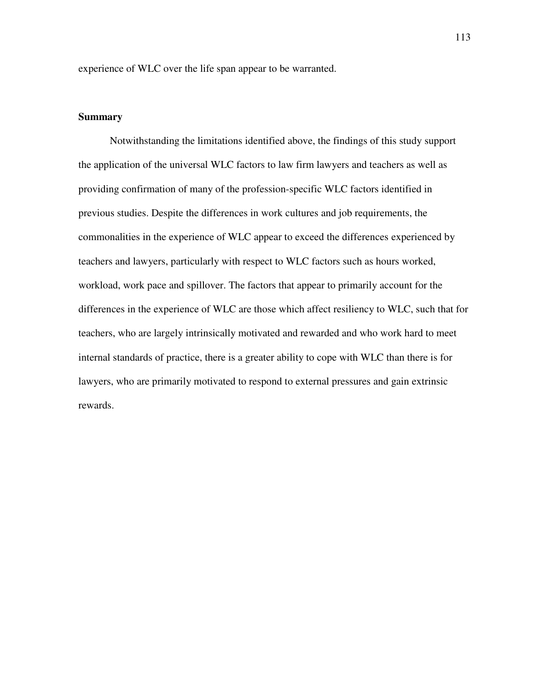experience of WLC over the life span appear to be warranted.

#### **Summary**

Notwithstanding the limitations identified above, the findings of this study support the application of the universal WLC factors to law firm lawyers and teachers as well as providing confirmation of many of the profession-specific WLC factors identified in previous studies. Despite the differences in work cultures and job requirements, the commonalities in the experience of WLC appear to exceed the differences experienced by teachers and lawyers, particularly with respect to WLC factors such as hours worked, workload, work pace and spillover. The factors that appear to primarily account for the differences in the experience of WLC are those which affect resiliency to WLC, such that for teachers, who are largely intrinsically motivated and rewarded and who work hard to meet internal standards of practice, there is a greater ability to cope with WLC than there is for lawyers, who are primarily motivated to respond to external pressures and gain extrinsic rewards.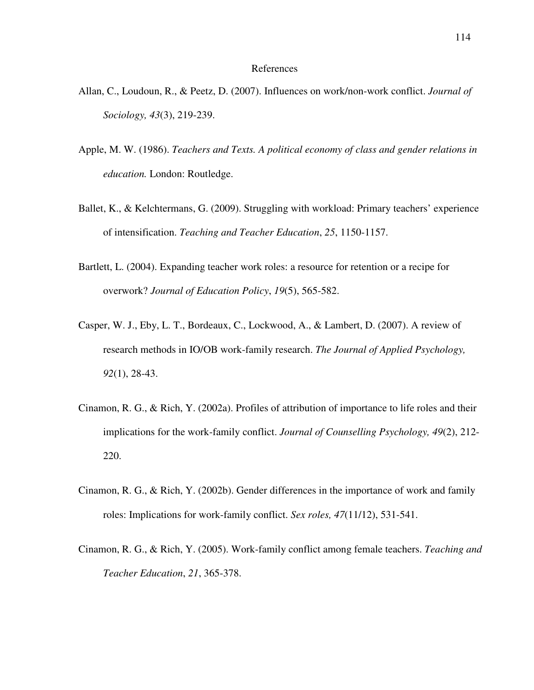#### References

- Allan, C., Loudoun, R., & Peetz, D. (2007). Influences on work/non-work conflict. *Journal of Sociology, 43*(3), 219-239.
- Apple, M. W. (1986). *Teachers and Texts. A political economy of class and gender relations in education.* London: Routledge.
- Ballet, K., & Kelchtermans, G. (2009). Struggling with workload: Primary teachers' experience of intensification. *Teaching and Teacher Education*, *25*, 1150-1157.
- Bartlett, L. (2004). Expanding teacher work roles: a resource for retention or a recipe for overwork? *Journal of Education Policy*, *19*(5), 565-582.
- Casper, W. J., Eby, L. T., Bordeaux, C., Lockwood, A., & Lambert, D. (2007). A review of research methods in IO/OB work-family research. *The Journal of Applied Psychology, 92*(1), 28-43.
- Cinamon, R. G., & Rich, Y. (2002a). Profiles of attribution of importance to life roles and their implications for the work-family conflict. *Journal of Counselling Psychology, 49*(2), 212- 220.
- Cinamon, R. G., & Rich, Y. (2002b). Gender differences in the importance of work and family roles: Implications for work-family conflict. *Sex roles, 47*(11/12), 531-541.
- Cinamon, R. G., & Rich, Y. (2005). Work-family conflict among female teachers. *Teaching and Teacher Education*, *21*, 365-378.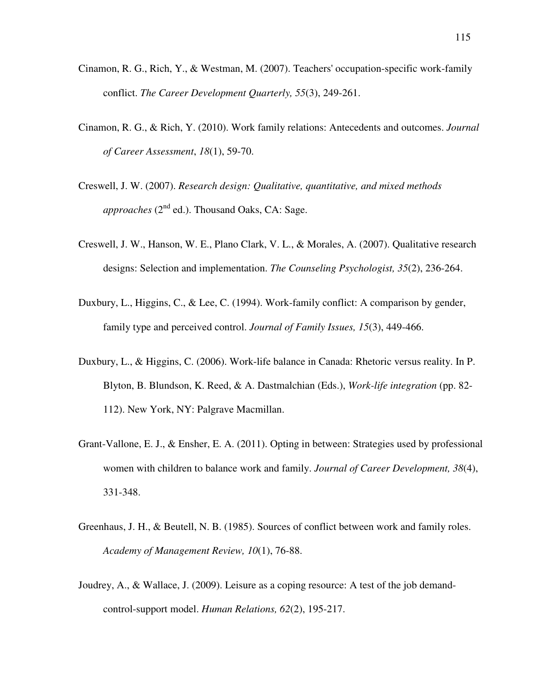- Cinamon, R. G., Rich, Y., & Westman, M. (2007). Teachers' occupation-specific work-family conflict. *The Career Development Quarterly, 55*(3), 249-261.
- Cinamon, R. G., & Rich, Y. (2010). Work family relations: Antecedents and outcomes. *Journal of Career Assessment*, *18*(1), 59-70.
- Creswell, J. W. (2007). *Research design: Qualitative, quantitative, and mixed methods approaches* ( $2^{nd}$  ed.). Thousand Oaks, CA: Sage.
- Creswell, J. W., Hanson, W. E., Plano Clark, V. L., & Morales, A. (2007). Qualitative research designs: Selection and implementation. *The Counseling Psychologist, 35*(2), 236-264.
- Duxbury, L., Higgins, C., & Lee, C. (1994). Work-family conflict: A comparison by gender, family type and perceived control. *Journal of Family Issues, 15*(3), 449-466.
- Duxbury, L., & Higgins, C. (2006). Work-life balance in Canada: Rhetoric versus reality. In P. Blyton, B. Blundson, K. Reed, & A. Dastmalchian (Eds.), *Work-life integration* (pp. 82- 112). New York, NY: Palgrave Macmillan.
- Grant-Vallone, E. J., & Ensher, E. A. (2011). Opting in between: Strategies used by professional women with children to balance work and family. *Journal of Career Development, 38*(4), 331-348.
- Greenhaus, J. H., & Beutell, N. B. (1985). Sources of conflict between work and family roles. *Academy of Management Review, 10*(1), 76-88.
- Joudrey, A., & Wallace, J. (2009). Leisure as a coping resource: A test of the job demandcontrol-support model. *Human Relations, 62*(2), 195-217.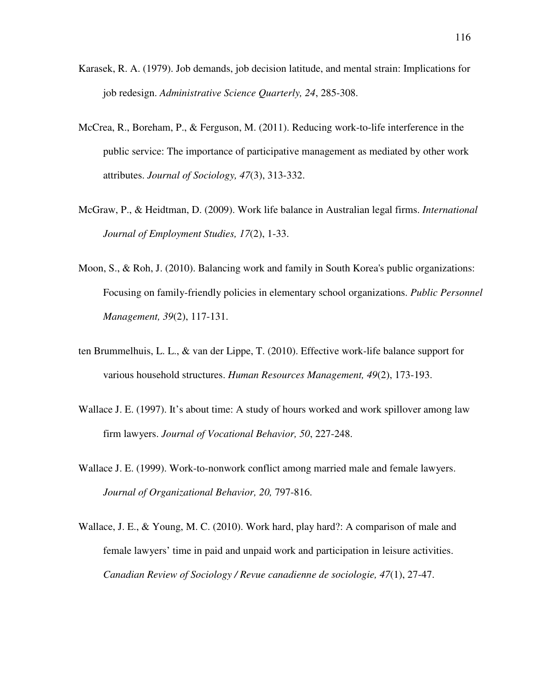- Karasek, R. A. (1979). Job demands, job decision latitude, and mental strain: Implications for job redesign. *Administrative Science Quarterly, 24*, 285-308.
- McCrea, R., Boreham, P., & Ferguson, M. (2011). Reducing work-to-life interference in the public service: The importance of participative management as mediated by other work attributes. *Journal of Sociology, 47*(3), 313-332.
- McGraw, P., & Heidtman, D. (2009). Work life balance in Australian legal firms. *International Journal of Employment Studies, 17*(2), 1-33.
- Moon, S., & Roh, J. (2010). Balancing work and family in South Korea's public organizations: Focusing on family-friendly policies in elementary school organizations. *Public Personnel Management, 39*(2), 117-131.
- ten Brummelhuis, L. L., & van der Lippe, T. (2010). Effective work-life balance support for various household structures. *Human Resources Management, 49*(2), 173-193.
- Wallace J. E. (1997). It's about time: A study of hours worked and work spillover among law firm lawyers. *Journal of Vocational Behavior, 50*, 227-248.
- Wallace J. E. (1999). Work-to-nonwork conflict among married male and female lawyers. *Journal of Organizational Behavior, 20,* 797-816.
- Wallace, J. E., & Young, M. C. (2010). Work hard, play hard?: A comparison of male and female lawyers' time in paid and unpaid work and participation in leisure activities. *Canadian Review of Sociology / Revue canadienne de sociologie, 47*(1), 27-47.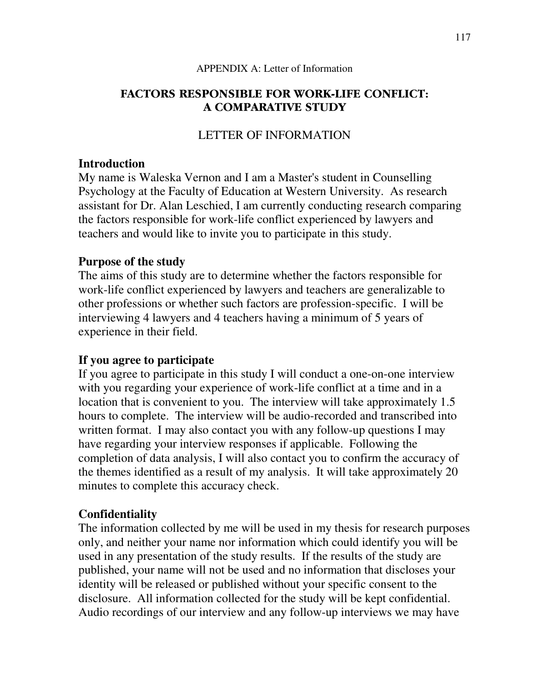#### APPENDIX A: Letter of Information

## FACTORS RESPONSIBLE FOR WORK-LIFE CONFLICT: A COMPARATIVE STUDY

# LETTER OF INFORMATION

## **Introduction**

My name is Waleska Vernon and I am a Master's student in Counselling Psychology at the Faculty of Education at Western University. As research assistant for Dr. Alan Leschied, I am currently conducting research comparing the factors responsible for work-life conflict experienced by lawyers and teachers and would like to invite you to participate in this study.

## **Purpose of the study**

The aims of this study are to determine whether the factors responsible for work-life conflict experienced by lawyers and teachers are generalizable to other professions or whether such factors are profession-specific. I will be interviewing 4 lawyers and 4 teachers having a minimum of 5 years of experience in their field.

# **If you agree to participate**

If you agree to participate in this study I will conduct a one-on-one interview with you regarding your experience of work-life conflict at a time and in a location that is convenient to you. The interview will take approximately 1.5 hours to complete. The interview will be audio-recorded and transcribed into written format. I may also contact you with any follow-up questions I may have regarding your interview responses if applicable. Following the completion of data analysis, I will also contact you to confirm the accuracy of the themes identified as a result of my analysis. It will take approximately 20 minutes to complete this accuracy check.

# **Confidentiality**

The information collected by me will be used in my thesis for research purposes only, and neither your name nor information which could identify you will be used in any presentation of the study results. If the results of the study are published, your name will not be used and no information that discloses your identity will be released or published without your specific consent to the disclosure. All information collected for the study will be kept confidential. Audio recordings of our interview and any follow-up interviews we may have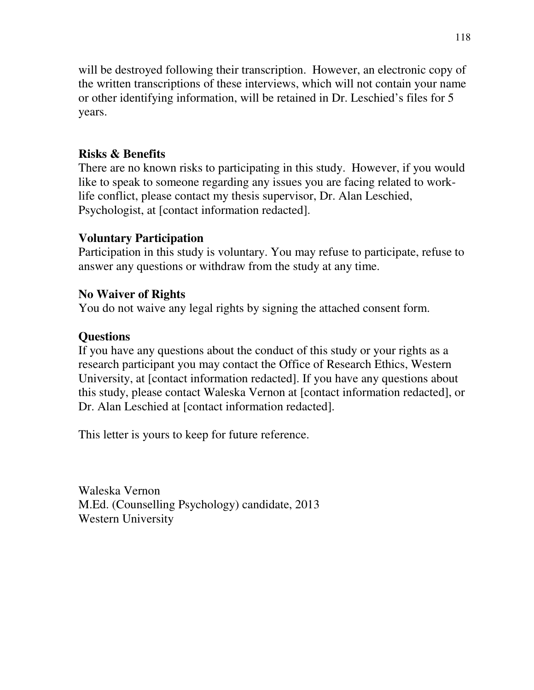will be destroyed following their transcription. However, an electronic copy of the written transcriptions of these interviews, which will not contain your name or other identifying information, will be retained in Dr. Leschied's files for 5 years.

# **Risks & Benefits**

There are no known risks to participating in this study. However, if you would like to speak to someone regarding any issues you are facing related to worklife conflict, please contact my thesis supervisor, Dr. Alan Leschied, Psychologist, at [contact information redacted].

# **Voluntary Participation**

Participation in this study is voluntary. You may refuse to participate, refuse to answer any questions or withdraw from the study at any time.

# **No Waiver of Rights**

You do not waive any legal rights by signing the attached consent form.

# **Questions**

If you have any questions about the conduct of this study or your rights as a research participant you may contact the Office of Research Ethics, Western University, at [contact information redacted]. If you have any questions about this study, please contact Waleska Vernon at [contact information redacted], or Dr. Alan Leschied at [contact information redacted].

This letter is yours to keep for future reference.

Waleska Vernon M.Ed. (Counselling Psychology) candidate, 2013 Western University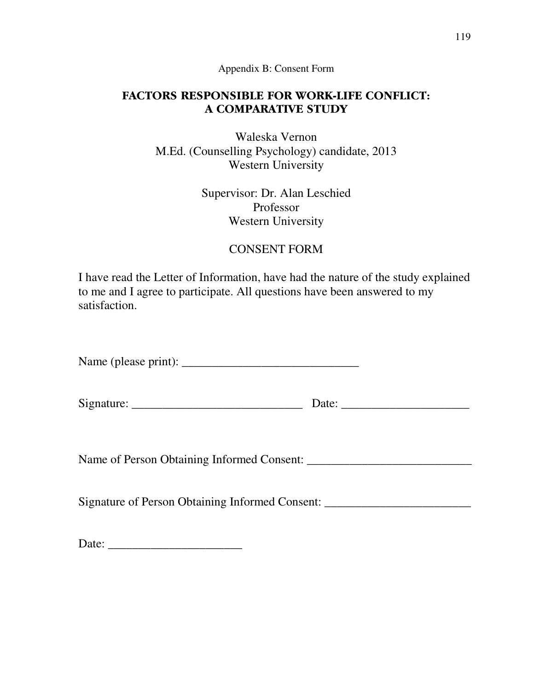Appendix B: Consent Form

## FACTORS RESPONSIBLE FOR WORK-LIFE CONFLICT: A COMPARATIVE STUDY

Waleska Vernon M.Ed. (Counselling Psychology) candidate, 2013 Western University

> Supervisor: Dr. Alan Leschied Professor Western University

## CONSENT FORM

I have read the Letter of Information, have had the nature of the study explained to me and I agree to participate. All questions have been answered to my satisfaction.

Name (please print): \_\_\_\_\_\_\_\_\_\_\_\_\_\_\_\_\_\_\_\_\_\_\_\_\_\_\_\_\_

| $\sim$<br>$\mathbf{A}$<br>ັ<br>. . |  |
|------------------------------------|--|
|------------------------------------|--|

Name of Person Obtaining Informed Consent: \_\_\_\_\_\_\_\_\_\_\_\_\_\_\_\_\_\_\_\_\_\_\_\_\_\_\_

Signature of Person Obtaining Informed Consent: \_\_\_\_\_\_\_\_\_\_\_\_\_\_\_\_\_\_\_\_\_\_\_\_\_\_\_\_\_\_\_\_

| Date: |  |
|-------|--|
|-------|--|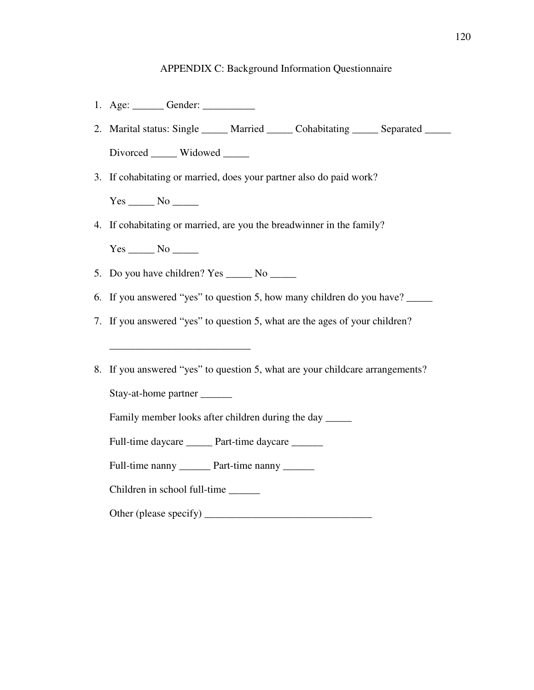#### APPENDIX C: Background Information Questionnaire

- 1. Age: \_\_\_\_\_\_\_ Gender: \_\_\_\_\_\_\_\_\_\_\_
- 2. Marital status: Single \_\_\_\_\_ Married \_\_\_\_\_ Cohabitating \_\_\_\_\_ Separated \_\_\_\_\_ Divorced \_\_\_\_\_\_ Widowed \_\_\_\_\_
- 3. If cohabitating or married, does your partner also do paid work?

 $Yes$  No  $\rule{1em}{0.15mm}$  No  $\rule{1.5mm}{0.15mm}$ 

4. If cohabitating or married, are you the breadwinner in the family?

 $Yes$  No  $\_\_$ 

- 5. Do you have children? Yes \_\_\_\_\_\_ No \_\_\_\_\_\_
- 6. If you answered "yes" to question 5, how many children do you have? \_\_\_\_\_
- 7. If you answered "yes" to question 5, what are the ages of your children?
- 8. If you answered "yes" to question 5, what are your childcare arrangements?

Stay-at-home partner \_\_\_\_\_\_

\_\_\_\_\_\_\_\_\_\_\_\_\_\_\_\_\_\_\_\_\_\_\_\_\_\_\_

Family member looks after children during the day \_\_\_\_\_\_\_\_

Full-time daycare \_\_\_\_\_\_\_ Part-time daycare \_\_\_\_\_\_\_

Full-time nanny Part-time nanny

Children in school full-time \_\_\_\_\_\_

Other (please specify) \_\_\_\_\_\_\_\_\_\_\_\_\_\_\_\_\_\_\_\_\_\_\_\_\_\_\_\_\_\_\_\_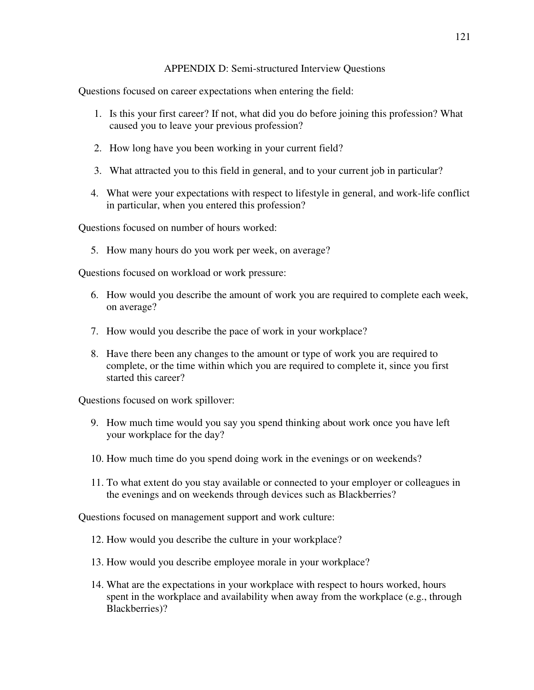#### APPENDIX D: Semi-structured Interview Questions

Questions focused on career expectations when entering the field:

- 1. Is this your first career? If not, what did you do before joining this profession? What caused you to leave your previous profession?
- 2. How long have you been working in your current field?
- 3. What attracted you to this field in general, and to your current job in particular?
- 4. What were your expectations with respect to lifestyle in general, and work-life conflict in particular, when you entered this profession?

Questions focused on number of hours worked:

5. How many hours do you work per week, on average?

Questions focused on workload or work pressure:

- 6. How would you describe the amount of work you are required to complete each week, on average?
- 7. How would you describe the pace of work in your workplace?
- 8. Have there been any changes to the amount or type of work you are required to complete, or the time within which you are required to complete it, since you first started this career?

Questions focused on work spillover:

- 9. How much time would you say you spend thinking about work once you have left your workplace for the day?
- 10. How much time do you spend doing work in the evenings or on weekends?
- 11. To what extent do you stay available or connected to your employer or colleagues in the evenings and on weekends through devices such as Blackberries?

Questions focused on management support and work culture:

- 12. How would you describe the culture in your workplace?
- 13. How would you describe employee morale in your workplace?
- 14. What are the expectations in your workplace with respect to hours worked, hours spent in the workplace and availability when away from the workplace (e.g., through Blackberries)?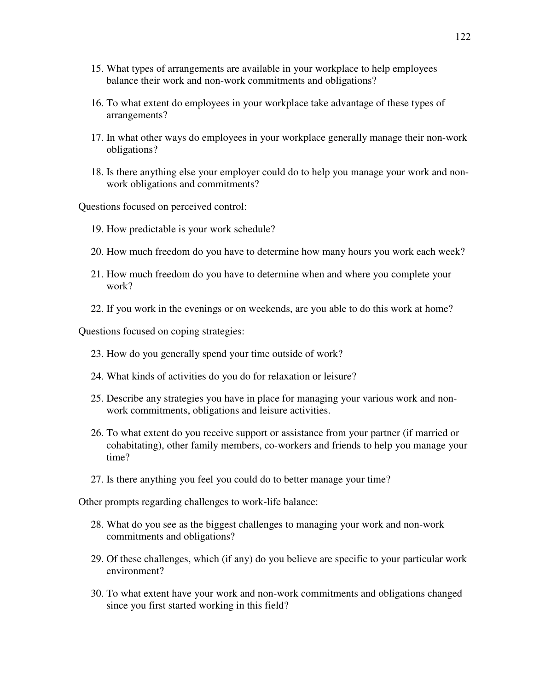- 15. What types of arrangements are available in your workplace to help employees balance their work and non-work commitments and obligations?
- 16. To what extent do employees in your workplace take advantage of these types of arrangements?
- 17. In what other ways do employees in your workplace generally manage their non-work obligations?
- 18. Is there anything else your employer could do to help you manage your work and nonwork obligations and commitments?

Questions focused on perceived control:

- 19. How predictable is your work schedule?
- 20. How much freedom do you have to determine how many hours you work each week?
- 21. How much freedom do you have to determine when and where you complete your work?
- 22. If you work in the evenings or on weekends, are you able to do this work at home?

Questions focused on coping strategies:

- 23. How do you generally spend your time outside of work?
- 24. What kinds of activities do you do for relaxation or leisure?
- 25. Describe any strategies you have in place for managing your various work and nonwork commitments, obligations and leisure activities.
- 26. To what extent do you receive support or assistance from your partner (if married or cohabitating), other family members, co-workers and friends to help you manage your time?
- 27. Is there anything you feel you could do to better manage your time?

Other prompts regarding challenges to work-life balance:

- 28. What do you see as the biggest challenges to managing your work and non-work commitments and obligations?
- 29. Of these challenges, which (if any) do you believe are specific to your particular work environment?
- 30. To what extent have your work and non-work commitments and obligations changed since you first started working in this field?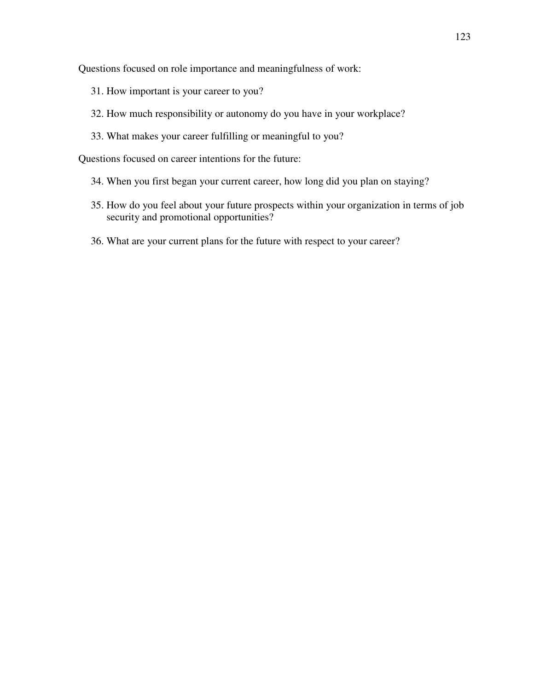Questions focused on role importance and meaningfulness of work:

- 31. How important is your career to you?
- 32. How much responsibility or autonomy do you have in your workplace?
- 33. What makes your career fulfilling or meaningful to you?

Questions focused on career intentions for the future:

- 34. When you first began your current career, how long did you plan on staying?
- 35. How do you feel about your future prospects within your organization in terms of job security and promotional opportunities?
- 36. What are your current plans for the future with respect to your career?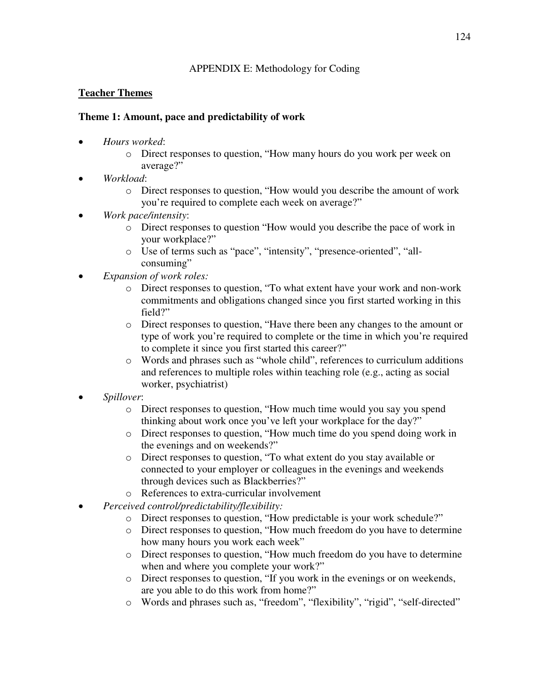#### APPENDIX E: Methodology for Coding

#### **Teacher Themes**

#### **Theme 1: Amount, pace and predictability of work**

- *Hours worked*:
	- o Direct responses to question, "How many hours do you work per week on average?"
- *Workload*:
	- o Direct responses to question, "How would you describe the amount of work you're required to complete each week on average?"
- *Work pace/intensity*:
	- o Direct responses to question "How would you describe the pace of work in your workplace?"
	- o Use of terms such as "pace", "intensity", "presence-oriented", "allconsuming"
- *Expansion of work roles:* 
	- o Direct responses to question, "To what extent have your work and non-work commitments and obligations changed since you first started working in this field?"
	- o Direct responses to question, "Have there been any changes to the amount or type of work you're required to complete or the time in which you're required to complete it since you first started this career?"
	- o Words and phrases such as "whole child", references to curriculum additions and references to multiple roles within teaching role (e.g., acting as social worker, psychiatrist)
- *Spillover*:
	- o Direct responses to question, "How much time would you say you spend thinking about work once you've left your workplace for the day?"
	- o Direct responses to question, "How much time do you spend doing work in the evenings and on weekends?"
	- o Direct responses to question, "To what extent do you stay available or connected to your employer or colleagues in the evenings and weekends through devices such as Blackberries?"
	- o References to extra-curricular involvement
- *Perceived control/predictability/flexibility:*
	- o Direct responses to question, "How predictable is your work schedule?"
	- o Direct responses to question, "How much freedom do you have to determine how many hours you work each week"
	- o Direct responses to question, "How much freedom do you have to determine when and where you complete your work?"
	- o Direct responses to question, "If you work in the evenings or on weekends, are you able to do this work from home?"
	- o Words and phrases such as, "freedom", "flexibility", "rigid", "self-directed"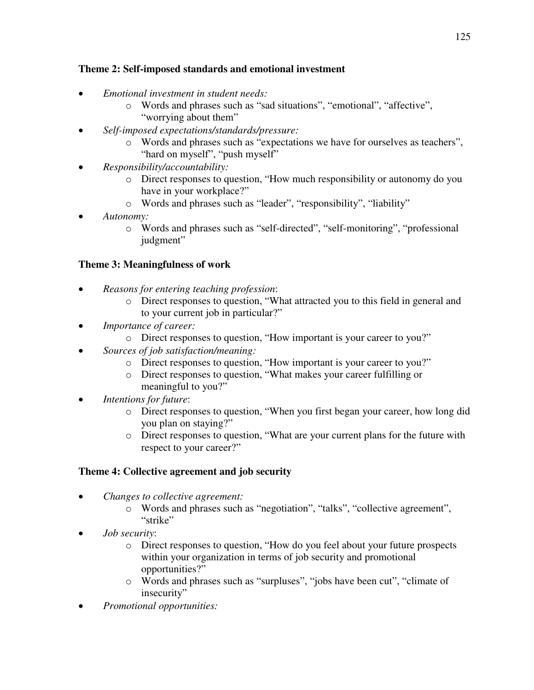#### **Theme 2: Self-imposed standards and emotional investment**

- *Emotional investment in student needs:* 
	- o Words and phrases such as "sad situations", "emotional", "affective", "worrying about them"
- *Self-imposed expectations/standards/pressure:* 
	- o Words and phrases such as "expectations we have for ourselves as teachers", "hard on myself", "push myself"
- *Responsibility/accountability:* 
	- o Direct responses to question, "How much responsibility or autonomy do you have in your workplace?"
	- o Words and phrases such as "leader", "responsibility", "liability"
- *Autonomy:* 
	- o Words and phrases such as "self-directed", "self-monitoring", "professional judgment"

#### **Theme 3: Meaningfulness of work**

- *Reasons for entering teaching profession*:
	- o Direct responses to question, "What attracted you to this field in general and to your current job in particular?"
- *Importance of career:* 
	- o Direct responses to question, "How important is your career to you?"
- *Sources of job satisfaction/meaning:* 
	- o Direct responses to question, "How important is your career to you?"
	- o Direct responses to question, "What makes your career fulfilling or meaningful to you?"
- *Intentions for future*:
	- o Direct responses to question, "When you first began your career, how long did you plan on staying?"
	- o Direct responses to question, "What are your current plans for the future with respect to your career?"

#### **Theme 4: Collective agreement and job security**

- *Changes to collective agreement:* 
	- o Words and phrases such as "negotiation", "talks", "collective agreement", "strike"
- *Job security*:
	- o Direct responses to question, "How do you feel about your future prospects within your organization in terms of job security and promotional opportunities?"
	- o Words and phrases such as "surpluses", "jobs have been cut", "climate of insecurity"
- *Promotional opportunities:*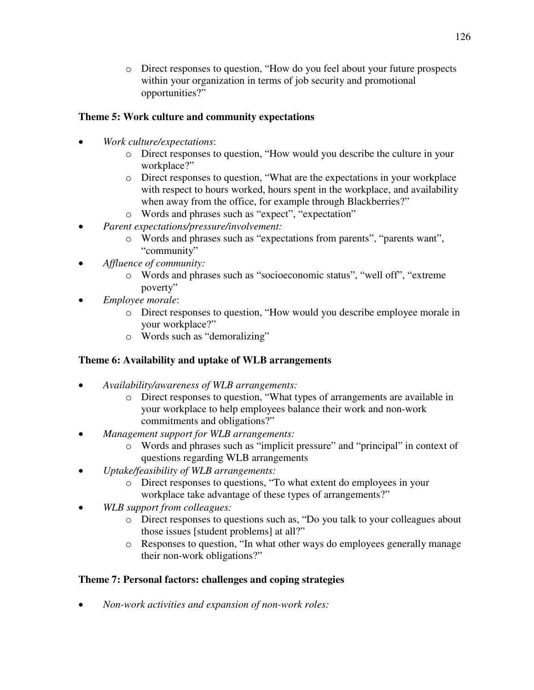o Direct responses to question, "How do you feel about your future prospects within your organization in terms of job security and promotional opportunities?"

## **Theme 5: Work culture and community expectations**

- *Work culture/expectations*:
	- o Direct responses to question, "How would you describe the culture in your workplace?"
	- o Direct responses to question, "What are the expectations in your workplace with respect to hours worked, hours spent in the workplace, and availability when away from the office, for example through Blackberries?"
	- o Words and phrases such as "expect", "expectation"
- *Parent expectations/pressure/involvement:* 
	- o Words and phrases such as "expectations from parents", "parents want", "community"
- *Affluence of community:*
	- o Words and phrases such as "socioeconomic status", "well off", "extreme poverty"
- *Employee morale*:
	- o Direct responses to question, "How would you describe employee morale in your workplace?"
	- o Words such as "demoralizing"

## **Theme 6: Availability and uptake of WLB arrangements**

- *Availability/awareness of WLB arrangements:*
	- o Direct responses to question, "What types of arrangements are available in your workplace to help employees balance their work and non-work commitments and obligations?"
- *Management support for WLB arrangements:*
	- o Words and phrases such as "implicit pressure" and "principal" in context of questions regarding WLB arrangements
- *Uptake/feasibility of WLB arrangements:*
	- o Direct responses to questions, "To what extent do employees in your workplace take advantage of these types of arrangements?"
- *WLB support from colleagues:* 
	- o Direct responses to questions such as, "Do you talk to your colleagues about those issues [student problems] at all?"
	- o Responses to question, "In what other ways do employees generally manage their non-work obligations?"

## **Theme 7: Personal factors: challenges and coping strategies**

• *Non-work activities and expansion of non-work roles:*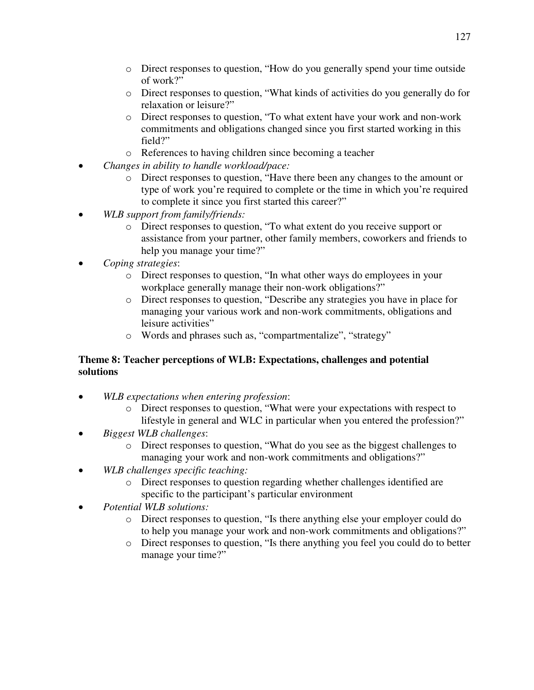- o Direct responses to question, "How do you generally spend your time outside of work?"
- o Direct responses to question, "What kinds of activities do you generally do for relaxation or leisure?"
- o Direct responses to question, "To what extent have your work and non-work commitments and obligations changed since you first started working in this field?"
- o References to having children since becoming a teacher
- *Changes in ability to handle workload/pace:* 
	- o Direct responses to question, "Have there been any changes to the amount or type of work you're required to complete or the time in which you're required to complete it since you first started this career?"
- *WLB support from family/friends:* 
	- o Direct responses to question, "To what extent do you receive support or assistance from your partner, other family members, coworkers and friends to help you manage your time?"
- *Coping strategies*:
	- o Direct responses to question, "In what other ways do employees in your workplace generally manage their non-work obligations?"
	- o Direct responses to question, "Describe any strategies you have in place for managing your various work and non-work commitments, obligations and leisure activities"
	- o Words and phrases such as, "compartmentalize", "strategy"

#### **Theme 8: Teacher perceptions of WLB: Expectations, challenges and potential solutions**

- *WLB expectations when entering profession*:
	- o Direct responses to question, "What were your expectations with respect to lifestyle in general and WLC in particular when you entered the profession?"
- *Biggest WLB challenges*:
	- o Direct responses to question, "What do you see as the biggest challenges to managing your work and non-work commitments and obligations?"
- *WLB challenges specific teaching:*
	- o Direct responses to question regarding whether challenges identified are specific to the participant's particular environment
- *Potential WLB solutions:* 
	- o Direct responses to question, "Is there anything else your employer could do to help you manage your work and non-work commitments and obligations?"
	- o Direct responses to question, "Is there anything you feel you could do to better manage your time?"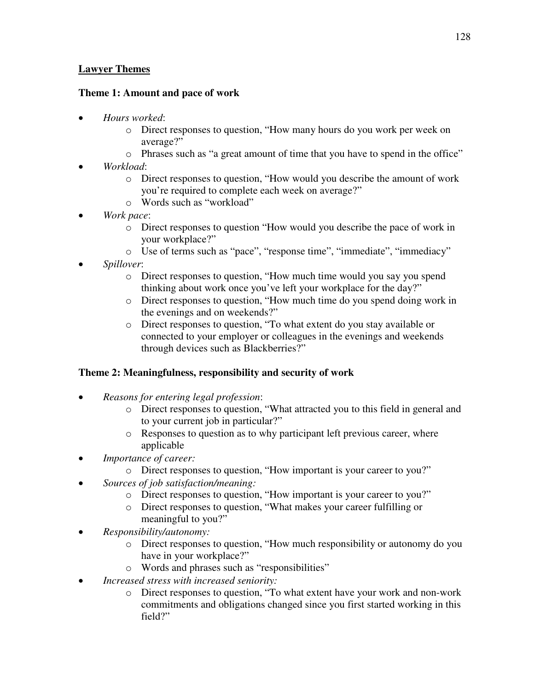#### **Lawyer Themes**

#### **Theme 1: Amount and pace of work**

- *Hours worked*:
	- o Direct responses to question, "How many hours do you work per week on average?"
	- o Phrases such as "a great amount of time that you have to spend in the office"
- *Workload*:
	- o Direct responses to question, "How would you describe the amount of work you're required to complete each week on average?"
	- o Words such as "workload"
- *Work pace*:
	- o Direct responses to question "How would you describe the pace of work in your workplace?"
	- o Use of terms such as "pace", "response time", "immediate", "immediacy"
- *Spillover*:
	- o Direct responses to question, "How much time would you say you spend thinking about work once you've left your workplace for the day?"
	- o Direct responses to question, "How much time do you spend doing work in the evenings and on weekends?"
	- o Direct responses to question, "To what extent do you stay available or connected to your employer or colleagues in the evenings and weekends through devices such as Blackberries?"

#### **Theme 2: Meaningfulness, responsibility and security of work**

- *Reasons for entering legal profession*:
	- o Direct responses to question, "What attracted you to this field in general and to your current job in particular?"
	- o Responses to question as to why participant left previous career, where applicable
- *Importance of career:* 
	- o Direct responses to question, "How important is your career to you?"
- *Sources of job satisfaction/meaning:* 
	- o Direct responses to question, "How important is your career to you?"
	- o Direct responses to question, "What makes your career fulfilling or meaningful to you?"
- *Responsibility/autonomy:* 
	- o Direct responses to question, "How much responsibility or autonomy do you have in your workplace?"
	- o Words and phrases such as "responsibilities"
- *Increased stress with increased seniority:* 
	- o Direct responses to question, "To what extent have your work and non-work commitments and obligations changed since you first started working in this field?"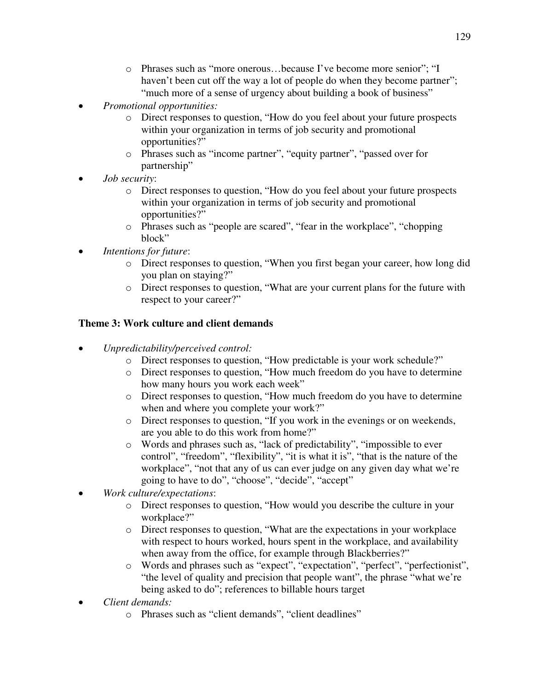- o Phrases such as "more onerous…because I've become more senior"; "I haven't been cut off the way a lot of people do when they become partner"; "much more of a sense of urgency about building a book of business"
- *Promotional opportunities:*
	- o Direct responses to question, "How do you feel about your future prospects within your organization in terms of job security and promotional opportunities?"
	- o Phrases such as "income partner", "equity partner", "passed over for partnership"
- *Job security*:
	- o Direct responses to question, "How do you feel about your future prospects within your organization in terms of job security and promotional opportunities?"
	- o Phrases such as "people are scared", "fear in the workplace", "chopping block"
- *Intentions for future*:
	- o Direct responses to question, "When you first began your career, how long did you plan on staying?"
	- o Direct responses to question, "What are your current plans for the future with respect to your career?"

## **Theme 3: Work culture and client demands**

- *Unpredictability/perceived control:*
	- o Direct responses to question, "How predictable is your work schedule?"
	- o Direct responses to question, "How much freedom do you have to determine how many hours you work each week"
	- o Direct responses to question, "How much freedom do you have to determine when and where you complete your work?"
	- o Direct responses to question, "If you work in the evenings or on weekends, are you able to do this work from home?"
	- o Words and phrases such as, "lack of predictability", "impossible to ever control", "freedom", "flexibility", "it is what it is", "that is the nature of the workplace", "not that any of us can ever judge on any given day what we're going to have to do", "choose", "decide", "accept"
- *Work culture/expectations*:
	- o Direct responses to question, "How would you describe the culture in your workplace?"
	- o Direct responses to question, "What are the expectations in your workplace with respect to hours worked, hours spent in the workplace, and availability when away from the office, for example through Blackberries?"
	- o Words and phrases such as "expect", "expectation", "perfect", "perfectionist", "the level of quality and precision that people want", the phrase "what we're being asked to do"; references to billable hours target
- *Client demands:*
	- o Phrases such as "client demands", "client deadlines"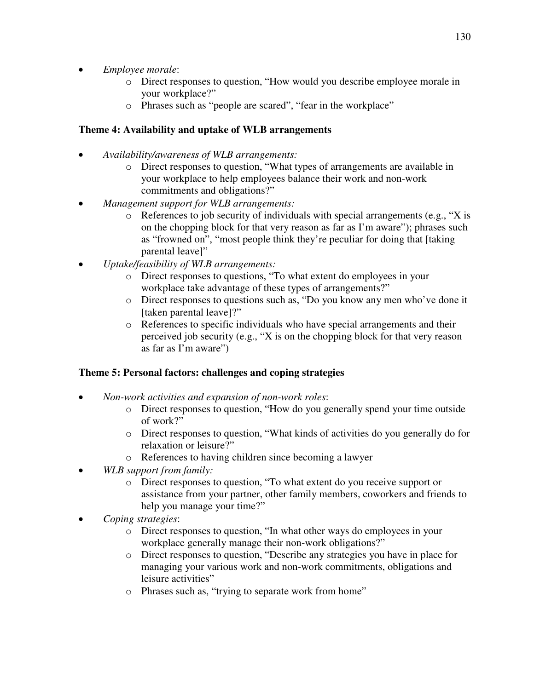- *Employee morale*:
	- o Direct responses to question, "How would you describe employee morale in your workplace?"
	- o Phrases such as "people are scared", "fear in the workplace"

#### **Theme 4: Availability and uptake of WLB arrangements**

- *Availability/awareness of WLB arrangements:*
	- o Direct responses to question, "What types of arrangements are available in your workplace to help employees balance their work and non-work commitments and obligations?"
- *Management support for WLB arrangements:*
	- o References to job security of individuals with special arrangements (e.g., "X is on the chopping block for that very reason as far as I'm aware"); phrases such as "frowned on", "most people think they're peculiar for doing that [taking parental leave]"
- *Uptake/feasibility of WLB arrangements:*
	- o Direct responses to questions, "To what extent do employees in your workplace take advantage of these types of arrangements?"
	- o Direct responses to questions such as, "Do you know any men who've done it [taken parental leave]?"
	- o References to specific individuals who have special arrangements and their perceived job security (e.g., "X is on the chopping block for that very reason as far as I'm aware")

## **Theme 5: Personal factors: challenges and coping strategies**

- *Non-work activities and expansion of non-work roles*:
	- o Direct responses to question, "How do you generally spend your time outside of work?"
	- o Direct responses to question, "What kinds of activities do you generally do for relaxation or leisure?"
	- o References to having children since becoming a lawyer
- *WLB support from family:* 
	- o Direct responses to question, "To what extent do you receive support or assistance from your partner, other family members, coworkers and friends to help you manage your time?"
- *Coping strategies*:
	- o Direct responses to question, "In what other ways do employees in your workplace generally manage their non-work obligations?"
	- o Direct responses to question, "Describe any strategies you have in place for managing your various work and non-work commitments, obligations and leisure activities"
	- o Phrases such as, "trying to separate work from home"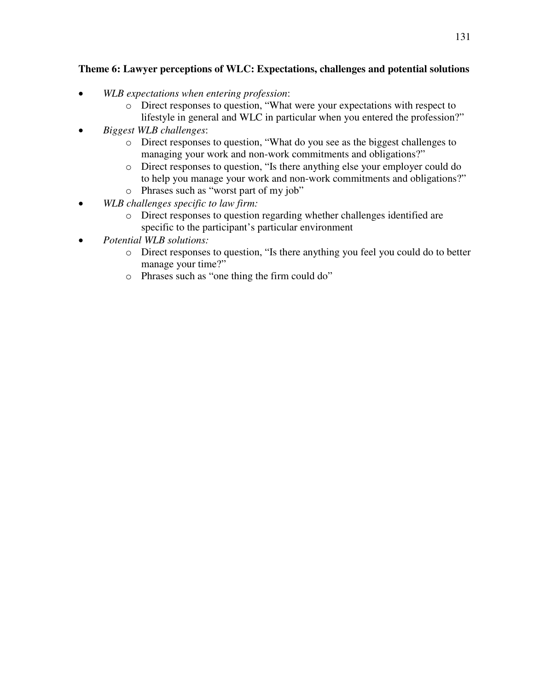#### **Theme 6: Lawyer perceptions of WLC: Expectations, challenges and potential solutions**

- *WLB expectations when entering profession*:
	- o Direct responses to question, "What were your expectations with respect to lifestyle in general and WLC in particular when you entered the profession?"
- *Biggest WLB challenges*:
	- o Direct responses to question, "What do you see as the biggest challenges to managing your work and non-work commitments and obligations?"
	- o Direct responses to question, "Is there anything else your employer could do to help you manage your work and non-work commitments and obligations?"
	- o Phrases such as "worst part of my job"
- *WLB challenges specific to law firm:*
	- o Direct responses to question regarding whether challenges identified are specific to the participant's particular environment
- *Potential WLB solutions:* 
	- o Direct responses to question, "Is there anything you feel you could do to better manage your time?"
	- o Phrases such as "one thing the firm could do"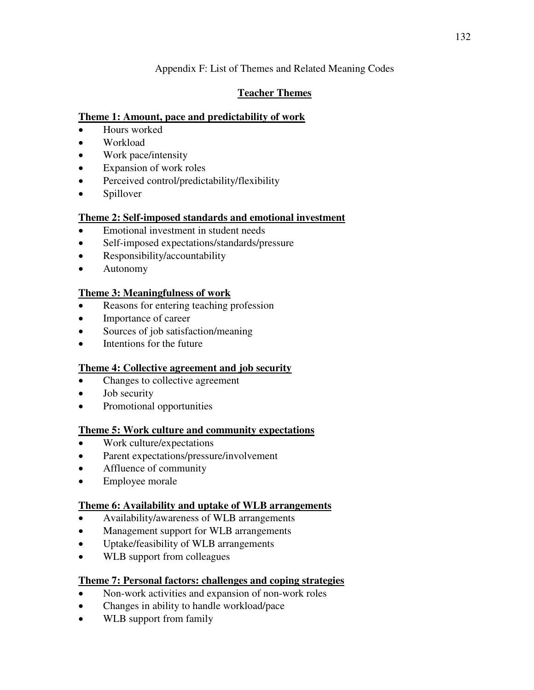## Appendix F: List of Themes and Related Meaning Codes

## **Teacher Themes**

#### **Theme 1: Amount, pace and predictability of work**

- Hours worked
- Workload
- Work pace/intensity
- Expansion of work roles
- Perceived control/predictability/flexibility
- Spillover

## **Theme 2: Self-imposed standards and emotional investment**

- Emotional investment in student needs
- Self-imposed expectations/standards/pressure
- Responsibility/accountability
- Autonomy

## **Theme 3: Meaningfulness of work**

- Reasons for entering teaching profession
- Importance of career
- Sources of job satisfaction/meaning
- Intentions for the future

## **Theme 4: Collective agreement and job security**

- Changes to collective agreement
- Job security
- Promotional opportunities

## **Theme 5: Work culture and community expectations**

- Work culture/expectations
- Parent expectations/pressure/involvement
- Affluence of community
- Employee morale

## **Theme 6: Availability and uptake of WLB arrangements**

- Availability/awareness of WLB arrangements
- Management support for WLB arrangements
- Uptake/feasibility of WLB arrangements
- WLB support from colleagues

## **Theme 7: Personal factors: challenges and coping strategies**

- Non-work activities and expansion of non-work roles
- Changes in ability to handle workload/pace
- WLB support from family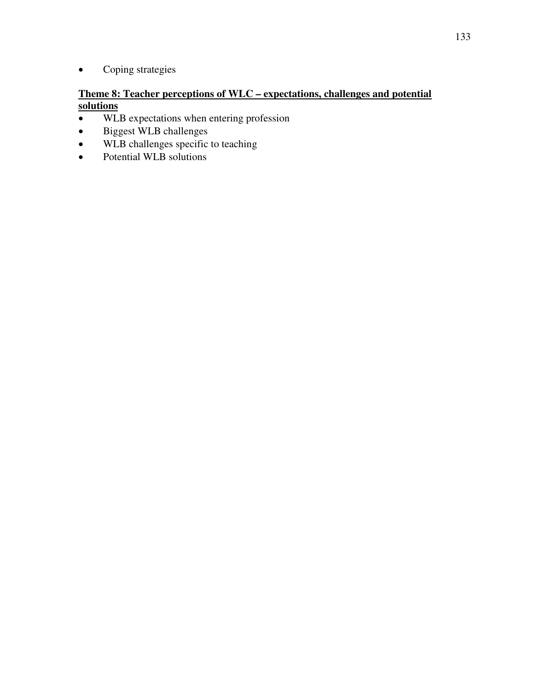• Coping strategies

#### **Theme 8: Teacher perceptions of WLC – expectations, challenges and potential solutions**

- WLB expectations when entering profession
- Biggest WLB challenges
- WLB challenges specific to teaching
- Potential WLB solutions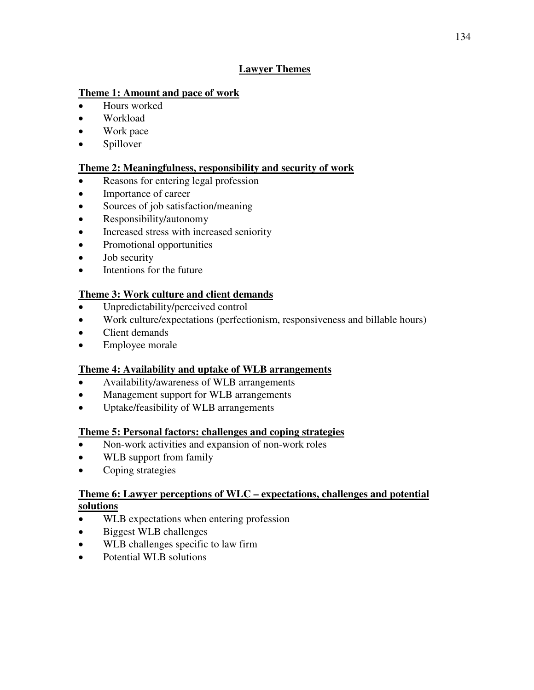## **Lawyer Themes**

#### **Theme 1: Amount and pace of work**

- Hours worked
- Workload
- Work pace
- Spillover

#### **Theme 2: Meaningfulness, responsibility and security of work**

- Reasons for entering legal profession
- Importance of career
- Sources of job satisfaction/meaning
- Responsibility/autonomy
- Increased stress with increased seniority
- Promotional opportunities
- Job security
- Intentions for the future

#### **Theme 3: Work culture and client demands**

- Unpredictability/perceived control
- Work culture/expectations (perfectionism, responsiveness and billable hours)
- Client demands
- Employee morale

#### **Theme 4: Availability and uptake of WLB arrangements**

- Availability/awareness of WLB arrangements
- Management support for WLB arrangements
- Uptake/feasibility of WLB arrangements

#### **Theme 5: Personal factors: challenges and coping strategies**

- Non-work activities and expansion of non-work roles
- WLB support from family
- Coping strategies

#### **Theme 6: Lawyer perceptions of WLC – expectations, challenges and potential solutions**

- WLB expectations when entering profession
- Biggest WLB challenges
- WLB challenges specific to law firm
- Potential WLB solutions